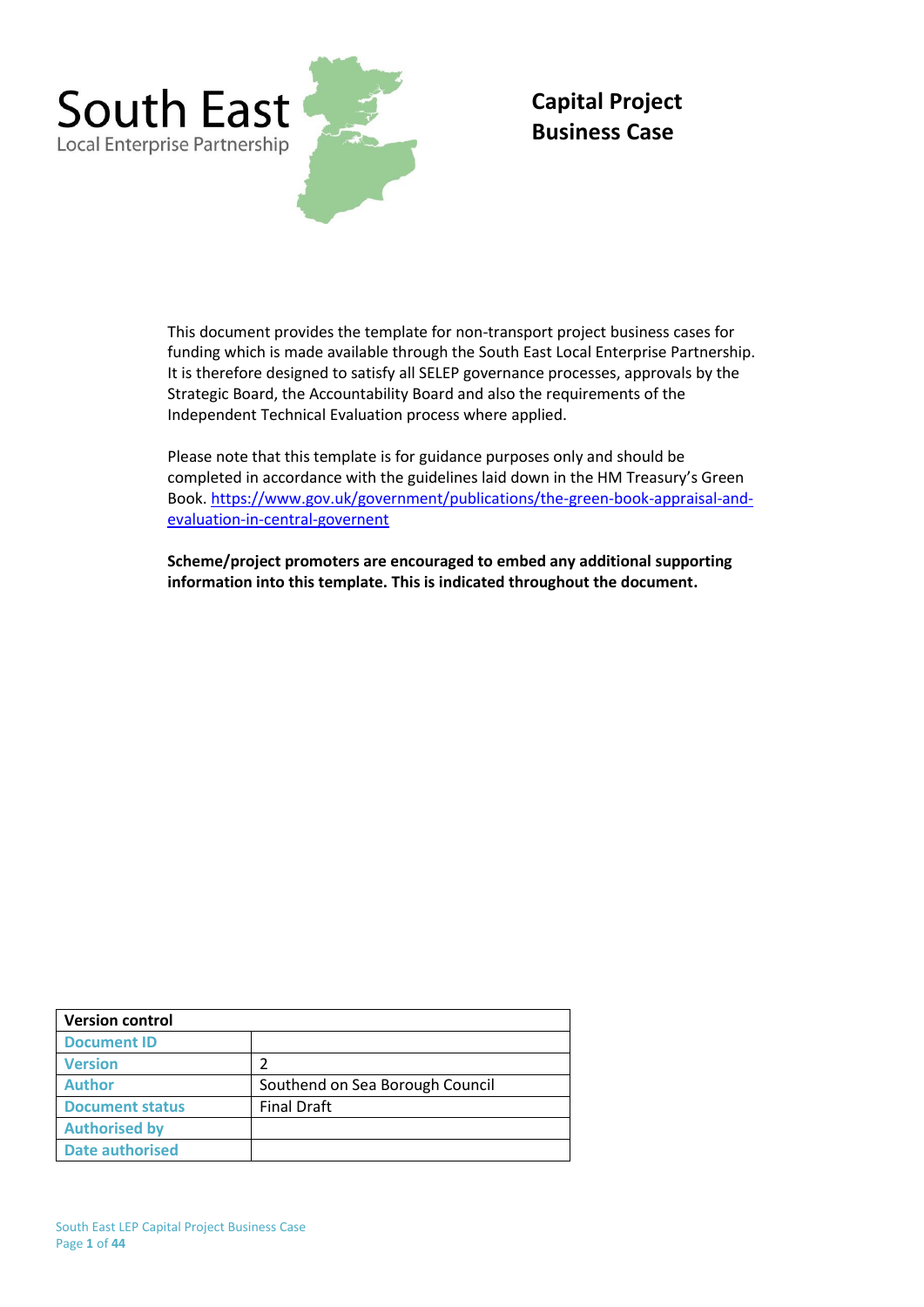

# **Capital Project Business Case**

This document provides the template for non-transport project business cases for funding which is made available through the South East Local Enterprise Partnership. It is therefore designed to satisfy all SELEP governance processes, approvals by the Strategic Board, the Accountability Board and also the requirements of the Independent Technical Evaluation process where applied.

Please note that this template is for guidance purposes only and should be completed in accordance with the guidelines laid down in the HM Treasury's Green Book. [https://www.gov.uk/government/publications/the-green-book-appraisal-and](https://www.gov.uk/government/publications/the-green-book-appraisal-and-evaluation-in-central-governent)[evaluation-in-central-governent](https://www.gov.uk/government/publications/the-green-book-appraisal-and-evaluation-in-central-governent)

**Scheme/project promoters are encouraged to embed any additional supporting information into this template. This is indicated throughout the document.**

| <b>Version control</b> |                                 |
|------------------------|---------------------------------|
| <b>Document ID</b>     |                                 |
| <b>Version</b>         | 2                               |
| <b>Author</b>          | Southend on Sea Borough Council |
| <b>Document status</b> | <b>Final Draft</b>              |
| <b>Authorised by</b>   |                                 |
| <b>Date authorised</b> |                                 |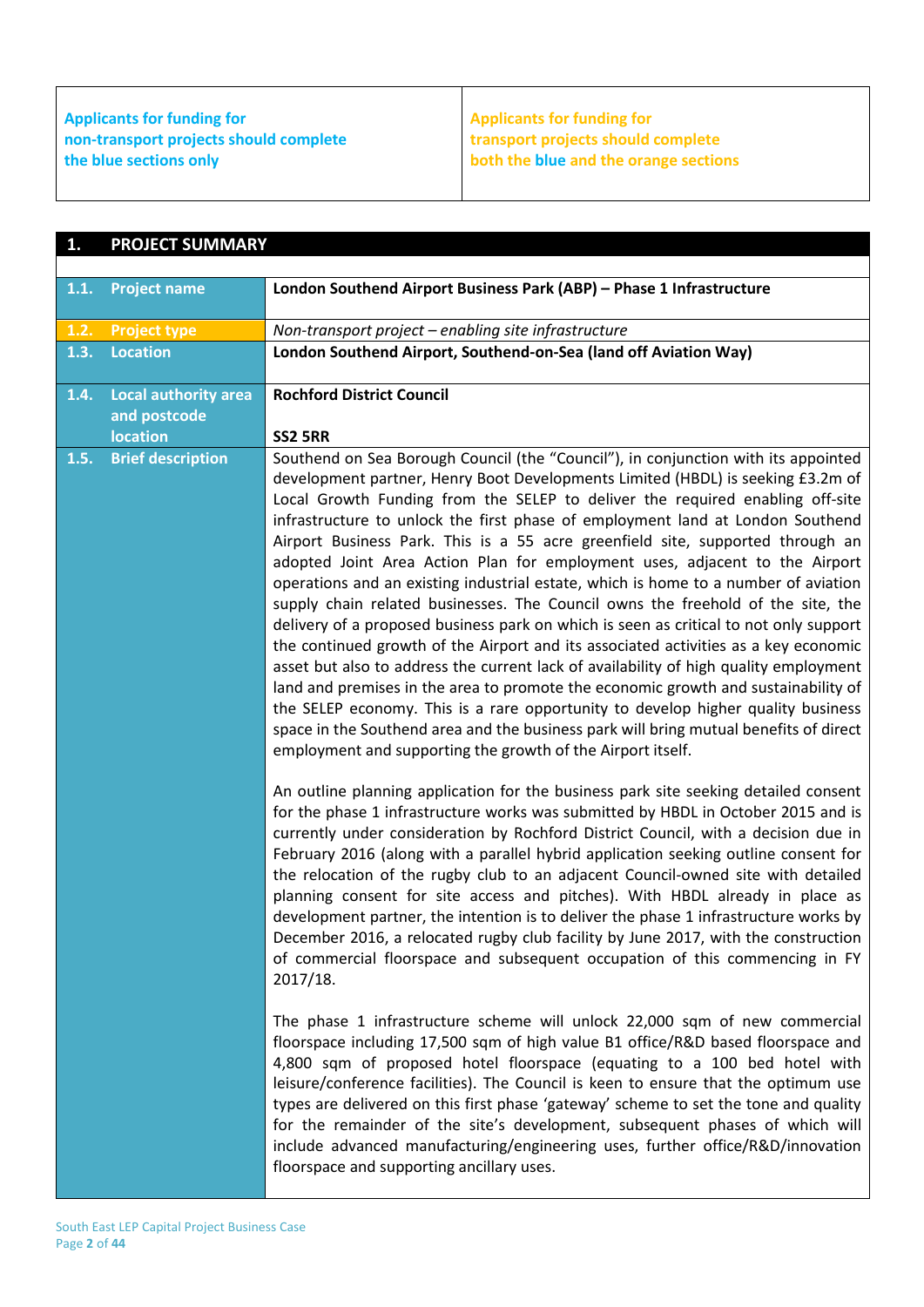### **Applicants for funding for non-transport projects should complete the blue sections only**

**Applicants for funding for transport projects should complete both the blue and the orange sections**

| 1.   | <b>PROJECT SUMMARY</b>                      |                                                                                                                                                                                                                                                                                                                                                                                                                                                                                                                                                                                                                                                                                                                                                                                                                                                                                                                                                                                                                                                                                                                                                                                                                                                                                                |
|------|---------------------------------------------|------------------------------------------------------------------------------------------------------------------------------------------------------------------------------------------------------------------------------------------------------------------------------------------------------------------------------------------------------------------------------------------------------------------------------------------------------------------------------------------------------------------------------------------------------------------------------------------------------------------------------------------------------------------------------------------------------------------------------------------------------------------------------------------------------------------------------------------------------------------------------------------------------------------------------------------------------------------------------------------------------------------------------------------------------------------------------------------------------------------------------------------------------------------------------------------------------------------------------------------------------------------------------------------------|
|      |                                             |                                                                                                                                                                                                                                                                                                                                                                                                                                                                                                                                                                                                                                                                                                                                                                                                                                                                                                                                                                                                                                                                                                                                                                                                                                                                                                |
| 1.1. | <b>Project name</b>                         | London Southend Airport Business Park (ABP) - Phase 1 Infrastructure                                                                                                                                                                                                                                                                                                                                                                                                                                                                                                                                                                                                                                                                                                                                                                                                                                                                                                                                                                                                                                                                                                                                                                                                                           |
| 1.2. | <b>Project type</b>                         | Non-transport project - enabling site infrastructure                                                                                                                                                                                                                                                                                                                                                                                                                                                                                                                                                                                                                                                                                                                                                                                                                                                                                                                                                                                                                                                                                                                                                                                                                                           |
| 1.3. | <b>Location</b>                             | London Southend Airport, Southend-on-Sea (land off Aviation Way)                                                                                                                                                                                                                                                                                                                                                                                                                                                                                                                                                                                                                                                                                                                                                                                                                                                                                                                                                                                                                                                                                                                                                                                                                               |
| 1.4. | <b>Local authority area</b><br>and postcode | <b>Rochford District Council</b>                                                                                                                                                                                                                                                                                                                                                                                                                                                                                                                                                                                                                                                                                                                                                                                                                                                                                                                                                                                                                                                                                                                                                                                                                                                               |
|      | <b>location</b>                             | <b>SS2 5RR</b>                                                                                                                                                                                                                                                                                                                                                                                                                                                                                                                                                                                                                                                                                                                                                                                                                                                                                                                                                                                                                                                                                                                                                                                                                                                                                 |
| 1.5. | <b>Brief description</b>                    | Southend on Sea Borough Council (the "Council"), in conjunction with its appointed<br>development partner, Henry Boot Developments Limited (HBDL) is seeking £3.2m of<br>Local Growth Funding from the SELEP to deliver the required enabling off-site<br>infrastructure to unlock the first phase of employment land at London Southend<br>Airport Business Park. This is a 55 acre greenfield site, supported through an<br>adopted Joint Area Action Plan for employment uses, adjacent to the Airport<br>operations and an existing industrial estate, which is home to a number of aviation<br>supply chain related businesses. The Council owns the freehold of the site, the<br>delivery of a proposed business park on which is seen as critical to not only support<br>the continued growth of the Airport and its associated activities as a key economic<br>asset but also to address the current lack of availability of high quality employment<br>land and premises in the area to promote the economic growth and sustainability of<br>the SELEP economy. This is a rare opportunity to develop higher quality business<br>space in the Southend area and the business park will bring mutual benefits of direct<br>employment and supporting the growth of the Airport itself. |
|      |                                             | An outline planning application for the business park site seeking detailed consent<br>for the phase 1 infrastructure works was submitted by HBDL in October 2015 and is<br>currently under consideration by Rochford District Council, with a decision due in<br>February 2016 (along with a parallel hybrid application seeking outline consent for<br>the relocation of the rugby club to an adjacent Council-owned site with detailed<br>planning consent for site access and pitches). With HBDL already in place as<br>development partner, the intention is to deliver the phase 1 infrastructure works by<br>December 2016, a relocated rugby club facility by June 2017, with the construction<br>of commercial floorspace and subsequent occupation of this commencing in FY<br>2017/18.<br>The phase 1 infrastructure scheme will unlock 22,000 sqm of new commercial<br>floorspace including 17,500 sqm of high value B1 office/R&D based floorspace and                                                                                                                                                                                                                                                                                                                           |
|      |                                             | 4,800 sqm of proposed hotel floorspace (equating to a 100 bed hotel with<br>leisure/conference facilities). The Council is keen to ensure that the optimum use<br>types are delivered on this first phase 'gateway' scheme to set the tone and quality<br>for the remainder of the site's development, subsequent phases of which will<br>include advanced manufacturing/engineering uses, further office/R&D/innovation<br>floorspace and supporting ancillary uses.                                                                                                                                                                                                                                                                                                                                                                                                                                                                                                                                                                                                                                                                                                                                                                                                                          |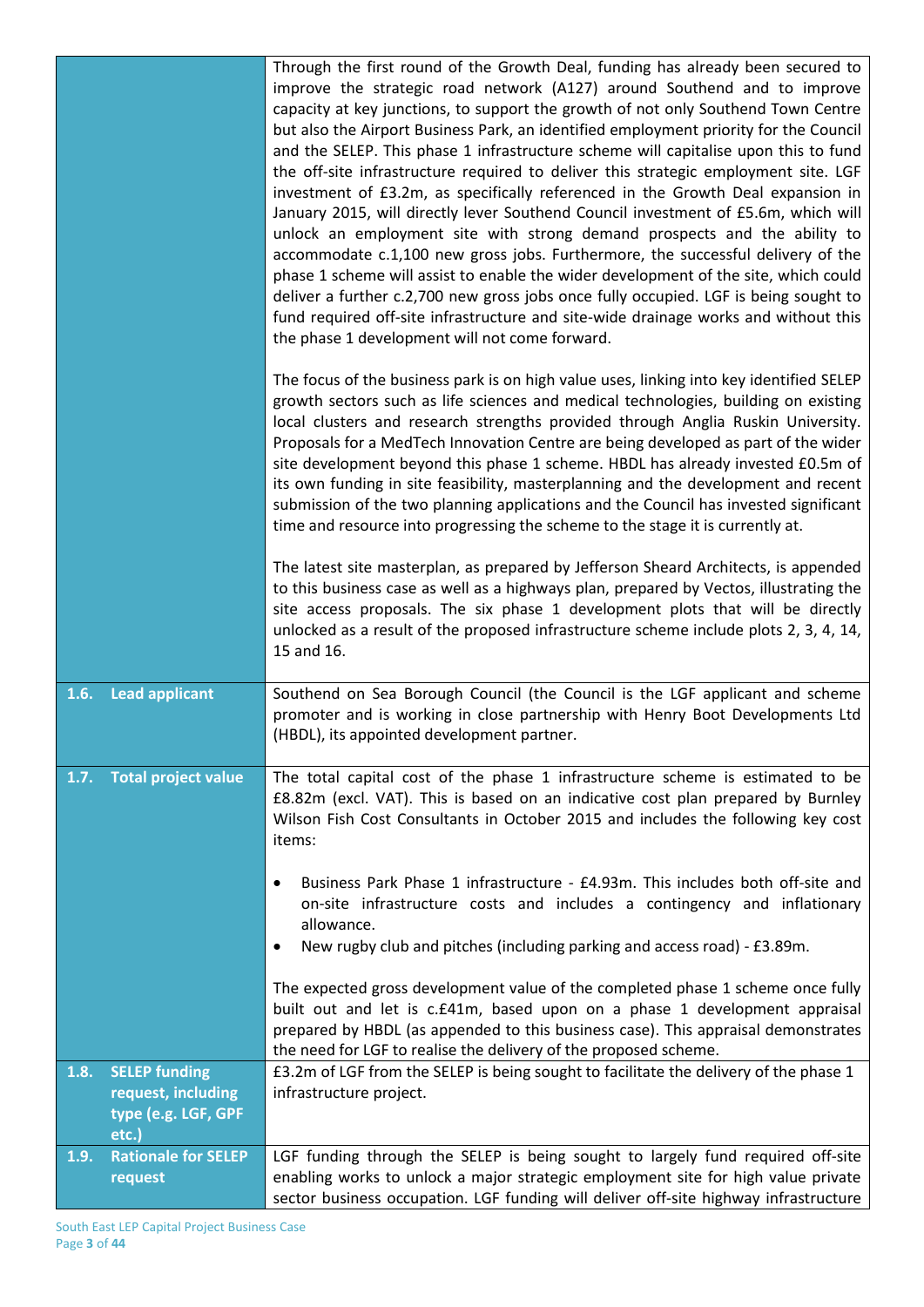|      |                            | Through the first round of the Growth Deal, funding has already been secured to                                                                                           |
|------|----------------------------|---------------------------------------------------------------------------------------------------------------------------------------------------------------------------|
|      |                            | improve the strategic road network (A127) around Southend and to improve                                                                                                  |
|      |                            | capacity at key junctions, to support the growth of not only Southend Town Centre                                                                                         |
|      |                            | but also the Airport Business Park, an identified employment priority for the Council                                                                                     |
|      |                            | and the SELEP. This phase 1 infrastructure scheme will capitalise upon this to fund                                                                                       |
|      |                            | the off-site infrastructure required to deliver this strategic employment site. LGF                                                                                       |
|      |                            | investment of £3.2m, as specifically referenced in the Growth Deal expansion in                                                                                           |
|      |                            | January 2015, will directly lever Southend Council investment of £5.6m, which will                                                                                        |
|      |                            | unlock an employment site with strong demand prospects and the ability to                                                                                                 |
|      |                            | accommodate c.1,100 new gross jobs. Furthermore, the successful delivery of the                                                                                           |
|      |                            | phase 1 scheme will assist to enable the wider development of the site, which could                                                                                       |
|      |                            | deliver a further c.2,700 new gross jobs once fully occupied. LGF is being sought to                                                                                      |
|      |                            | fund required off-site infrastructure and site-wide drainage works and without this                                                                                       |
|      |                            | the phase 1 development will not come forward.                                                                                                                            |
|      |                            | The focus of the business park is on high value uses, linking into key identified SELEP                                                                                   |
|      |                            | growth sectors such as life sciences and medical technologies, building on existing                                                                                       |
|      |                            | local clusters and research strengths provided through Anglia Ruskin University.                                                                                          |
|      |                            | Proposals for a MedTech Innovation Centre are being developed as part of the wider                                                                                        |
|      |                            | site development beyond this phase 1 scheme. HBDL has already invested £0.5m of                                                                                           |
|      |                            | its own funding in site feasibility, masterplanning and the development and recent                                                                                        |
|      |                            | submission of the two planning applications and the Council has invested significant                                                                                      |
|      |                            | time and resource into progressing the scheme to the stage it is currently at.                                                                                            |
|      |                            | The latest site masterplan, as prepared by Jefferson Sheard Architects, is appended                                                                                       |
|      |                            | to this business case as well as a highways plan, prepared by Vectos, illustrating the                                                                                    |
|      |                            | site access proposals. The six phase 1 development plots that will be directly                                                                                            |
|      |                            | unlocked as a result of the proposed infrastructure scheme include plots 2, 3, 4, 14,                                                                                     |
|      |                            | 15 and 16.                                                                                                                                                                |
| 1.6. | <b>Lead applicant</b>      | Southend on Sea Borough Council (the Council is the LGF applicant and scheme                                                                                              |
|      |                            | promoter and is working in close partnership with Henry Boot Developments Ltd                                                                                             |
|      |                            | (HBDL), its appointed development partner.                                                                                                                                |
|      |                            |                                                                                                                                                                           |
| 1.7. | <b>Total project value</b> | The total capital cost of the phase 1 infrastructure scheme is estimated to be                                                                                            |
|      |                            | £8.82m (excl. VAT). This is based on an indicative cost plan prepared by Burnley                                                                                          |
|      |                            | Wilson Fish Cost Consultants in October 2015 and includes the following key cost<br>items:                                                                                |
|      |                            |                                                                                                                                                                           |
|      |                            | Business Park Phase 1 infrastructure - £4.93m. This includes both off-site and<br>٠                                                                                       |
|      |                            | on-site infrastructure costs and includes a contingency and inflationary                                                                                                  |
|      |                            | allowance.                                                                                                                                                                |
|      |                            | New rugby club and pitches (including parking and access road) - £3.89m.<br>٠                                                                                             |
|      |                            | The expected gross development value of the completed phase 1 scheme once fully                                                                                           |
|      |                            | built out and let is c.£41m, based upon on a phase 1 development appraisal                                                                                                |
|      |                            | prepared by HBDL (as appended to this business case). This appraisal demonstrates                                                                                         |
|      |                            | the need for LGF to realise the delivery of the proposed scheme.                                                                                                          |
| 1.8. | <b>SELEP funding</b>       | £3.2m of LGF from the SELEP is being sought to facilitate the delivery of the phase 1                                                                                     |
|      | request, including         | infrastructure project.                                                                                                                                                   |
|      | type (e.g. LGF, GPF        |                                                                                                                                                                           |
|      | etc.)                      |                                                                                                                                                                           |
| 1.9. | <b>Rationale for SELEP</b> | LGF funding through the SELEP is being sought to largely fund required off-site                                                                                           |
|      |                            |                                                                                                                                                                           |
|      | request                    | enabling works to unlock a major strategic employment site for high value private<br>sector business occupation. LGF funding will deliver off-site highway infrastructure |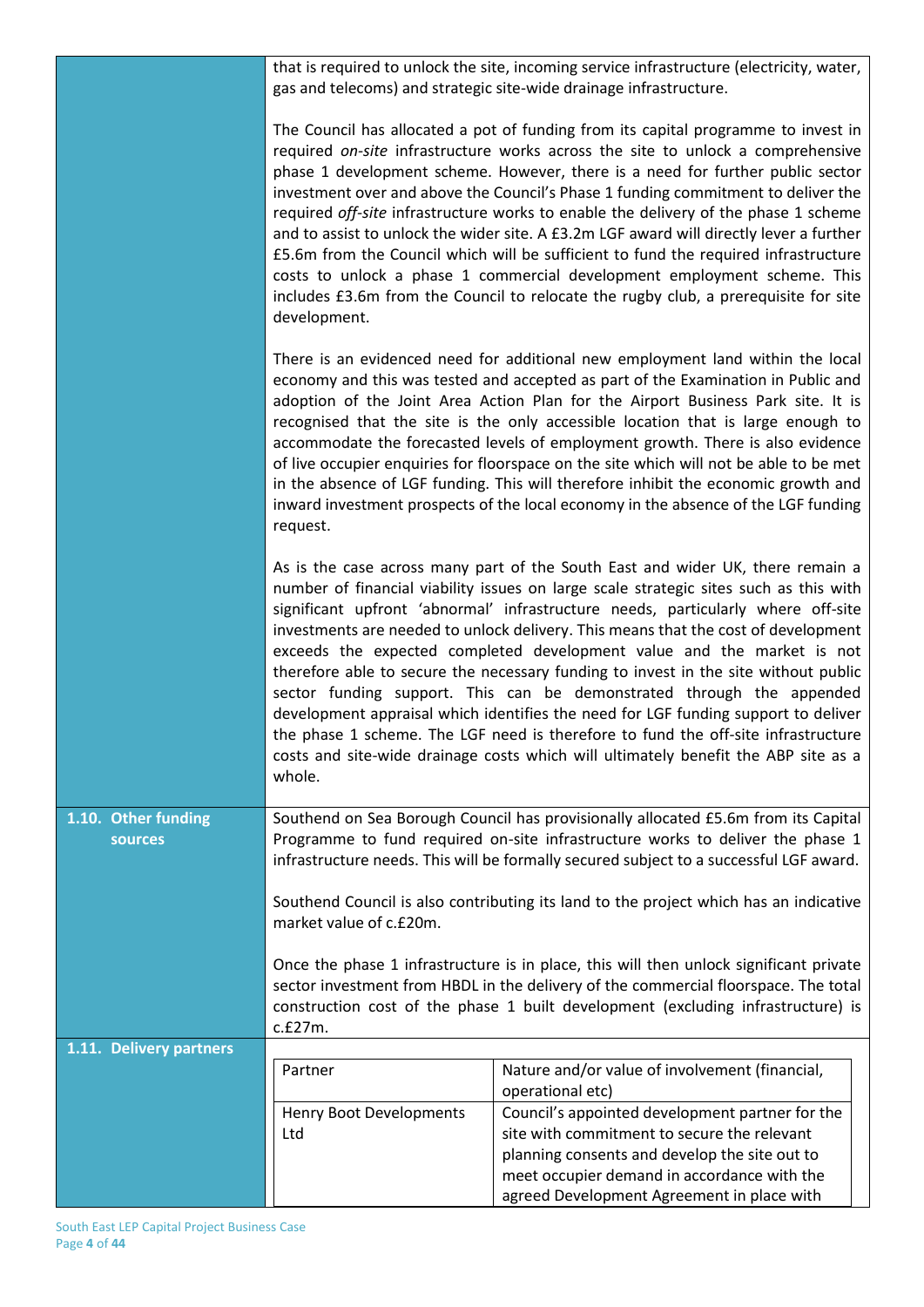|                                | that is required to unlock the site, incoming service infrastructure (electricity, water,<br>gas and telecoms) and strategic site-wide drainage infrastructure.                                                                                                                                                                                                                                                                                                                                                                                                                                                                                                                                                                                                                                          |                                                                                                                                                                                                                                                                                                                                                                                                                                                                                                                                                                                                                                                                                                                                                                                                                                                              |  |  |
|--------------------------------|----------------------------------------------------------------------------------------------------------------------------------------------------------------------------------------------------------------------------------------------------------------------------------------------------------------------------------------------------------------------------------------------------------------------------------------------------------------------------------------------------------------------------------------------------------------------------------------------------------------------------------------------------------------------------------------------------------------------------------------------------------------------------------------------------------|--------------------------------------------------------------------------------------------------------------------------------------------------------------------------------------------------------------------------------------------------------------------------------------------------------------------------------------------------------------------------------------------------------------------------------------------------------------------------------------------------------------------------------------------------------------------------------------------------------------------------------------------------------------------------------------------------------------------------------------------------------------------------------------------------------------------------------------------------------------|--|--|
|                                | The Council has allocated a pot of funding from its capital programme to invest in<br>required on-site infrastructure works across the site to unlock a comprehensive<br>phase 1 development scheme. However, there is a need for further public sector<br>investment over and above the Council's Phase 1 funding commitment to deliver the<br>required off-site infrastructure works to enable the delivery of the phase 1 scheme<br>and to assist to unlock the wider site. A £3.2m LGF award will directly lever a further<br>£5.6m from the Council which will be sufficient to fund the required infrastructure<br>costs to unlock a phase 1 commercial development employment scheme. This<br>includes £3.6m from the Council to relocate the rugby club, a prerequisite for site<br>development. |                                                                                                                                                                                                                                                                                                                                                                                                                                                                                                                                                                                                                                                                                                                                                                                                                                                              |  |  |
|                                | There is an evidenced need for additional new employment land within the local<br>economy and this was tested and accepted as part of the Examination in Public and<br>adoption of the Joint Area Action Plan for the Airport Business Park site. It is<br>recognised that the site is the only accessible location that is large enough to<br>accommodate the forecasted levels of employment growth. There is also evidence<br>of live occupier enquiries for floorspace on the site which will not be able to be met<br>in the absence of LGF funding. This will therefore inhibit the economic growth and<br>inward investment prospects of the local economy in the absence of the LGF funding<br>request.                                                                                          |                                                                                                                                                                                                                                                                                                                                                                                                                                                                                                                                                                                                                                                                                                                                                                                                                                                              |  |  |
|                                | whole.                                                                                                                                                                                                                                                                                                                                                                                                                                                                                                                                                                                                                                                                                                                                                                                                   | As is the case across many part of the South East and wider UK, there remain a<br>number of financial viability issues on large scale strategic sites such as this with<br>significant upfront 'abnormal' infrastructure needs, particularly where off-site<br>investments are needed to unlock delivery. This means that the cost of development<br>exceeds the expected completed development value and the market is not<br>therefore able to secure the necessary funding to invest in the site without public<br>sector funding support. This can be demonstrated through the appended<br>development appraisal which identifies the need for LGF funding support to deliver<br>the phase 1 scheme. The LGF need is therefore to fund the off-site infrastructure<br>costs and site-wide drainage costs which will ultimately benefit the ABP site as a |  |  |
| 1.10. Other funding<br>sources | Southend on Sea Borough Council has provisionally allocated £5.6m from its Capital<br>Programme to fund required on-site infrastructure works to deliver the phase 1<br>infrastructure needs. This will be formally secured subject to a successful LGF award.                                                                                                                                                                                                                                                                                                                                                                                                                                                                                                                                           |                                                                                                                                                                                                                                                                                                                                                                                                                                                                                                                                                                                                                                                                                                                                                                                                                                                              |  |  |
|                                | Southend Council is also contributing its land to the project which has an indicative<br>market value of c.£20m.                                                                                                                                                                                                                                                                                                                                                                                                                                                                                                                                                                                                                                                                                         |                                                                                                                                                                                                                                                                                                                                                                                                                                                                                                                                                                                                                                                                                                                                                                                                                                                              |  |  |
|                                | Once the phase 1 infrastructure is in place, this will then unlock significant private<br>sector investment from HBDL in the delivery of the commercial floorspace. The total<br>construction cost of the phase 1 built development (excluding infrastructure) is<br>c.f27m.                                                                                                                                                                                                                                                                                                                                                                                                                                                                                                                             |                                                                                                                                                                                                                                                                                                                                                                                                                                                                                                                                                                                                                                                                                                                                                                                                                                                              |  |  |
| 1.11. Delivery partners        |                                                                                                                                                                                                                                                                                                                                                                                                                                                                                                                                                                                                                                                                                                                                                                                                          |                                                                                                                                                                                                                                                                                                                                                                                                                                                                                                                                                                                                                                                                                                                                                                                                                                                              |  |  |
|                                | Partner                                                                                                                                                                                                                                                                                                                                                                                                                                                                                                                                                                                                                                                                                                                                                                                                  | Nature and/or value of involvement (financial,                                                                                                                                                                                                                                                                                                                                                                                                                                                                                                                                                                                                                                                                                                                                                                                                               |  |  |
|                                |                                                                                                                                                                                                                                                                                                                                                                                                                                                                                                                                                                                                                                                                                                                                                                                                          | operational etc)                                                                                                                                                                                                                                                                                                                                                                                                                                                                                                                                                                                                                                                                                                                                                                                                                                             |  |  |
|                                | Henry Boot Developments                                                                                                                                                                                                                                                                                                                                                                                                                                                                                                                                                                                                                                                                                                                                                                                  | Council's appointed development partner for the                                                                                                                                                                                                                                                                                                                                                                                                                                                                                                                                                                                                                                                                                                                                                                                                              |  |  |
|                                | Ltd                                                                                                                                                                                                                                                                                                                                                                                                                                                                                                                                                                                                                                                                                                                                                                                                      | site with commitment to secure the relevant                                                                                                                                                                                                                                                                                                                                                                                                                                                                                                                                                                                                                                                                                                                                                                                                                  |  |  |
|                                |                                                                                                                                                                                                                                                                                                                                                                                                                                                                                                                                                                                                                                                                                                                                                                                                          | planning consents and develop the site out to<br>meet occupier demand in accordance with the                                                                                                                                                                                                                                                                                                                                                                                                                                                                                                                                                                                                                                                                                                                                                                 |  |  |
|                                |                                                                                                                                                                                                                                                                                                                                                                                                                                                                                                                                                                                                                                                                                                                                                                                                          | agreed Development Agreement in place with                                                                                                                                                                                                                                                                                                                                                                                                                                                                                                                                                                                                                                                                                                                                                                                                                   |  |  |
|                                |                                                                                                                                                                                                                                                                                                                                                                                                                                                                                                                                                                                                                                                                                                                                                                                                          |                                                                                                                                                                                                                                                                                                                                                                                                                                                                                                                                                                                                                                                                                                                                                                                                                                                              |  |  |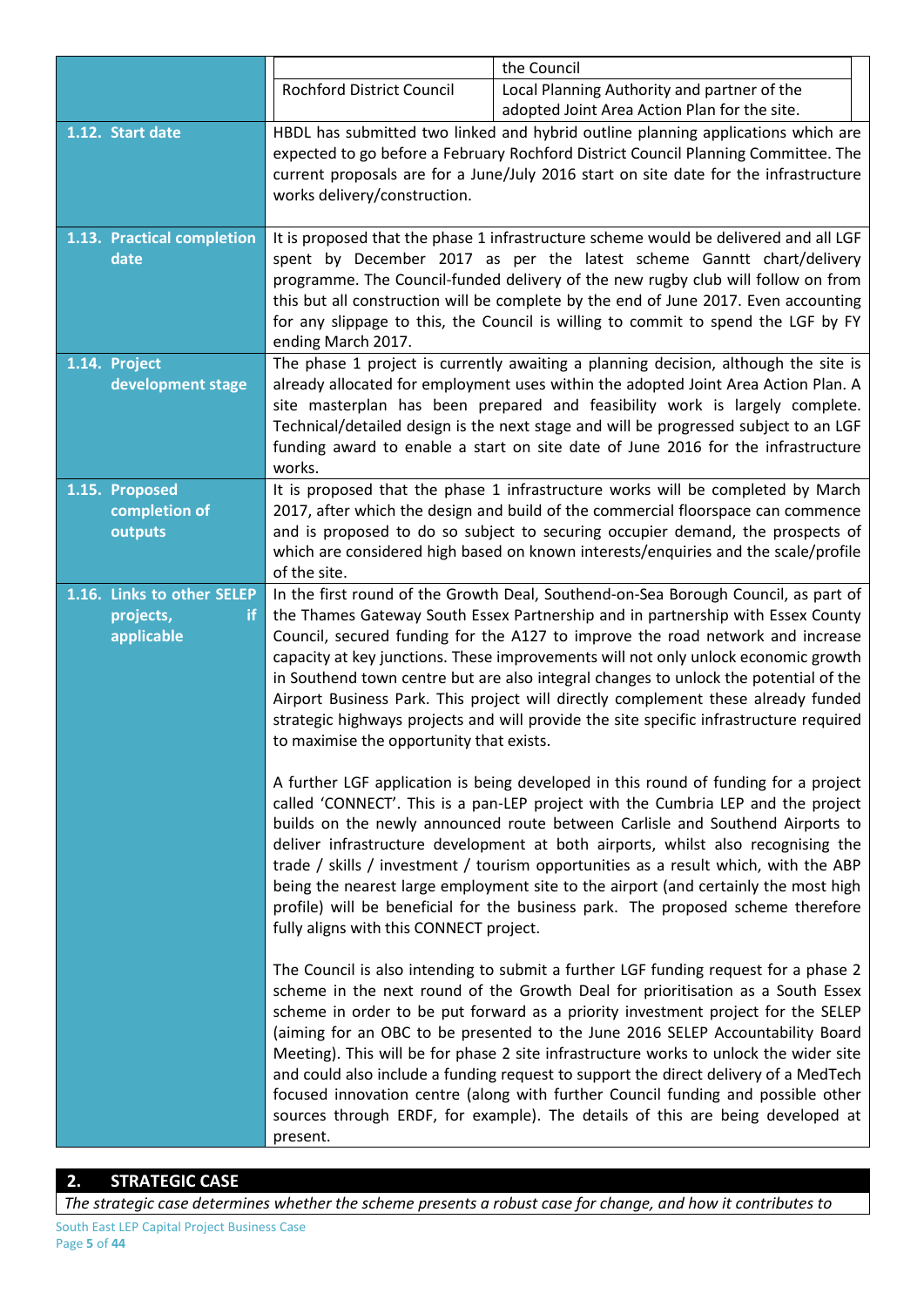|                                |                                                                                                                                                                                                                                                                                                | the Council                                                                                                                                                                                                                                                                                                                                                                                                                                                                                                                                                                                                                                                                                         |  |
|--------------------------------|------------------------------------------------------------------------------------------------------------------------------------------------------------------------------------------------------------------------------------------------------------------------------------------------|-----------------------------------------------------------------------------------------------------------------------------------------------------------------------------------------------------------------------------------------------------------------------------------------------------------------------------------------------------------------------------------------------------------------------------------------------------------------------------------------------------------------------------------------------------------------------------------------------------------------------------------------------------------------------------------------------------|--|
|                                | Rochford District Council                                                                                                                                                                                                                                                                      | Local Planning Authority and partner of the                                                                                                                                                                                                                                                                                                                                                                                                                                                                                                                                                                                                                                                         |  |
|                                |                                                                                                                                                                                                                                                                                                | adopted Joint Area Action Plan for the site.                                                                                                                                                                                                                                                                                                                                                                                                                                                                                                                                                                                                                                                        |  |
| 1.12. Start date               | HBDL has submitted two linked and hybrid outline planning applications which are<br>expected to go before a February Rochford District Council Planning Committee. The<br>current proposals are for a June/July 2016 start on site date for the infrastructure<br>works delivery/construction. |                                                                                                                                                                                                                                                                                                                                                                                                                                                                                                                                                                                                                                                                                                     |  |
| 1.13. Practical completion     |                                                                                                                                                                                                                                                                                                | It is proposed that the phase 1 infrastructure scheme would be delivered and all LGF                                                                                                                                                                                                                                                                                                                                                                                                                                                                                                                                                                                                                |  |
| date                           |                                                                                                                                                                                                                                                                                                | spent by December 2017 as per the latest scheme Ganntt chart/delivery                                                                                                                                                                                                                                                                                                                                                                                                                                                                                                                                                                                                                               |  |
|                                |                                                                                                                                                                                                                                                                                                | programme. The Council-funded delivery of the new rugby club will follow on from                                                                                                                                                                                                                                                                                                                                                                                                                                                                                                                                                                                                                    |  |
|                                |                                                                                                                                                                                                                                                                                                | this but all construction will be complete by the end of June 2017. Even accounting                                                                                                                                                                                                                                                                                                                                                                                                                                                                                                                                                                                                                 |  |
|                                |                                                                                                                                                                                                                                                                                                | for any slippage to this, the Council is willing to commit to spend the LGF by FY                                                                                                                                                                                                                                                                                                                                                                                                                                                                                                                                                                                                                   |  |
| 1.14. Project                  | ending March 2017.                                                                                                                                                                                                                                                                             | The phase 1 project is currently awaiting a planning decision, although the site is                                                                                                                                                                                                                                                                                                                                                                                                                                                                                                                                                                                                                 |  |
| development stage              | works.                                                                                                                                                                                                                                                                                         | already allocated for employment uses within the adopted Joint Area Action Plan. A<br>site masterplan has been prepared and feasibility work is largely complete.<br>Technical/detailed design is the next stage and will be progressed subject to an LGF<br>funding award to enable a start on site date of June 2016 for the infrastructure                                                                                                                                                                                                                                                                                                                                                       |  |
| 1.15. Proposed                 |                                                                                                                                                                                                                                                                                                | It is proposed that the phase 1 infrastructure works will be completed by March                                                                                                                                                                                                                                                                                                                                                                                                                                                                                                                                                                                                                     |  |
| completion of                  |                                                                                                                                                                                                                                                                                                | 2017, after which the design and build of the commercial floorspace can commence                                                                                                                                                                                                                                                                                                                                                                                                                                                                                                                                                                                                                    |  |
| outputs                        |                                                                                                                                                                                                                                                                                                | and is proposed to do so subject to securing occupier demand, the prospects of                                                                                                                                                                                                                                                                                                                                                                                                                                                                                                                                                                                                                      |  |
|                                | of the site.                                                                                                                                                                                                                                                                                   | which are considered high based on known interests/enquiries and the scale/profile                                                                                                                                                                                                                                                                                                                                                                                                                                                                                                                                                                                                                  |  |
| 1.16. Links to other SELEP     |                                                                                                                                                                                                                                                                                                | In the first round of the Growth Deal, Southend-on-Sea Borough Council, as part of                                                                                                                                                                                                                                                                                                                                                                                                                                                                                                                                                                                                                  |  |
| projects,<br>if.<br>applicable | to maximise the opportunity that exists.                                                                                                                                                                                                                                                       | the Thames Gateway South Essex Partnership and in partnership with Essex County<br>Council, secured funding for the A127 to improve the road network and increase<br>capacity at key junctions. These improvements will not only unlock economic growth<br>in Southend town centre but are also integral changes to unlock the potential of the<br>Airport Business Park. This project will directly complement these already funded<br>strategic highways projects and will provide the site specific infrastructure required                                                                                                                                                                      |  |
|                                | fully aligns with this CONNECT project.                                                                                                                                                                                                                                                        | A further LGF application is being developed in this round of funding for a project<br>called 'CONNECT'. This is a pan-LEP project with the Cumbria LEP and the project<br>builds on the newly announced route between Carlisle and Southend Airports to<br>deliver infrastructure development at both airports, whilst also recognising the<br>trade / skills / investment / tourism opportunities as a result which, with the ABP<br>being the nearest large employment site to the airport (and certainly the most high<br>profile) will be beneficial for the business park. The proposed scheme therefore                                                                                      |  |
|                                | present.                                                                                                                                                                                                                                                                                       | The Council is also intending to submit a further LGF funding request for a phase 2<br>scheme in the next round of the Growth Deal for prioritisation as a South Essex<br>scheme in order to be put forward as a priority investment project for the SELEP<br>(aiming for an OBC to be presented to the June 2016 SELEP Accountability Board<br>Meeting). This will be for phase 2 site infrastructure works to unlock the wider site<br>and could also include a funding request to support the direct delivery of a MedTech<br>focused innovation centre (along with further Council funding and possible other<br>sources through ERDF, for example). The details of this are being developed at |  |

*The strategic case determines whether the scheme presents a robust case for change, and how it contributes to*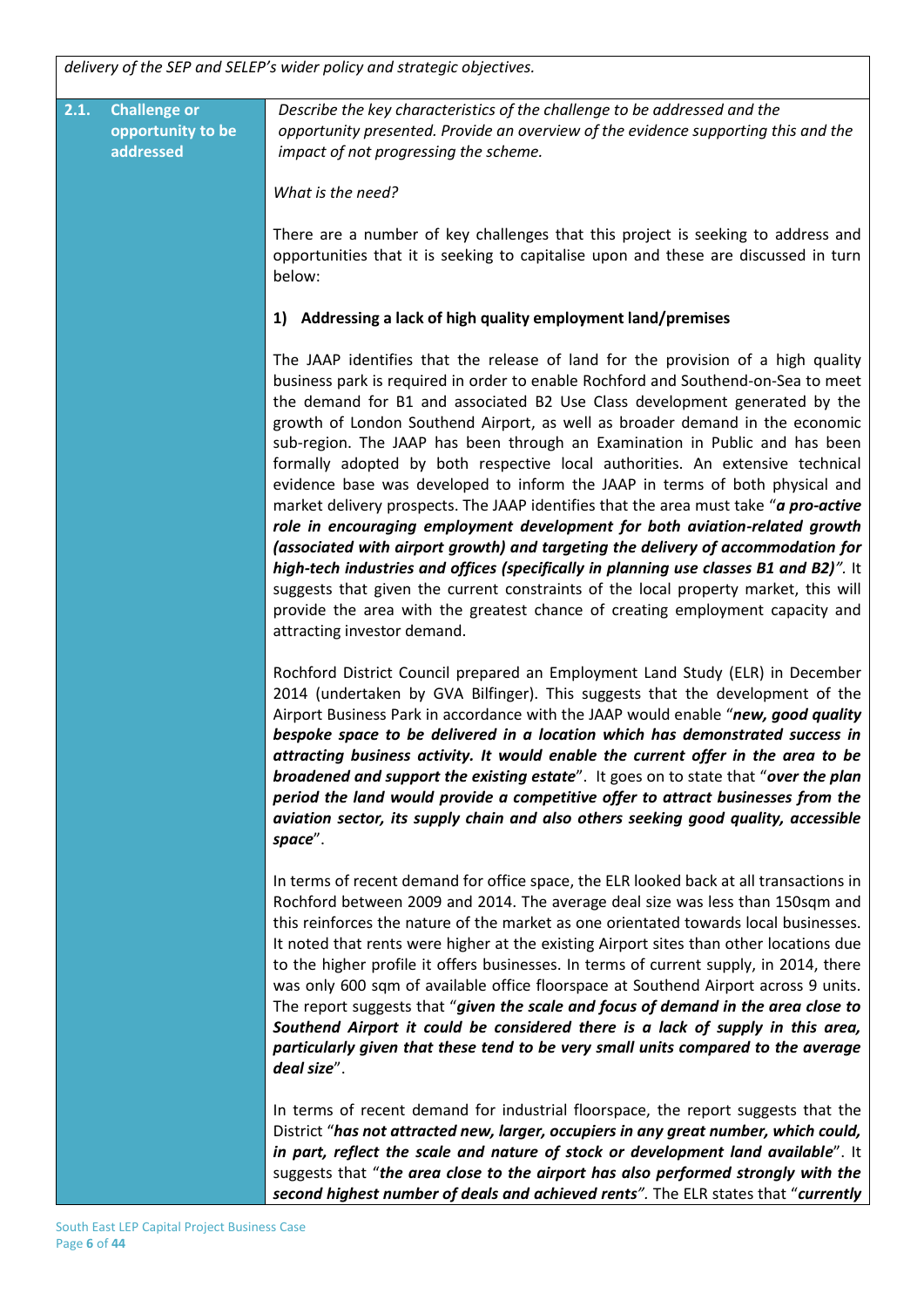*delivery of the SEP and SELEP's wider policy and strategic objectives.* 

**2.1. Challenge or opportunity to be addressed** *Describe the key characteristics of the challenge to be addressed and the opportunity presented. Provide an overview of the evidence supporting this and the impact of not progressing the scheme. What is the need?* There are a number of key challenges that this project is seeking to address and opportunities that it is seeking to capitalise upon and these are discussed in turn below: **1) Addressing a lack of high quality employment land/premises** The JAAP identifies that the release of land for the provision of a high quality business park is required in order to enable Rochford and Southend-on-Sea to meet the demand for B1 and associated B2 Use Class development generated by the growth of London Southend Airport, as well as broader demand in the economic sub-region. The JAAP has been through an Examination in Public and has been formally adopted by both respective local authorities. An extensive technical evidence base was developed to inform the JAAP in terms of both physical and market delivery prospects. The JAAP identifies that the area must take "*a pro-active role in encouraging employment development for both aviation-related growth (associated with airport growth) and targeting the delivery of accommodation for high-tech industries and offices (specifically in planning use classes B1 and B2)".* It suggests that given the current constraints of the local property market, this will provide the area with the greatest chance of creating employment capacity and attracting investor demand. Rochford District Council prepared an Employment Land Study (ELR) in December 2014 (undertaken by GVA Bilfinger). This suggests that the development of the Airport Business Park in accordance with the JAAP would enable "*new, good quality bespoke space to be delivered in a location which has demonstrated success in attracting business activity. It would enable the current offer in the area to be broadened and support the existing estate*". It goes on to state that "*over the plan period the land would provide a competitive offer to attract businesses from the aviation sector, its supply chain and also others seeking good quality, accessible space*". In terms of recent demand for office space, the ELR looked back at all transactions in Rochford between 2009 and 2014. The average deal size was less than 150sqm and this reinforces the nature of the market as one orientated towards local businesses. It noted that rents were higher at the existing Airport sites than other locations due to the higher profile it offers businesses. In terms of current supply, in 2014, there was only 600 sqm of available office floorspace at Southend Airport across 9 units. The report suggests that "*given the scale and focus of demand in the area close to Southend Airport it could be considered there is a lack of supply in this area, particularly given that these tend to be very small units compared to the average deal size*". In terms of recent demand for industrial floorspace, the report suggests that the District "*has not attracted new, larger, occupiers in any great number, which could, in part, reflect the scale and nature of stock or development land available*". It suggests that "*the area close to the airport has also performed strongly with the* 

*second highest number of deals and achieved rents".* The ELR states that "*currently*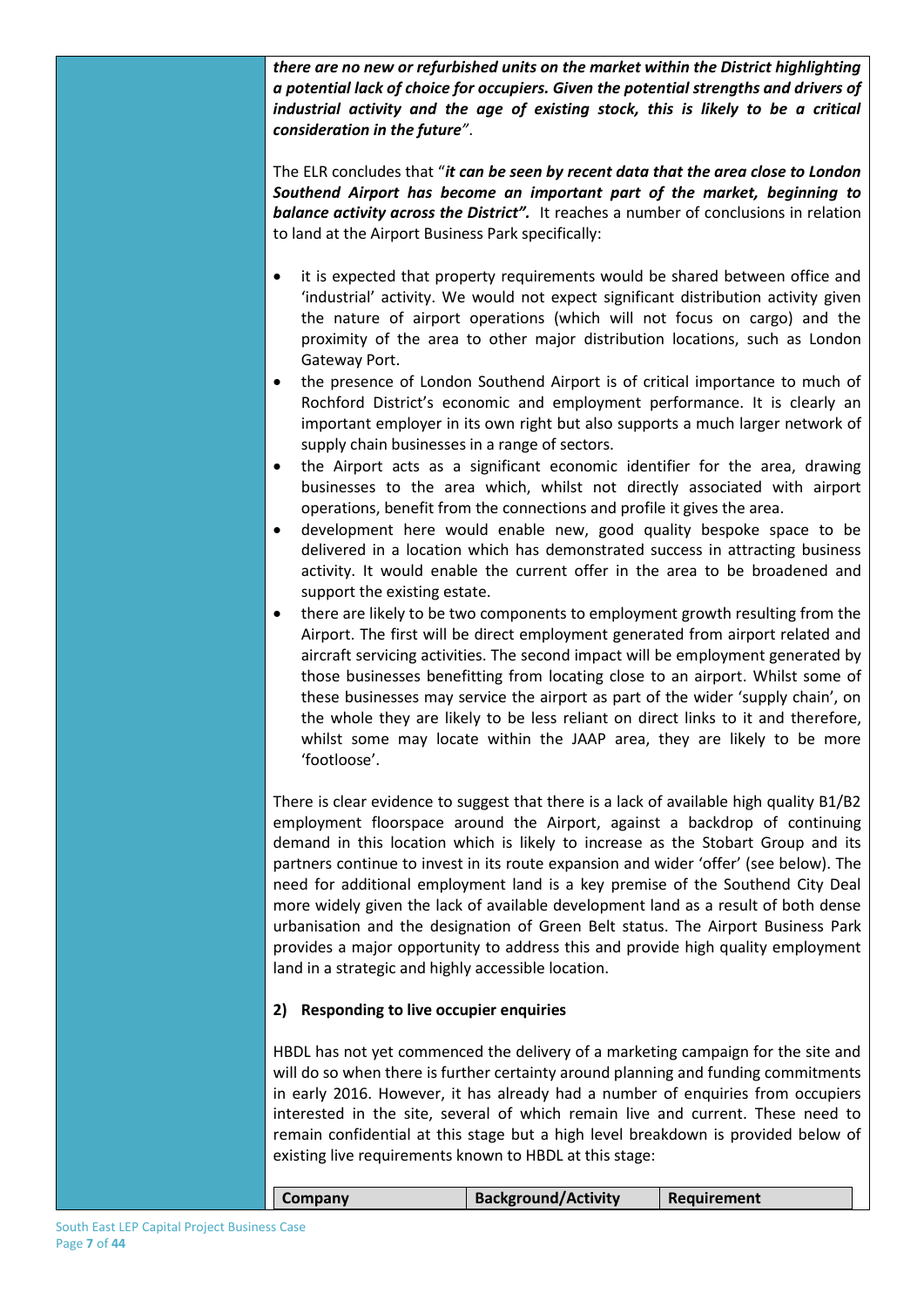*there are no new or refurbished units on the market within the District highlighting a potential lack of choice for occupiers. Given the potential strengths and drivers of industrial activity and the age of existing stock, this is likely to be a critical consideration in the future"*.

The ELR concludes that "*it can be seen by recent data that the area close to London Southend Airport has become an important part of the market, beginning to balance activity across the District".* It reaches a number of conclusions in relation to land at the Airport Business Park specifically:

- it is expected that property requirements would be shared between office and 'industrial' activity. We would not expect significant distribution activity given the nature of airport operations (which will not focus on cargo) and the proximity of the area to other major distribution locations, such as London Gateway Port.
- the presence of London Southend Airport is of critical importance to much of Rochford District's economic and employment performance. It is clearly an important employer in its own right but also supports a much larger network of supply chain businesses in a range of sectors.
- the Airport acts as a significant economic identifier for the area, drawing businesses to the area which, whilst not directly associated with airport operations, benefit from the connections and profile it gives the area.
- development here would enable new, good quality bespoke space to be delivered in a location which has demonstrated success in attracting business activity. It would enable the current offer in the area to be broadened and support the existing estate.
- there are likely to be two components to employment growth resulting from the Airport. The first will be direct employment generated from airport related and aircraft servicing activities. The second impact will be employment generated by those businesses benefitting from locating close to an airport. Whilst some of these businesses may service the airport as part of the wider 'supply chain', on the whole they are likely to be less reliant on direct links to it and therefore, whilst some may locate within the JAAP area, they are likely to be more 'footloose'.

There is clear evidence to suggest that there is a lack of available high quality B1/B2 employment floorspace around the Airport, against a backdrop of continuing demand in this location which is likely to increase as the Stobart Group and its partners continue to invest in its route expansion and wider 'offer' (see below). The need for additional employment land is a key premise of the Southend City Deal more widely given the lack of available development land as a result of both dense urbanisation and the designation of Green Belt status. The Airport Business Park provides a major opportunity to address this and provide high quality employment land in a strategic and highly accessible location.

#### **2) Responding to live occupier enquiries**

HBDL has not yet commenced the delivery of a marketing campaign for the site and will do so when there is further certainty around planning and funding commitments in early 2016. However, it has already had a number of enquiries from occupiers interested in the site, several of which remain live and current. These need to remain confidential at this stage but a high level breakdown is provided below of existing live requirements known to HBDL at this stage:

| <b>Company</b> | <b>Background/Activity</b> | Requirement |
|----------------|----------------------------|-------------|
|                |                            |             |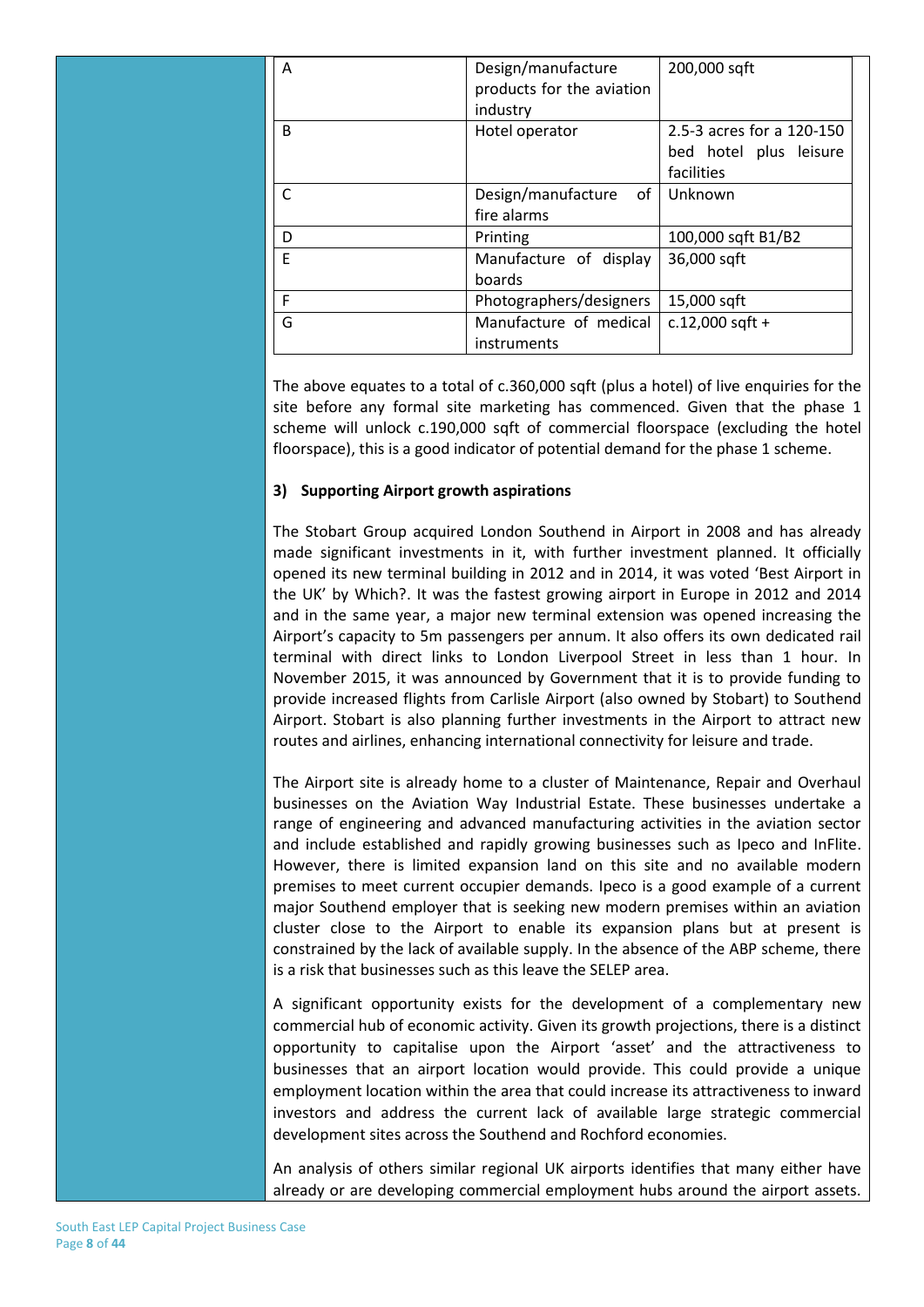| A            | Design/manufacture                    | 200,000 sqft              |
|--------------|---------------------------------------|---------------------------|
|              | products for the aviation             |                           |
|              | industry                              |                           |
| <sub>B</sub> | Hotel operator                        | 2.5-3 acres for a 120-150 |
|              |                                       | bed hotel plus leisure    |
|              |                                       | facilities                |
|              | Design/manufacture<br>of <sub>1</sub> | Unknown                   |
|              | fire alarms                           |                           |
| D            | Printing                              | 100,000 sqft B1/B2        |
| F            | Manufacture of display                | 36,000 sqft               |
|              | boards                                |                           |
| F            | Photographers/designers               | 15,000 sqft               |
| G            | Manufacture of medical                | $c.12,000$ sqft +         |
|              | instruments                           |                           |

The above equates to a total of c.360,000 sqft (plus a hotel) of live enquiries for the site before any formal site marketing has commenced. Given that the phase 1 scheme will unlock c.190,000 sqft of commercial floorspace (excluding the hotel floorspace), this is a good indicator of potential demand for the phase 1 scheme.

#### **3) Supporting Airport growth aspirations**

The Stobart Group acquired London Southend in Airport in 2008 and has already made significant investments in it, with further investment planned. It officially opened its new terminal building in 2012 and in 2014, it was voted 'Best Airport in the UK' by Which?. It was the fastest growing airport in Europe in 2012 and 2014 and in the same year, a major new terminal extension was opened increasing the Airport's capacity to 5m passengers per annum. It also offers its own dedicated rail terminal with direct links to London Liverpool Street in less than 1 hour. In November 2015, it was announced by Government that it is to provide funding to provide increased flights from Carlisle Airport (also owned by Stobart) to Southend Airport. Stobart is also planning further investments in the Airport to attract new routes and airlines, enhancing international connectivity for leisure and trade.

The Airport site is already home to a cluster of Maintenance, Repair and Overhaul businesses on the Aviation Way Industrial Estate. These businesses undertake a range of engineering and advanced manufacturing activities in the aviation sector and include established and rapidly growing businesses such as Ipeco and InFlite. However, there is limited expansion land on this site and no available modern premises to meet current occupier demands. Ipeco is a good example of a current major Southend employer that is seeking new modern premises within an aviation cluster close to the Airport to enable its expansion plans but at present is constrained by the lack of available supply. In the absence of the ABP scheme, there is a risk that businesses such as this leave the SELEP area.

A significant opportunity exists for the development of a complementary new commercial hub of economic activity. Given its growth projections, there is a distinct opportunity to capitalise upon the Airport 'asset' and the attractiveness to businesses that an airport location would provide. This could provide a unique employment location within the area that could increase its attractiveness to inward investors and address the current lack of available large strategic commercial development sites across the Southend and Rochford economies.

An analysis of others similar regional UK airports identifies that many either have already or are developing commercial employment hubs around the airport assets.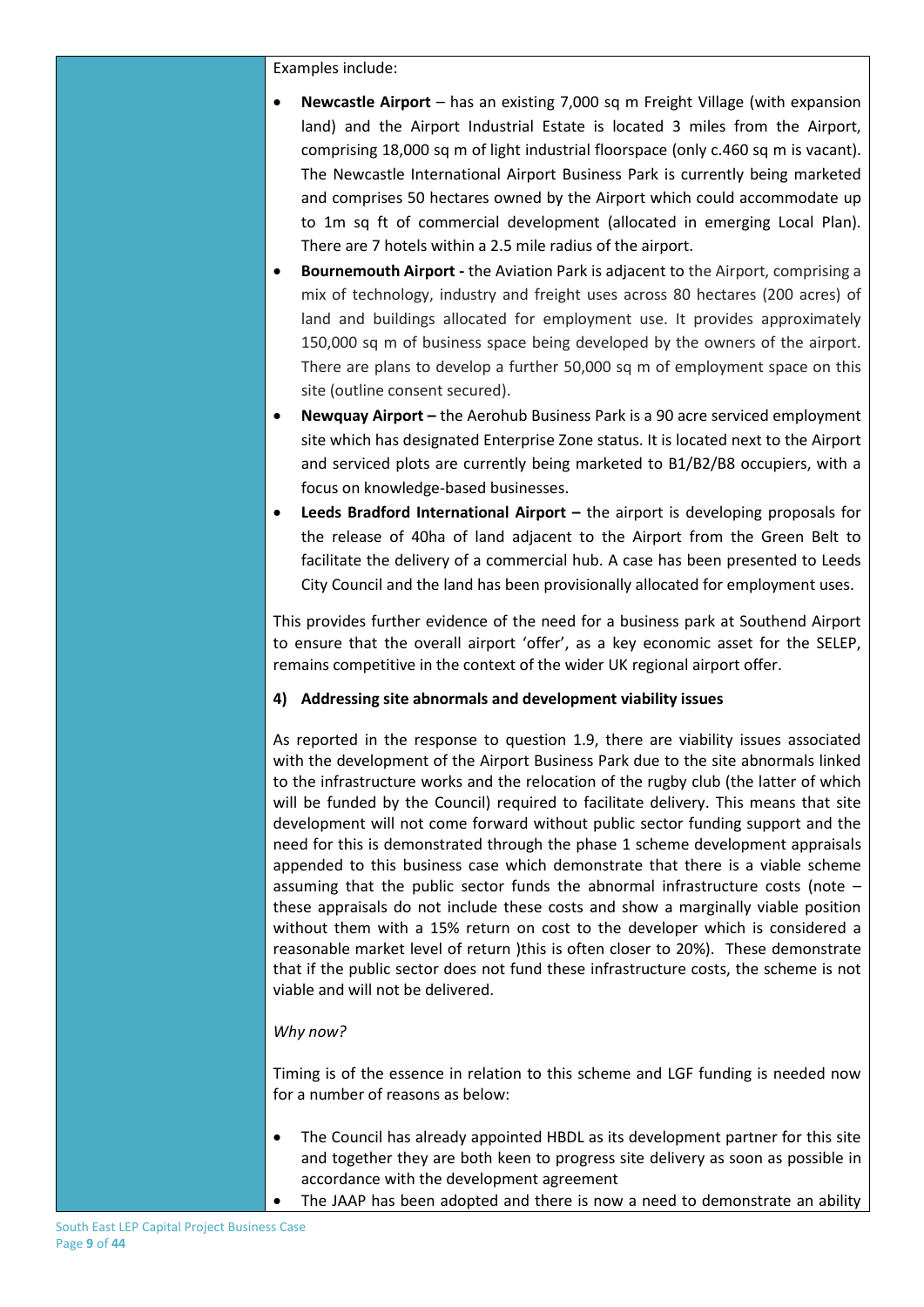Examples include:

- **Newcastle Airport** has an existing 7,000 sq m Freight Village (with expansion land) and the Airport Industrial Estate is located 3 miles from the Airport, comprising 18,000 sq m of light industrial floorspace (only c.460 sq m is vacant). The Newcastle International Airport Business Park is currently being marketed and comprises 50 hectares owned by the Airport which could accommodate up to 1m sq ft of commercial development (allocated in emerging Local Plan). There are 7 hotels within a 2.5 mile radius of the airport.
- **Bournemouth Airport -** the Aviation Park is adjacent to the Airport, comprising a mix of technology, industry and freight uses across 80 hectares (200 acres) of land and buildings allocated for employment use. It provides approximately 150,000 sq m of business space being developed by the owners of the airport. There are plans to develop a further 50,000 sq m of employment space on this site (outline consent secured).
- **Newquay Airport –** the Aerohub Business Park is a 90 acre serviced employment site which has designated Enterprise Zone status. It is located next to the Airport and serviced plots are currently being marketed to B1/B2/B8 occupiers, with a focus on knowledge-based businesses.
- **Leeds Bradford International Airport –** the airport is developing proposals for the release of 40ha of land adjacent to the Airport from the Green Belt to facilitate the delivery of a commercial hub. A case has been presented to Leeds City Council and the land has been provisionally allocated for employment uses.

This provides further evidence of the need for a business park at Southend Airport to ensure that the overall airport 'offer', as a key economic asset for the SELEP, remains competitive in the context of the wider UK regional airport offer.

### **4) Addressing site abnormals and development viability issues**

As reported in the response to question 1.9, there are viability issues associated with the development of the Airport Business Park due to the site abnormals linked to the infrastructure works and the relocation of the rugby club (the latter of which will be funded by the Council) required to facilitate delivery. This means that site development will not come forward without public sector funding support and the need for this is demonstrated through the phase 1 scheme development appraisals appended to this business case which demonstrate that there is a viable scheme assuming that the public sector funds the abnormal infrastructure costs (note – these appraisals do not include these costs and show a marginally viable position without them with a 15% return on cost to the developer which is considered a reasonable market level of return )this is often closer to 20%). These demonstrate that if the public sector does not fund these infrastructure costs, the scheme is not viable and will not be delivered.

### *Why now?*

Timing is of the essence in relation to this scheme and LGF funding is needed now for a number of reasons as below:

- The Council has already appointed HBDL as its development partner for this site and together they are both keen to progress site delivery as soon as possible in accordance with the development agreement
	- The JAAP has been adopted and there is now a need to demonstrate an ability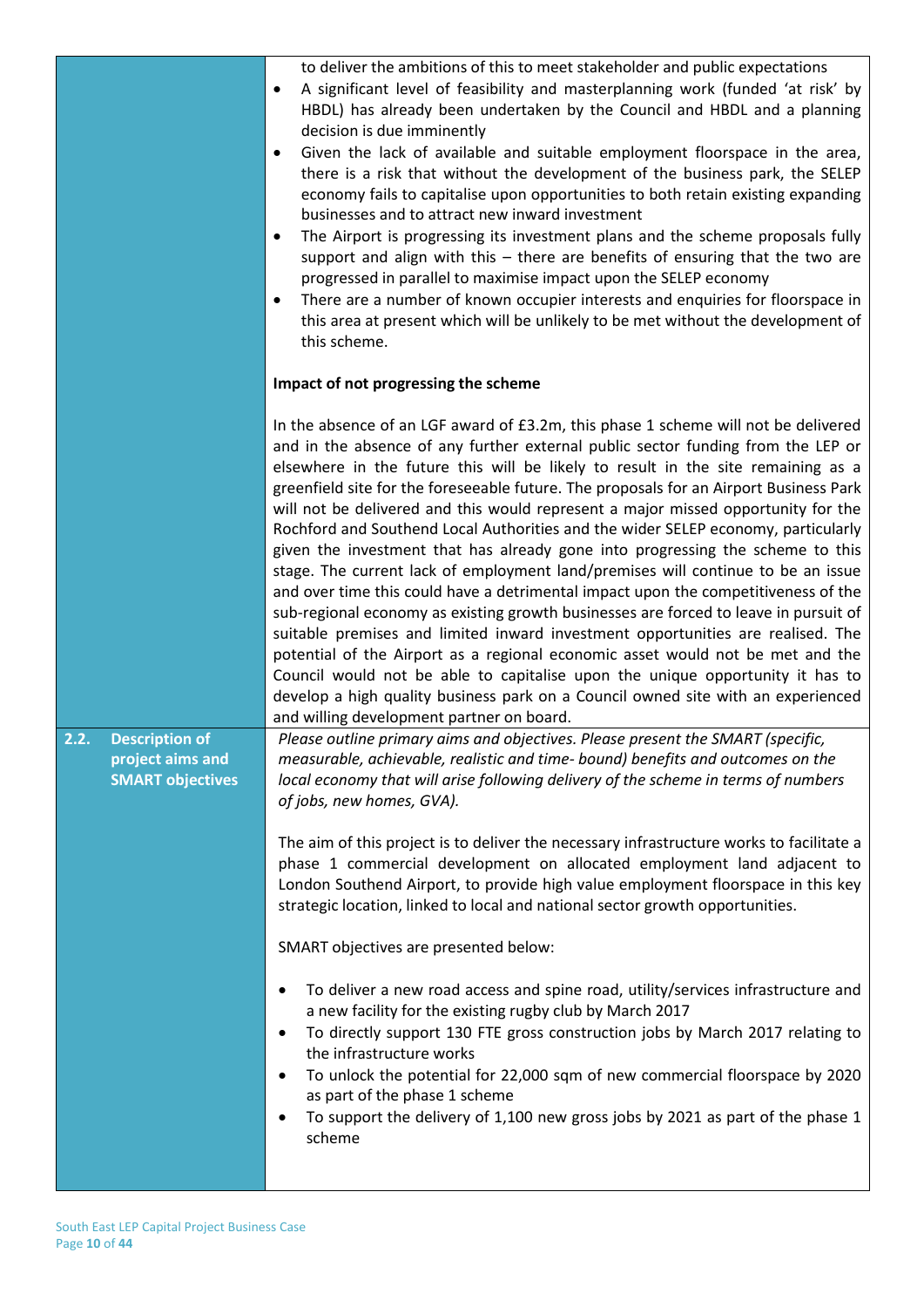|                                             | to deliver the ambitions of this to meet stakeholder and public expectations<br>A significant level of feasibility and masterplanning work (funded 'at risk' by<br>٠<br>HBDL) has already been undertaken by the Council and HBDL and a planning<br>decision is due imminently<br>Given the lack of available and suitable employment floorspace in the area,<br>٠<br>there is a risk that without the development of the business park, the SELEP<br>economy fails to capitalise upon opportunities to both retain existing expanding<br>businesses and to attract new inward investment<br>The Airport is progressing its investment plans and the scheme proposals fully<br>٠<br>support and align with this $-$ there are benefits of ensuring that the two are<br>progressed in parallel to maximise impact upon the SELEP economy<br>There are a number of known occupier interests and enquiries for floorspace in<br>٠<br>this area at present which will be unlikely to be met without the development of<br>this scheme.                                                                                                                                                                                                                                        |
|---------------------------------------------|---------------------------------------------------------------------------------------------------------------------------------------------------------------------------------------------------------------------------------------------------------------------------------------------------------------------------------------------------------------------------------------------------------------------------------------------------------------------------------------------------------------------------------------------------------------------------------------------------------------------------------------------------------------------------------------------------------------------------------------------------------------------------------------------------------------------------------------------------------------------------------------------------------------------------------------------------------------------------------------------------------------------------------------------------------------------------------------------------------------------------------------------------------------------------------------------------------------------------------------------------------------------------|
|                                             | Impact of not progressing the scheme                                                                                                                                                                                                                                                                                                                                                                                                                                                                                                                                                                                                                                                                                                                                                                                                                                                                                                                                                                                                                                                                                                                                                                                                                                      |
|                                             | In the absence of an LGF award of £3.2m, this phase 1 scheme will not be delivered<br>and in the absence of any further external public sector funding from the LEP or<br>elsewhere in the future this will be likely to result in the site remaining as a<br>greenfield site for the foreseeable future. The proposals for an Airport Business Park<br>will not be delivered and this would represent a major missed opportunity for the<br>Rochford and Southend Local Authorities and the wider SELEP economy, particularly<br>given the investment that has already gone into progressing the scheme to this<br>stage. The current lack of employment land/premises will continue to be an issue<br>and over time this could have a detrimental impact upon the competitiveness of the<br>sub-regional economy as existing growth businesses are forced to leave in pursuit of<br>suitable premises and limited inward investment opportunities are realised. The<br>potential of the Airport as a regional economic asset would not be met and the<br>Council would not be able to capitalise upon the unique opportunity it has to<br>develop a high quality business park on a Council owned site with an experienced<br>and willing development partner on board. |
| 2.2.<br><b>Description of</b>               | Please outline primary aims and objectives. Please present the SMART (specific,                                                                                                                                                                                                                                                                                                                                                                                                                                                                                                                                                                                                                                                                                                                                                                                                                                                                                                                                                                                                                                                                                                                                                                                           |
| project aims and<br><b>SMART objectives</b> | measurable, achievable, realistic and time- bound) benefits and outcomes on the<br>local economy that will arise following delivery of the scheme in terms of numbers<br>of jobs, new homes, GVA).                                                                                                                                                                                                                                                                                                                                                                                                                                                                                                                                                                                                                                                                                                                                                                                                                                                                                                                                                                                                                                                                        |
|                                             | The aim of this project is to deliver the necessary infrastructure works to facilitate a<br>phase 1 commercial development on allocated employment land adjacent to<br>London Southend Airport, to provide high value employment floorspace in this key<br>strategic location, linked to local and national sector growth opportunities.                                                                                                                                                                                                                                                                                                                                                                                                                                                                                                                                                                                                                                                                                                                                                                                                                                                                                                                                  |
|                                             | SMART objectives are presented below:                                                                                                                                                                                                                                                                                                                                                                                                                                                                                                                                                                                                                                                                                                                                                                                                                                                                                                                                                                                                                                                                                                                                                                                                                                     |
|                                             | To deliver a new road access and spine road, utility/services infrastructure and<br>a new facility for the existing rugby club by March 2017<br>To directly support 130 FTE gross construction jobs by March 2017 relating to<br>the infrastructure works<br>To unlock the potential for 22,000 sqm of new commercial floorspace by 2020<br>as part of the phase 1 scheme<br>To support the delivery of 1,100 new gross jobs by 2021 as part of the phase 1<br>scheme                                                                                                                                                                                                                                                                                                                                                                                                                                                                                                                                                                                                                                                                                                                                                                                                     |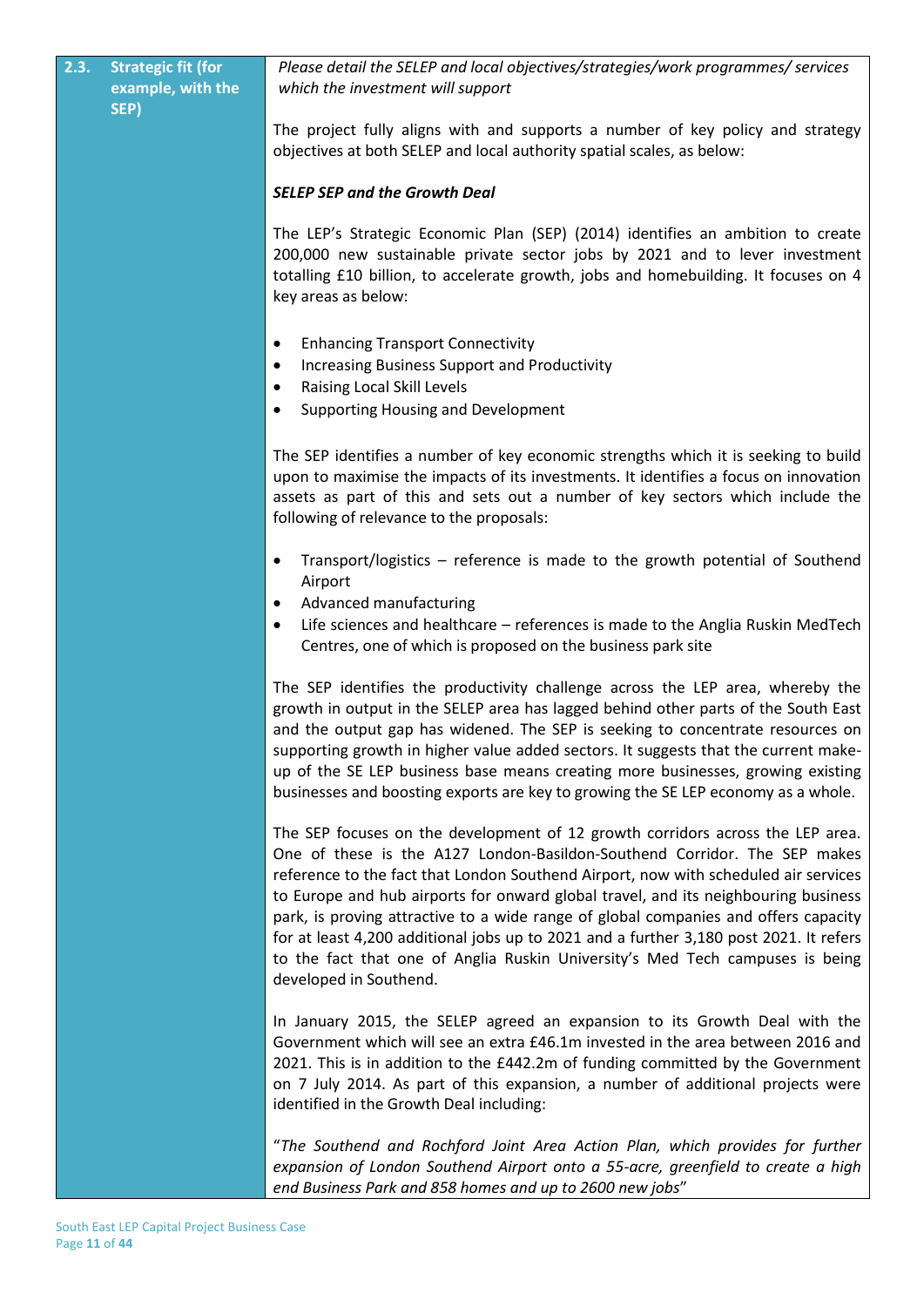| $2.\overline{3}$ . | <b>Strategic fit (for</b><br>example, with the<br>SEP) | Please detail the SELEP and local objectives/strategies/work programmes/ services<br>which the investment will support                                                                                                                                                                                                                                                                                                                                                                                                                                                                                                               |
|--------------------|--------------------------------------------------------|--------------------------------------------------------------------------------------------------------------------------------------------------------------------------------------------------------------------------------------------------------------------------------------------------------------------------------------------------------------------------------------------------------------------------------------------------------------------------------------------------------------------------------------------------------------------------------------------------------------------------------------|
|                    |                                                        | The project fully aligns with and supports a number of key policy and strategy<br>objectives at both SELEP and local authority spatial scales, as below:                                                                                                                                                                                                                                                                                                                                                                                                                                                                             |
|                    |                                                        | <b>SELEP SEP and the Growth Deal</b>                                                                                                                                                                                                                                                                                                                                                                                                                                                                                                                                                                                                 |
|                    |                                                        | The LEP's Strategic Economic Plan (SEP) (2014) identifies an ambition to create<br>200,000 new sustainable private sector jobs by 2021 and to lever investment<br>totalling £10 billion, to accelerate growth, jobs and homebuilding. It focuses on 4<br>key areas as below:                                                                                                                                                                                                                                                                                                                                                         |
|                    |                                                        | <b>Enhancing Transport Connectivity</b><br>$\bullet$<br><b>Increasing Business Support and Productivity</b><br>٠                                                                                                                                                                                                                                                                                                                                                                                                                                                                                                                     |
|                    |                                                        | Raising Local Skill Levels<br>$\bullet$<br><b>Supporting Housing and Development</b>                                                                                                                                                                                                                                                                                                                                                                                                                                                                                                                                                 |
|                    |                                                        | The SEP identifies a number of key economic strengths which it is seeking to build<br>upon to maximise the impacts of its investments. It identifies a focus on innovation<br>assets as part of this and sets out a number of key sectors which include the<br>following of relevance to the proposals:                                                                                                                                                                                                                                                                                                                              |
|                    |                                                        | Transport/logistics - reference is made to the growth potential of Southend<br>Airport                                                                                                                                                                                                                                                                                                                                                                                                                                                                                                                                               |
|                    |                                                        | Advanced manufacturing<br>$\bullet$<br>Life sciences and healthcare - references is made to the Anglia Ruskin MedTech<br>Centres, one of which is proposed on the business park site                                                                                                                                                                                                                                                                                                                                                                                                                                                 |
|                    |                                                        | The SEP identifies the productivity challenge across the LEP area, whereby the<br>growth in output in the SELEP area has lagged behind other parts of the South East<br>and the output gap has widened. The SEP is seeking to concentrate resources on<br>supporting growth in higher value added sectors. It suggests that the current make-<br>up of the SE LEP business base means creating more businesses, growing existing<br>businesses and boosting exports are key to growing the SE LEP economy as a whole.                                                                                                                |
|                    |                                                        | The SEP focuses on the development of 12 growth corridors across the LEP area.<br>One of these is the A127 London-Basildon-Southend Corridor. The SEP makes<br>reference to the fact that London Southend Airport, now with scheduled air services<br>to Europe and hub airports for onward global travel, and its neighbouring business<br>park, is proving attractive to a wide range of global companies and offers capacity<br>for at least 4,200 additional jobs up to 2021 and a further 3,180 post 2021. It refers<br>to the fact that one of Anglia Ruskin University's Med Tech campuses is being<br>developed in Southend. |
|                    |                                                        | In January 2015, the SELEP agreed an expansion to its Growth Deal with the<br>Government which will see an extra £46.1m invested in the area between 2016 and<br>2021. This is in addition to the £442.2m of funding committed by the Government<br>on 7 July 2014. As part of this expansion, a number of additional projects were<br>identified in the Growth Deal including:                                                                                                                                                                                                                                                      |
|                    |                                                        | "The Southend and Rochford Joint Area Action Plan, which provides for further<br>expansion of London Southend Airport onto a 55-acre, greenfield to create a high<br>end Business Park and 858 homes and up to 2600 new jobs"                                                                                                                                                                                                                                                                                                                                                                                                        |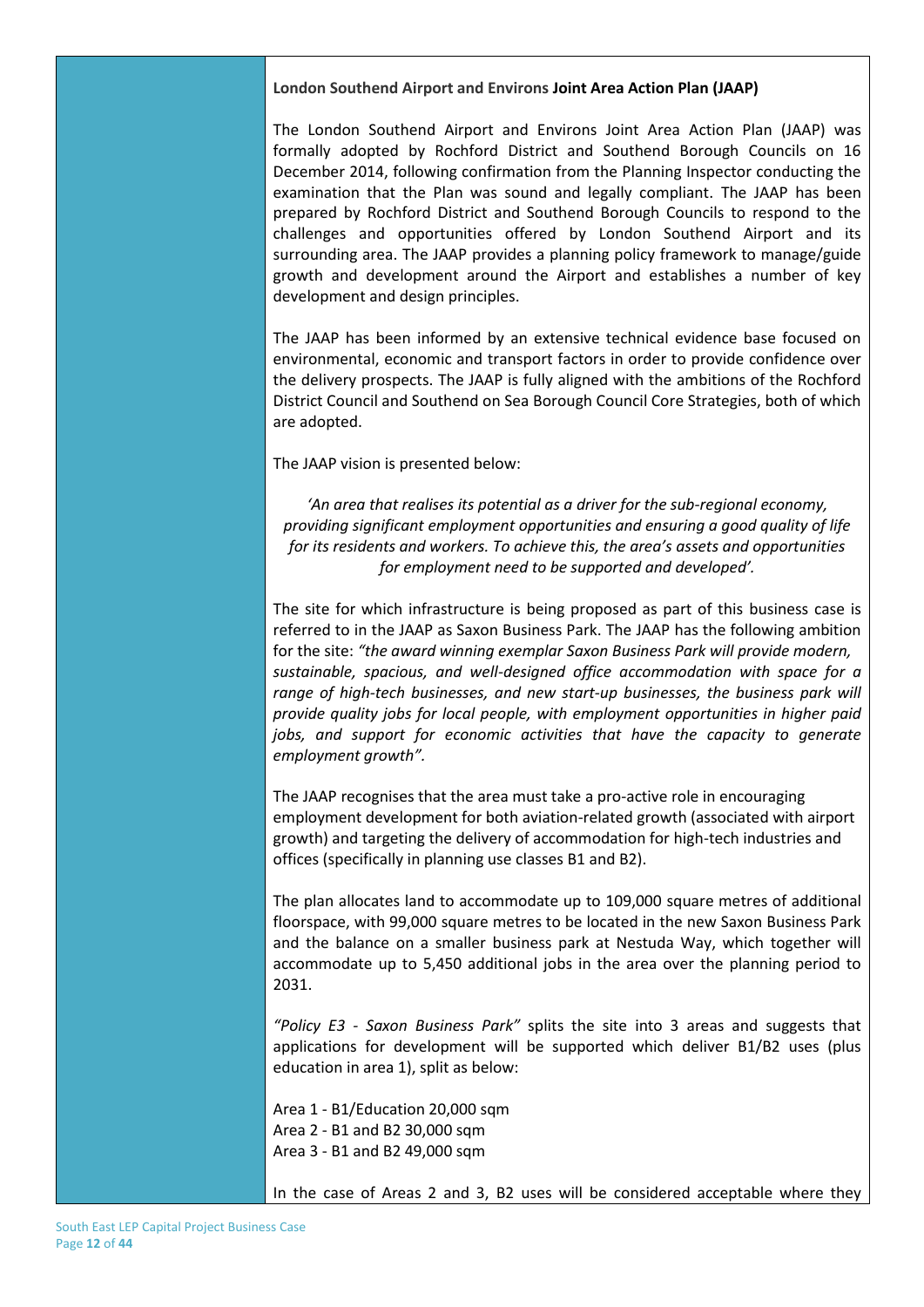#### **London Southend Airport and Environs Joint Area Action Plan (JAAP)**

The London Southend Airport and Environs Joint Area Action Plan (JAAP) was formally adopted by Rochford District and Southend Borough Councils on 16 December 2014, following confirmation from the Planning Inspector conducting the examination that the Plan was sound and legally compliant. The JAAP has been prepared by Rochford District and Southend Borough Councils to respond to the challenges and opportunities offered by London Southend Airport and its surrounding area. The JAAP provides a planning policy framework to manage/guide growth and development around the Airport and establishes a number of key development and design principles.

The JAAP has been informed by an extensive technical evidence base focused on environmental, economic and transport factors in order to provide confidence over the delivery prospects. The JAAP is fully aligned with the ambitions of the Rochford District Council and Southend on Sea Borough Council Core Strategies, both of which are adopted.

The JAAP vision is presented below:

*'An area that realises its potential as a driver for the sub-regional economy, providing significant employment opportunities and ensuring a good quality of life for its residents and workers. To achieve this, the area's assets and opportunities for employment need to be supported and developed'.*

The site for which infrastructure is being proposed as part of this business case is referred to in the JAAP as Saxon Business Park. The JAAP has the following ambition for the site: *"the award winning exemplar Saxon Business Park will provide modern, sustainable, spacious, and well-designed office accommodation with space for a range of high-tech businesses, and new start-up businesses, the business park will provide quality jobs for local people, with employment opportunities in higher paid jobs, and support for economic activities that have the capacity to generate employment growth".*

The JAAP recognises that the area must take a pro-active role in encouraging employment development for both aviation-related growth (associated with airport growth) and targeting the delivery of accommodation for high-tech industries and offices (specifically in planning use classes B1 and B2).

The plan allocates land to accommodate up to 109,000 square metres of additional floorspace, with 99,000 square metres to be located in the new Saxon Business Park and the balance on a smaller business park at Nestuda Way, which together will accommodate up to 5,450 additional jobs in the area over the planning period to 2031.

*"Policy E3 - Saxon Business Park"* splits the site into 3 areas and suggests that applications for development will be supported which deliver B1/B2 uses (plus education in area 1), split as below:

Area 1 - B1/Education 20,000 sqm Area 2 - B1 and B2 30,000 sqm Area 3 - B1 and B2 49,000 sqm

In the case of Areas 2 and 3, B2 uses will be considered acceptable where they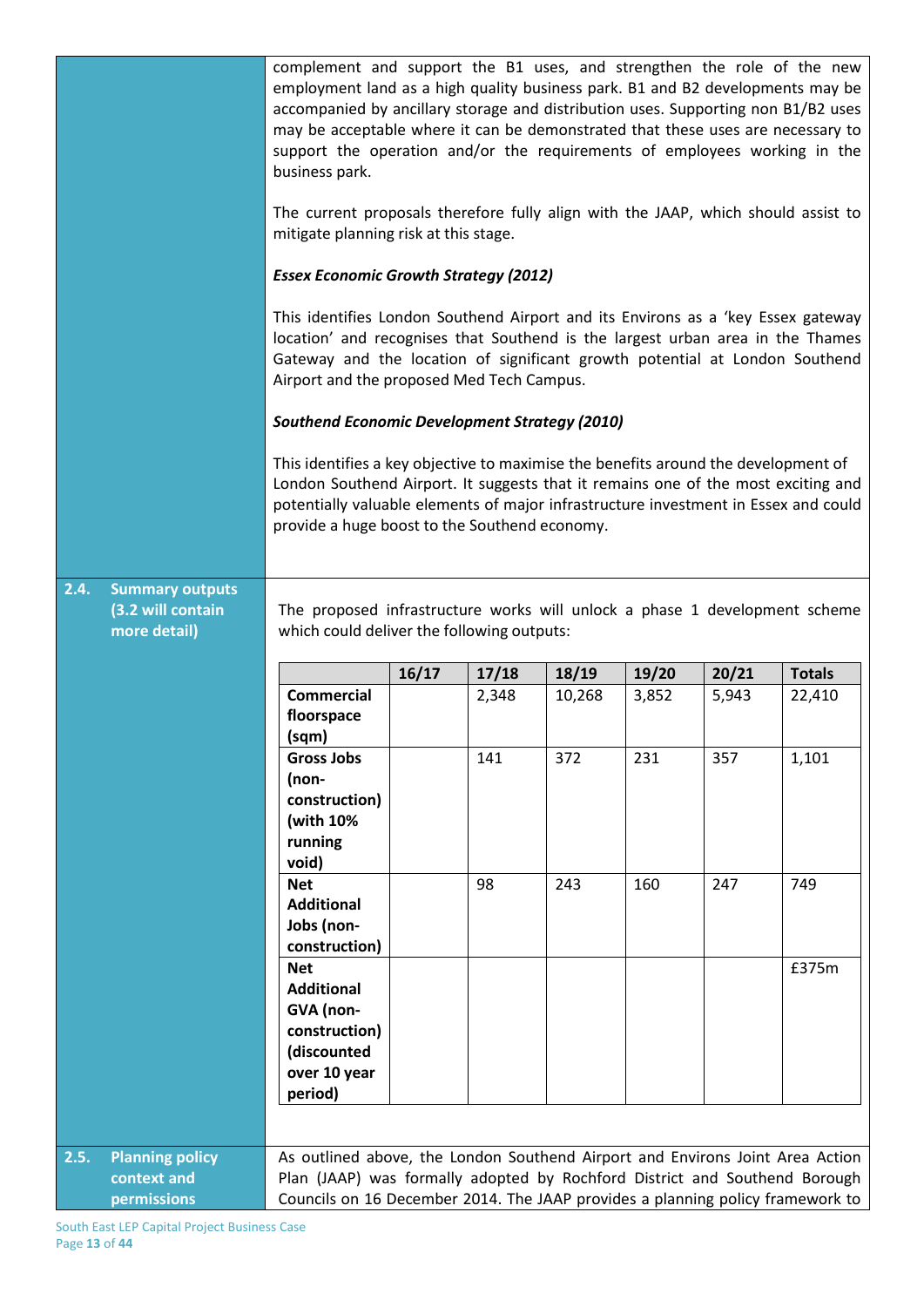|      |                                                             | complement and support the B1 uses, and strengthen the role of the new<br>employment land as a high quality business park. B1 and B2 developments may be<br>accompanied by ancillary storage and distribution uses. Supporting non B1/B2 uses<br>may be acceptable where it can be demonstrated that these uses are necessary to<br>support the operation and/or the requirements of employees working in the<br>business park.<br>The current proposals therefore fully align with the JAAP, which should assist to<br>mitigate planning risk at this stage.<br><b>Essex Economic Growth Strategy (2012)</b><br>This identifies London Southend Airport and its Environs as a 'key Essex gateway<br>location' and recognises that Southend is the largest urban area in the Thames<br>Gateway and the location of significant growth potential at London Southend<br>Airport and the proposed Med Tech Campus.<br><b>Southend Economic Development Strategy (2010)</b><br>This identifies a key objective to maximise the benefits around the development of<br>London Southend Airport. It suggests that it remains one of the most exciting and<br>potentially valuable elements of major infrastructure investment in Essex and could<br>provide a huge boost to the Southend economy. |       |       |        |       |       |               |
|------|-------------------------------------------------------------|--------------------------------------------------------------------------------------------------------------------------------------------------------------------------------------------------------------------------------------------------------------------------------------------------------------------------------------------------------------------------------------------------------------------------------------------------------------------------------------------------------------------------------------------------------------------------------------------------------------------------------------------------------------------------------------------------------------------------------------------------------------------------------------------------------------------------------------------------------------------------------------------------------------------------------------------------------------------------------------------------------------------------------------------------------------------------------------------------------------------------------------------------------------------------------------------------------------------------------------------------------------------------------------------|-------|-------|--------|-------|-------|---------------|
| 2.4. | <b>Summary outputs</b><br>(3.2 will contain<br>more detail) | The proposed infrastructure works will unlock a phase 1 development scheme<br>which could deliver the following outputs:                                                                                                                                                                                                                                                                                                                                                                                                                                                                                                                                                                                                                                                                                                                                                                                                                                                                                                                                                                                                                                                                                                                                                                   |       |       |        |       |       |               |
|      |                                                             |                                                                                                                                                                                                                                                                                                                                                                                                                                                                                                                                                                                                                                                                                                                                                                                                                                                                                                                                                                                                                                                                                                                                                                                                                                                                                            |       |       |        |       |       |               |
|      |                                                             |                                                                                                                                                                                                                                                                                                                                                                                                                                                                                                                                                                                                                                                                                                                                                                                                                                                                                                                                                                                                                                                                                                                                                                                                                                                                                            |       |       |        |       |       |               |
|      |                                                             | <b>Commercial</b>                                                                                                                                                                                                                                                                                                                                                                                                                                                                                                                                                                                                                                                                                                                                                                                                                                                                                                                                                                                                                                                                                                                                                                                                                                                                          | 16/17 | 17/18 | 18/19  | 19/20 | 20/21 | <b>Totals</b> |
|      |                                                             | floorspace                                                                                                                                                                                                                                                                                                                                                                                                                                                                                                                                                                                                                                                                                                                                                                                                                                                                                                                                                                                                                                                                                                                                                                                                                                                                                 |       | 2,348 | 10,268 | 3,852 | 5,943 | 22,410        |
|      |                                                             | (sqm)                                                                                                                                                                                                                                                                                                                                                                                                                                                                                                                                                                                                                                                                                                                                                                                                                                                                                                                                                                                                                                                                                                                                                                                                                                                                                      |       |       |        |       |       |               |
|      |                                                             | <b>Gross Jobs</b>                                                                                                                                                                                                                                                                                                                                                                                                                                                                                                                                                                                                                                                                                                                                                                                                                                                                                                                                                                                                                                                                                                                                                                                                                                                                          |       | 141   | 372    | 231   | 357   | 1,101         |
|      |                                                             | (non-                                                                                                                                                                                                                                                                                                                                                                                                                                                                                                                                                                                                                                                                                                                                                                                                                                                                                                                                                                                                                                                                                                                                                                                                                                                                                      |       |       |        |       |       |               |
|      |                                                             | construction)                                                                                                                                                                                                                                                                                                                                                                                                                                                                                                                                                                                                                                                                                                                                                                                                                                                                                                                                                                                                                                                                                                                                                                                                                                                                              |       |       |        |       |       |               |
|      |                                                             | (with 10%                                                                                                                                                                                                                                                                                                                                                                                                                                                                                                                                                                                                                                                                                                                                                                                                                                                                                                                                                                                                                                                                                                                                                                                                                                                                                  |       |       |        |       |       |               |
|      |                                                             | running                                                                                                                                                                                                                                                                                                                                                                                                                                                                                                                                                                                                                                                                                                                                                                                                                                                                                                                                                                                                                                                                                                                                                                                                                                                                                    |       |       |        |       |       |               |
|      |                                                             | void)                                                                                                                                                                                                                                                                                                                                                                                                                                                                                                                                                                                                                                                                                                                                                                                                                                                                                                                                                                                                                                                                                                                                                                                                                                                                                      |       |       |        |       |       |               |
|      |                                                             | <b>Net</b>                                                                                                                                                                                                                                                                                                                                                                                                                                                                                                                                                                                                                                                                                                                                                                                                                                                                                                                                                                                                                                                                                                                                                                                                                                                                                 |       | 98    | 243    | 160   | 247   | 749           |
|      |                                                             | <b>Additional</b>                                                                                                                                                                                                                                                                                                                                                                                                                                                                                                                                                                                                                                                                                                                                                                                                                                                                                                                                                                                                                                                                                                                                                                                                                                                                          |       |       |        |       |       |               |
|      |                                                             | Jobs (non-<br>construction)                                                                                                                                                                                                                                                                                                                                                                                                                                                                                                                                                                                                                                                                                                                                                                                                                                                                                                                                                                                                                                                                                                                                                                                                                                                                |       |       |        |       |       |               |
|      |                                                             | <b>Net</b>                                                                                                                                                                                                                                                                                                                                                                                                                                                                                                                                                                                                                                                                                                                                                                                                                                                                                                                                                                                                                                                                                                                                                                                                                                                                                 |       |       |        |       |       | £375m         |
|      |                                                             | <b>Additional</b>                                                                                                                                                                                                                                                                                                                                                                                                                                                                                                                                                                                                                                                                                                                                                                                                                                                                                                                                                                                                                                                                                                                                                                                                                                                                          |       |       |        |       |       |               |
|      |                                                             | GVA (non-                                                                                                                                                                                                                                                                                                                                                                                                                                                                                                                                                                                                                                                                                                                                                                                                                                                                                                                                                                                                                                                                                                                                                                                                                                                                                  |       |       |        |       |       |               |
|      |                                                             | construction)                                                                                                                                                                                                                                                                                                                                                                                                                                                                                                                                                                                                                                                                                                                                                                                                                                                                                                                                                                                                                                                                                                                                                                                                                                                                              |       |       |        |       |       |               |
|      |                                                             | (discounted                                                                                                                                                                                                                                                                                                                                                                                                                                                                                                                                                                                                                                                                                                                                                                                                                                                                                                                                                                                                                                                                                                                                                                                                                                                                                |       |       |        |       |       |               |
|      |                                                             | over 10 year                                                                                                                                                                                                                                                                                                                                                                                                                                                                                                                                                                                                                                                                                                                                                                                                                                                                                                                                                                                                                                                                                                                                                                                                                                                                               |       |       |        |       |       |               |
|      |                                                             | period)                                                                                                                                                                                                                                                                                                                                                                                                                                                                                                                                                                                                                                                                                                                                                                                                                                                                                                                                                                                                                                                                                                                                                                                                                                                                                    |       |       |        |       |       |               |
|      |                                                             |                                                                                                                                                                                                                                                                                                                                                                                                                                                                                                                                                                                                                                                                                                                                                                                                                                                                                                                                                                                                                                                                                                                                                                                                                                                                                            |       |       |        |       |       |               |
| 2.5. | <b>Planning policy</b>                                      | As outlined above, the London Southend Airport and Environs Joint Area Action                                                                                                                                                                                                                                                                                                                                                                                                                                                                                                                                                                                                                                                                                                                                                                                                                                                                                                                                                                                                                                                                                                                                                                                                              |       |       |        |       |       |               |
|      | context and                                                 | Plan (JAAP) was formally adopted by Rochford District and Southend Borough                                                                                                                                                                                                                                                                                                                                                                                                                                                                                                                                                                                                                                                                                                                                                                                                                                                                                                                                                                                                                                                                                                                                                                                                                 |       |       |        |       |       |               |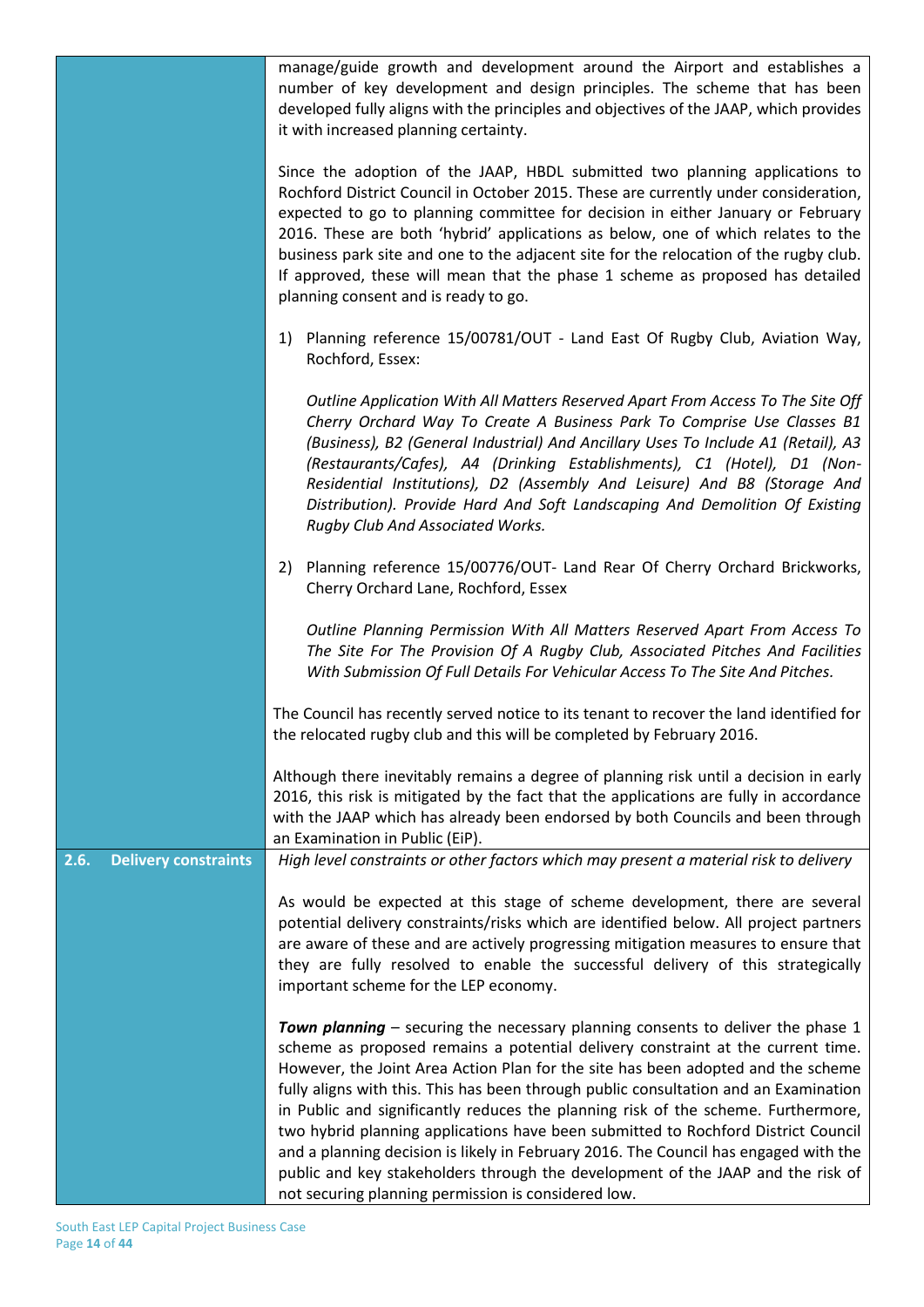|                                     | manage/guide growth and development around the Airport and establishes a<br>number of key development and design principles. The scheme that has been<br>developed fully aligns with the principles and objectives of the JAAP, which provides<br>it with increased planning certainty.                                                                                                                                                                                                                                                                                                                                                                                                                                                                    |
|-------------------------------------|------------------------------------------------------------------------------------------------------------------------------------------------------------------------------------------------------------------------------------------------------------------------------------------------------------------------------------------------------------------------------------------------------------------------------------------------------------------------------------------------------------------------------------------------------------------------------------------------------------------------------------------------------------------------------------------------------------------------------------------------------------|
|                                     | Since the adoption of the JAAP, HBDL submitted two planning applications to<br>Rochford District Council in October 2015. These are currently under consideration,<br>expected to go to planning committee for decision in either January or February<br>2016. These are both 'hybrid' applications as below, one of which relates to the<br>business park site and one to the adjacent site for the relocation of the rugby club.<br>If approved, these will mean that the phase 1 scheme as proposed has detailed<br>planning consent and is ready to go.                                                                                                                                                                                                |
|                                     | Planning reference 15/00781/OUT - Land East Of Rugby Club, Aviation Way,<br>1)<br>Rochford, Essex:                                                                                                                                                                                                                                                                                                                                                                                                                                                                                                                                                                                                                                                         |
|                                     | Outline Application With All Matters Reserved Apart From Access To The Site Off<br>Cherry Orchard Way To Create A Business Park To Comprise Use Classes B1<br>(Business), B2 (General Industrial) And Ancillary Uses To Include A1 (Retail), A3<br>(Restaurants/Cafes), A4 (Drinking Establishments), C1 (Hotel), D1 (Non-<br>Residential Institutions), D2 (Assembly And Leisure) And B8 (Storage And<br>Distribution). Provide Hard And Soft Landscaping And Demolition Of Existing<br>Rugby Club And Associated Works.                                                                                                                                                                                                                                  |
|                                     | 2) Planning reference 15/00776/OUT- Land Rear Of Cherry Orchard Brickworks,<br>Cherry Orchard Lane, Rochford, Essex                                                                                                                                                                                                                                                                                                                                                                                                                                                                                                                                                                                                                                        |
|                                     | Outline Planning Permission With All Matters Reserved Apart From Access To<br>The Site For The Provision Of A Rugby Club, Associated Pitches And Facilities<br>With Submission Of Full Details For Vehicular Access To The Site And Pitches.                                                                                                                                                                                                                                                                                                                                                                                                                                                                                                               |
|                                     | The Council has recently served notice to its tenant to recover the land identified for<br>the relocated rugby club and this will be completed by February 2016.                                                                                                                                                                                                                                                                                                                                                                                                                                                                                                                                                                                           |
|                                     | Although there inevitably remains a degree of planning risk until a decision in early<br>2016, this risk is mitigated by the fact that the applications are fully in accordance<br>with the JAAP which has already been endorsed by both Councils and been through<br>an Examination in Public (EiP).                                                                                                                                                                                                                                                                                                                                                                                                                                                      |
| 2.6.<br><b>Delivery constraints</b> | High level constraints or other factors which may present a material risk to delivery                                                                                                                                                                                                                                                                                                                                                                                                                                                                                                                                                                                                                                                                      |
|                                     | As would be expected at this stage of scheme development, there are several<br>potential delivery constraints/risks which are identified below. All project partners<br>are aware of these and are actively progressing mitigation measures to ensure that<br>they are fully resolved to enable the successful delivery of this strategically<br>important scheme for the LEP economy.                                                                                                                                                                                                                                                                                                                                                                     |
|                                     | Town planning - securing the necessary planning consents to deliver the phase 1<br>scheme as proposed remains a potential delivery constraint at the current time.<br>However, the Joint Area Action Plan for the site has been adopted and the scheme<br>fully aligns with this. This has been through public consultation and an Examination<br>in Public and significantly reduces the planning risk of the scheme. Furthermore,<br>two hybrid planning applications have been submitted to Rochford District Council<br>and a planning decision is likely in February 2016. The Council has engaged with the<br>public and key stakeholders through the development of the JAAP and the risk of<br>not securing planning permission is considered low. |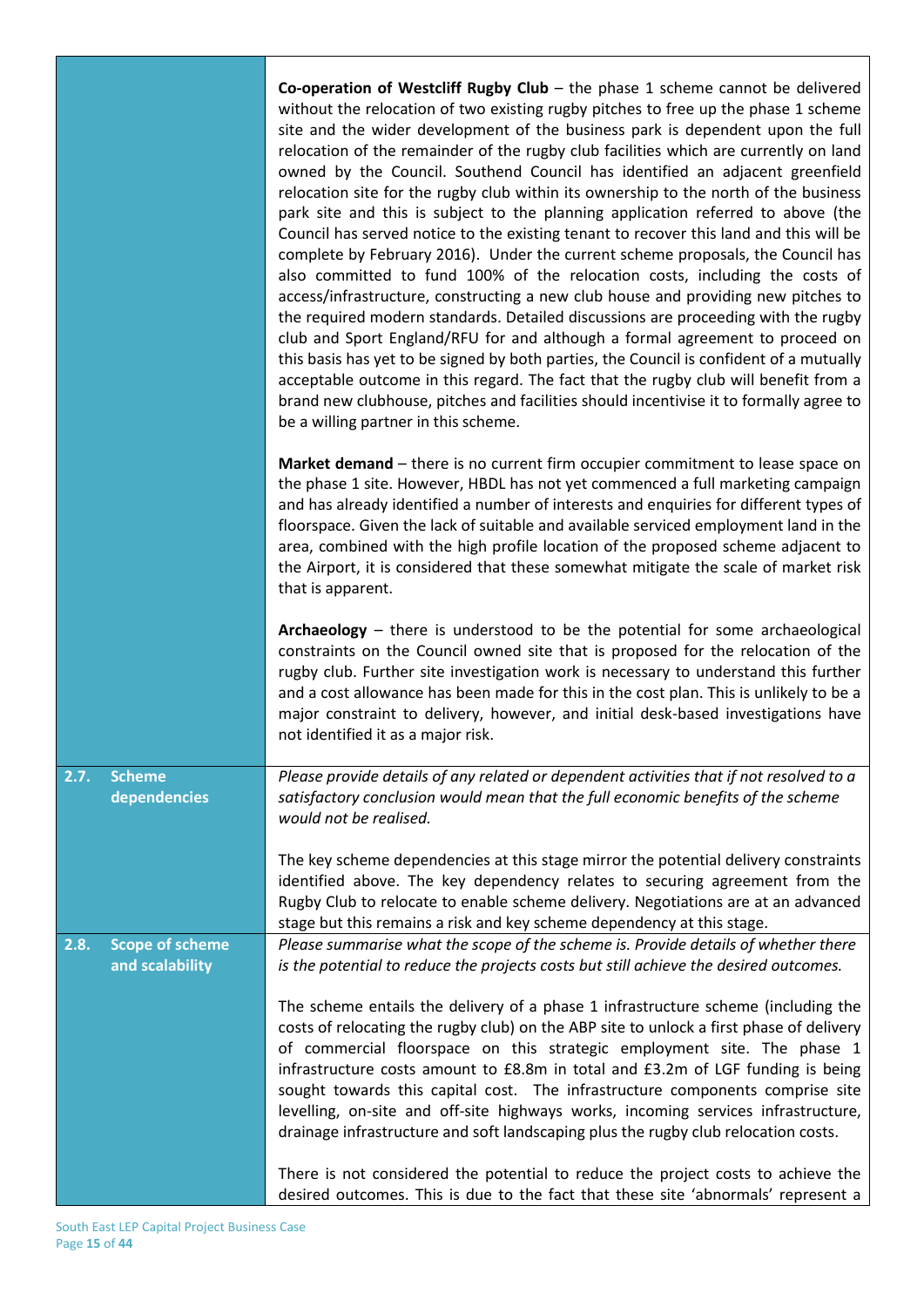|                                                   | Co-operation of Westcliff Rugby Club $-$ the phase 1 scheme cannot be delivered<br>without the relocation of two existing rugby pitches to free up the phase 1 scheme<br>site and the wider development of the business park is dependent upon the full<br>relocation of the remainder of the rugby club facilities which are currently on land<br>owned by the Council. Southend Council has identified an adjacent greenfield<br>relocation site for the rugby club within its ownership to the north of the business<br>park site and this is subject to the planning application referred to above (the<br>Council has served notice to the existing tenant to recover this land and this will be<br>complete by February 2016). Under the current scheme proposals, the Council has<br>also committed to fund 100% of the relocation costs, including the costs of<br>access/infrastructure, constructing a new club house and providing new pitches to<br>the required modern standards. Detailed discussions are proceeding with the rugby<br>club and Sport England/RFU for and although a formal agreement to proceed on<br>this basis has yet to be signed by both parties, the Council is confident of a mutually<br>acceptable outcome in this regard. The fact that the rugby club will benefit from a<br>brand new clubhouse, pitches and facilities should incentivise it to formally agree to<br>be a willing partner in this scheme. |
|---------------------------------------------------|-------------------------------------------------------------------------------------------------------------------------------------------------------------------------------------------------------------------------------------------------------------------------------------------------------------------------------------------------------------------------------------------------------------------------------------------------------------------------------------------------------------------------------------------------------------------------------------------------------------------------------------------------------------------------------------------------------------------------------------------------------------------------------------------------------------------------------------------------------------------------------------------------------------------------------------------------------------------------------------------------------------------------------------------------------------------------------------------------------------------------------------------------------------------------------------------------------------------------------------------------------------------------------------------------------------------------------------------------------------------------------------------------------------------------------------------------------|
|                                                   | Market demand – there is no current firm occupier commitment to lease space on<br>the phase 1 site. However, HBDL has not yet commenced a full marketing campaign<br>and has already identified a number of interests and enquiries for different types of<br>floorspace. Given the lack of suitable and available serviced employment land in the<br>area, combined with the high profile location of the proposed scheme adjacent to<br>the Airport, it is considered that these somewhat mitigate the scale of market risk<br>that is apparent.                                                                                                                                                                                                                                                                                                                                                                                                                                                                                                                                                                                                                                                                                                                                                                                                                                                                                                    |
|                                                   | Archaeology - there is understood to be the potential for some archaeological<br>constraints on the Council owned site that is proposed for the relocation of the<br>rugby club. Further site investigation work is necessary to understand this further<br>and a cost allowance has been made for this in the cost plan. This is unlikely to be a<br>major constraint to delivery, however, and initial desk-based investigations have<br>not identified it as a major risk.                                                                                                                                                                                                                                                                                                                                                                                                                                                                                                                                                                                                                                                                                                                                                                                                                                                                                                                                                                         |
| 2.7.<br><b>Scheme</b><br>dependencies             | Please provide details of any related or dependent activities that if not resolved to a<br>satisfactory conclusion would mean that the full economic benefits of the scheme<br>would not be realised.                                                                                                                                                                                                                                                                                                                                                                                                                                                                                                                                                                                                                                                                                                                                                                                                                                                                                                                                                                                                                                                                                                                                                                                                                                                 |
|                                                   | The key scheme dependencies at this stage mirror the potential delivery constraints<br>identified above. The key dependency relates to securing agreement from the<br>Rugby Club to relocate to enable scheme delivery. Negotiations are at an advanced<br>stage but this remains a risk and key scheme dependency at this stage.                                                                                                                                                                                                                                                                                                                                                                                                                                                                                                                                                                                                                                                                                                                                                                                                                                                                                                                                                                                                                                                                                                                     |
| <b>Scope of scheme</b><br>2.8.<br>and scalability | Please summarise what the scope of the scheme is. Provide details of whether there<br>is the potential to reduce the projects costs but still achieve the desired outcomes.                                                                                                                                                                                                                                                                                                                                                                                                                                                                                                                                                                                                                                                                                                                                                                                                                                                                                                                                                                                                                                                                                                                                                                                                                                                                           |
|                                                   | The scheme entails the delivery of a phase 1 infrastructure scheme (including the<br>costs of relocating the rugby club) on the ABP site to unlock a first phase of delivery<br>of commercial floorspace on this strategic employment site. The phase 1<br>infrastructure costs amount to £8.8m in total and £3.2m of LGF funding is being<br>sought towards this capital cost. The infrastructure components comprise site<br>levelling, on-site and off-site highways works, incoming services infrastructure,<br>drainage infrastructure and soft landscaping plus the rugby club relocation costs.                                                                                                                                                                                                                                                                                                                                                                                                                                                                                                                                                                                                                                                                                                                                                                                                                                                |
|                                                   | There is not considered the potential to reduce the project costs to achieve the<br>desired outcomes. This is due to the fact that these site 'abnormals' represent a                                                                                                                                                                                                                                                                                                                                                                                                                                                                                                                                                                                                                                                                                                                                                                                                                                                                                                                                                                                                                                                                                                                                                                                                                                                                                 |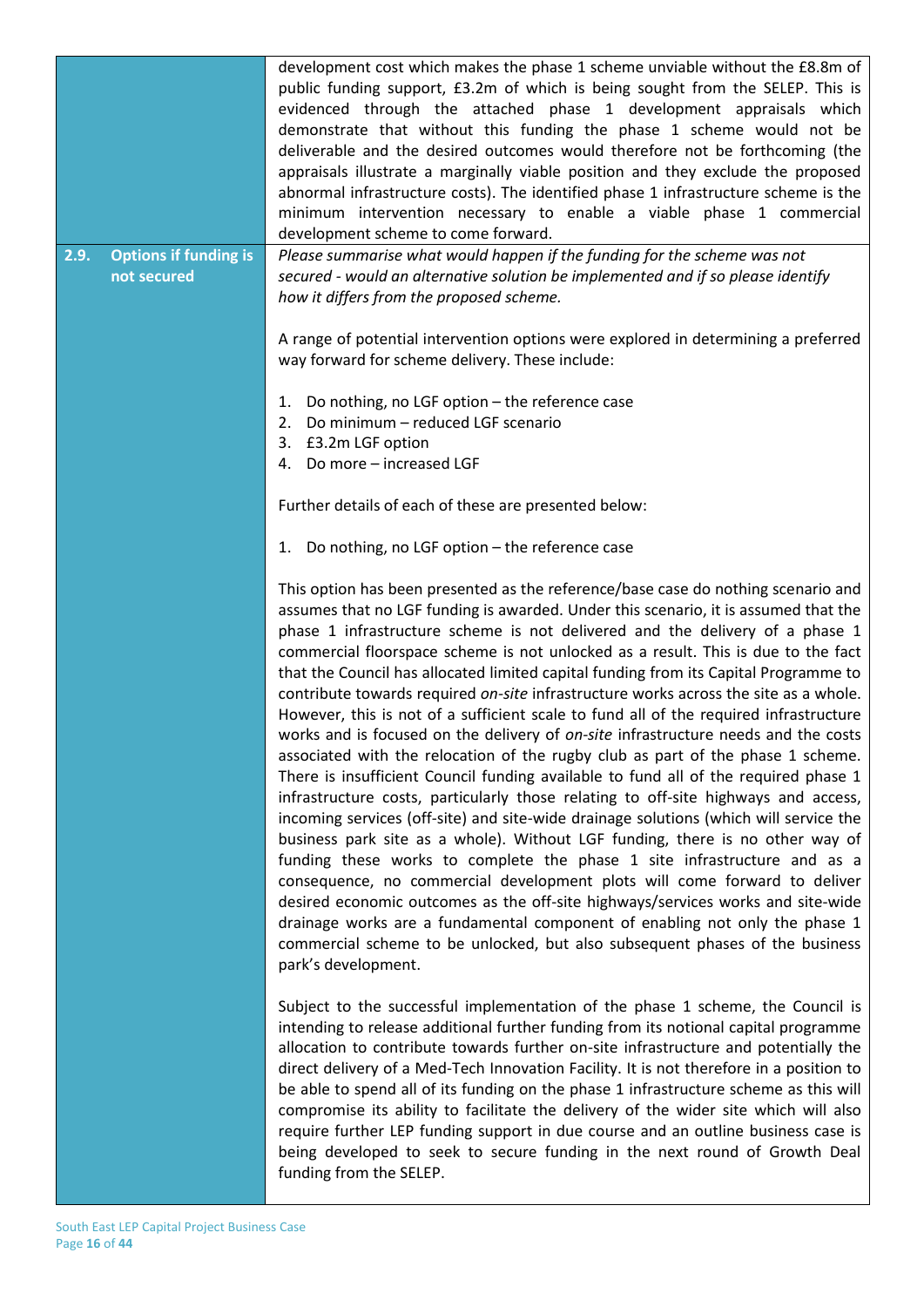|      |                                             | development cost which makes the phase 1 scheme unviable without the £8.8m of<br>public funding support, £3.2m of which is being sought from the SELEP. This is<br>evidenced through the attached phase 1 development appraisals which<br>demonstrate that without this funding the phase 1 scheme would not be<br>deliverable and the desired outcomes would therefore not be forthcoming (the<br>appraisals illustrate a marginally viable position and they exclude the proposed<br>abnormal infrastructure costs). The identified phase 1 infrastructure scheme is the<br>minimum intervention necessary to enable a viable phase 1 commercial<br>development scheme to come forward.                                                                                                                                                                                                                                                                                                                                                                                                                                                                                                                                                                                                                                                                                                                                                                                                                                                                                                |
|------|---------------------------------------------|------------------------------------------------------------------------------------------------------------------------------------------------------------------------------------------------------------------------------------------------------------------------------------------------------------------------------------------------------------------------------------------------------------------------------------------------------------------------------------------------------------------------------------------------------------------------------------------------------------------------------------------------------------------------------------------------------------------------------------------------------------------------------------------------------------------------------------------------------------------------------------------------------------------------------------------------------------------------------------------------------------------------------------------------------------------------------------------------------------------------------------------------------------------------------------------------------------------------------------------------------------------------------------------------------------------------------------------------------------------------------------------------------------------------------------------------------------------------------------------------------------------------------------------------------------------------------------------|
| 2.9. | <b>Options if funding is</b><br>not secured | Please summarise what would happen if the funding for the scheme was not<br>secured - would an alternative solution be implemented and if so please identify<br>how it differs from the proposed scheme.                                                                                                                                                                                                                                                                                                                                                                                                                                                                                                                                                                                                                                                                                                                                                                                                                                                                                                                                                                                                                                                                                                                                                                                                                                                                                                                                                                                 |
|      |                                             | A range of potential intervention options were explored in determining a preferred<br>way forward for scheme delivery. These include:                                                                                                                                                                                                                                                                                                                                                                                                                                                                                                                                                                                                                                                                                                                                                                                                                                                                                                                                                                                                                                                                                                                                                                                                                                                                                                                                                                                                                                                    |
|      |                                             | 1. Do nothing, no LGF option - the reference case<br>2. Do minimum - reduced LGF scenario<br>3. £3.2m LGF option<br>4. Do more - increased LGF                                                                                                                                                                                                                                                                                                                                                                                                                                                                                                                                                                                                                                                                                                                                                                                                                                                                                                                                                                                                                                                                                                                                                                                                                                                                                                                                                                                                                                           |
|      |                                             | Further details of each of these are presented below:                                                                                                                                                                                                                                                                                                                                                                                                                                                                                                                                                                                                                                                                                                                                                                                                                                                                                                                                                                                                                                                                                                                                                                                                                                                                                                                                                                                                                                                                                                                                    |
|      |                                             | 1. Do nothing, no LGF option - the reference case                                                                                                                                                                                                                                                                                                                                                                                                                                                                                                                                                                                                                                                                                                                                                                                                                                                                                                                                                                                                                                                                                                                                                                                                                                                                                                                                                                                                                                                                                                                                        |
|      |                                             | This option has been presented as the reference/base case do nothing scenario and<br>assumes that no LGF funding is awarded. Under this scenario, it is assumed that the<br>phase 1 infrastructure scheme is not delivered and the delivery of a phase 1<br>commercial floorspace scheme is not unlocked as a result. This is due to the fact<br>that the Council has allocated limited capital funding from its Capital Programme to<br>contribute towards required on-site infrastructure works across the site as a whole.<br>However, this is not of a sufficient scale to fund all of the required infrastructure<br>works and is focused on the delivery of on-site infrastructure needs and the costs<br>associated with the relocation of the rugby club as part of the phase 1 scheme.<br>There is insufficient Council funding available to fund all of the required phase 1<br>infrastructure costs, particularly those relating to off-site highways and access,<br>incoming services (off-site) and site-wide drainage solutions (which will service the<br>business park site as a whole). Without LGF funding, there is no other way of<br>funding these works to complete the phase 1 site infrastructure and as a<br>consequence, no commercial development plots will come forward to deliver<br>desired economic outcomes as the off-site highways/services works and site-wide<br>drainage works are a fundamental component of enabling not only the phase 1<br>commercial scheme to be unlocked, but also subsequent phases of the business<br>park's development. |
|      |                                             | Subject to the successful implementation of the phase 1 scheme, the Council is<br>intending to release additional further funding from its notional capital programme<br>allocation to contribute towards further on-site infrastructure and potentially the<br>direct delivery of a Med-Tech Innovation Facility. It is not therefore in a position to<br>be able to spend all of its funding on the phase 1 infrastructure scheme as this will<br>compromise its ability to facilitate the delivery of the wider site which will also<br>require further LEP funding support in due course and an outline business case is<br>being developed to seek to secure funding in the next round of Growth Deal<br>funding from the SELEP.                                                                                                                                                                                                                                                                                                                                                                                                                                                                                                                                                                                                                                                                                                                                                                                                                                                    |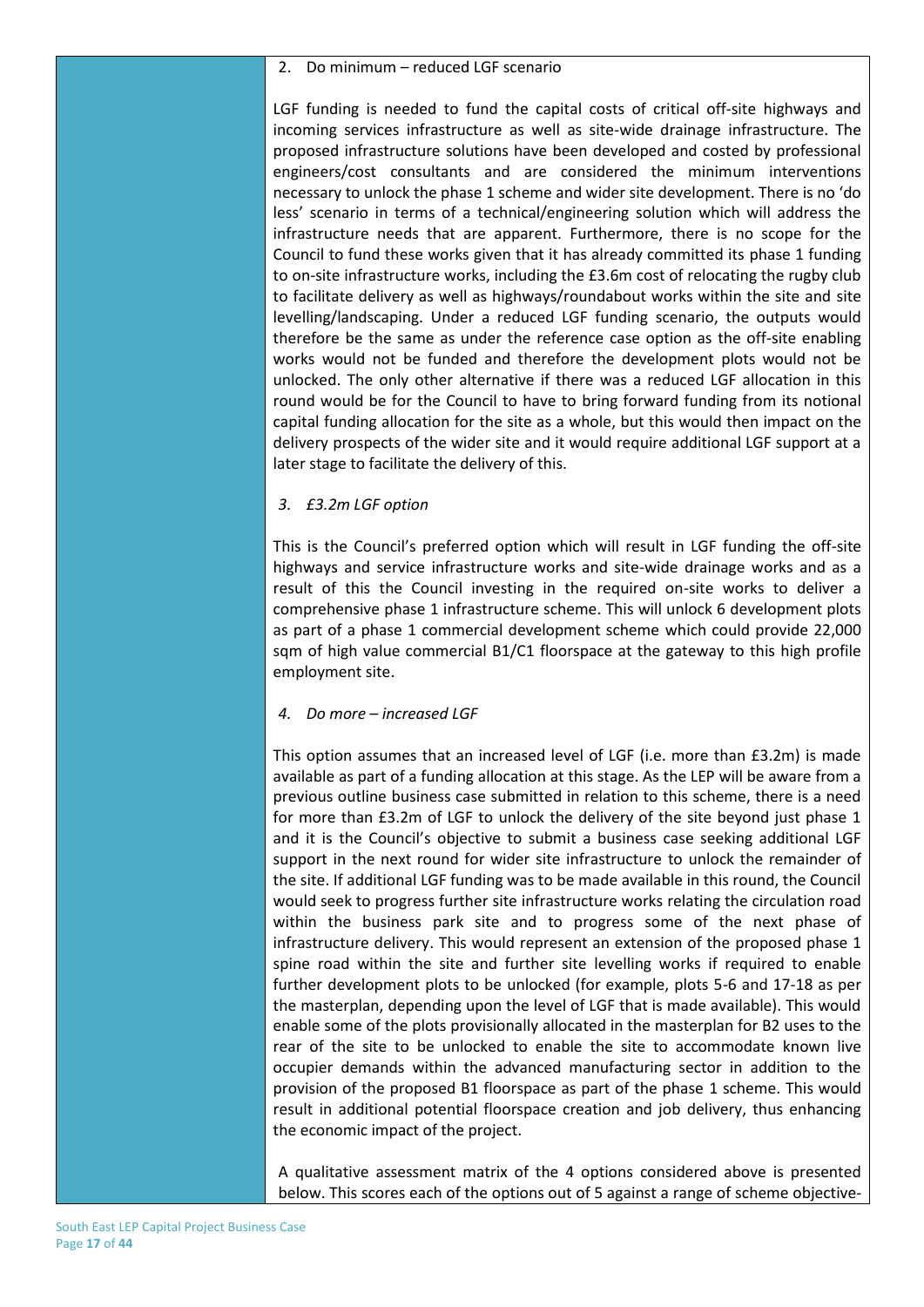#### 2. Do minimum – reduced LGF scenario

LGF funding is needed to fund the capital costs of critical off-site highways and incoming services infrastructure as well as site-wide drainage infrastructure. The proposed infrastructure solutions have been developed and costed by professional engineers/cost consultants and are considered the minimum interventions necessary to unlock the phase 1 scheme and wider site development. There is no 'do less' scenario in terms of a technical/engineering solution which will address the infrastructure needs that are apparent. Furthermore, there is no scope for the Council to fund these works given that it has already committed its phase 1 funding to on-site infrastructure works, including the £3.6m cost of relocating the rugby club to facilitate delivery as well as highways/roundabout works within the site and site levelling/landscaping. Under a reduced LGF funding scenario, the outputs would therefore be the same as under the reference case option as the off-site enabling works would not be funded and therefore the development plots would not be unlocked. The only other alternative if there was a reduced LGF allocation in this round would be for the Council to have to bring forward funding from its notional capital funding allocation for the site as a whole, but this would then impact on the delivery prospects of the wider site and it would require additional LGF support at a later stage to facilitate the delivery of this.

#### *3. £3.2m LGF option*

This is the Council's preferred option which will result in LGF funding the off-site highways and service infrastructure works and site-wide drainage works and as a result of this the Council investing in the required on-site works to deliver a comprehensive phase 1 infrastructure scheme. This will unlock 6 development plots as part of a phase 1 commercial development scheme which could provide 22,000 sqm of high value commercial B1/C1 floorspace at the gateway to this high profile employment site.

#### *4. Do more – increased LGF*

This option assumes that an increased level of LGF (i.e. more than £3.2m) is made available as part of a funding allocation at this stage. As the LEP will be aware from a previous outline business case submitted in relation to this scheme, there is a need for more than £3.2m of LGF to unlock the delivery of the site beyond just phase 1 and it is the Council's objective to submit a business case seeking additional LGF support in the next round for wider site infrastructure to unlock the remainder of the site. If additional LGF funding was to be made available in this round, the Council would seek to progress further site infrastructure works relating the circulation road within the business park site and to progress some of the next phase of infrastructure delivery. This would represent an extension of the proposed phase 1 spine road within the site and further site levelling works if required to enable further development plots to be unlocked (for example, plots 5-6 and 17-18 as per the masterplan, depending upon the level of LGF that is made available). This would enable some of the plots provisionally allocated in the masterplan for B2 uses to the rear of the site to be unlocked to enable the site to accommodate known live occupier demands within the advanced manufacturing sector in addition to the provision of the proposed B1 floorspace as part of the phase 1 scheme. This would result in additional potential floorspace creation and job delivery, thus enhancing the economic impact of the project.

A qualitative assessment matrix of the 4 options considered above is presented below. This scores each of the options out of 5 against a range of scheme objective-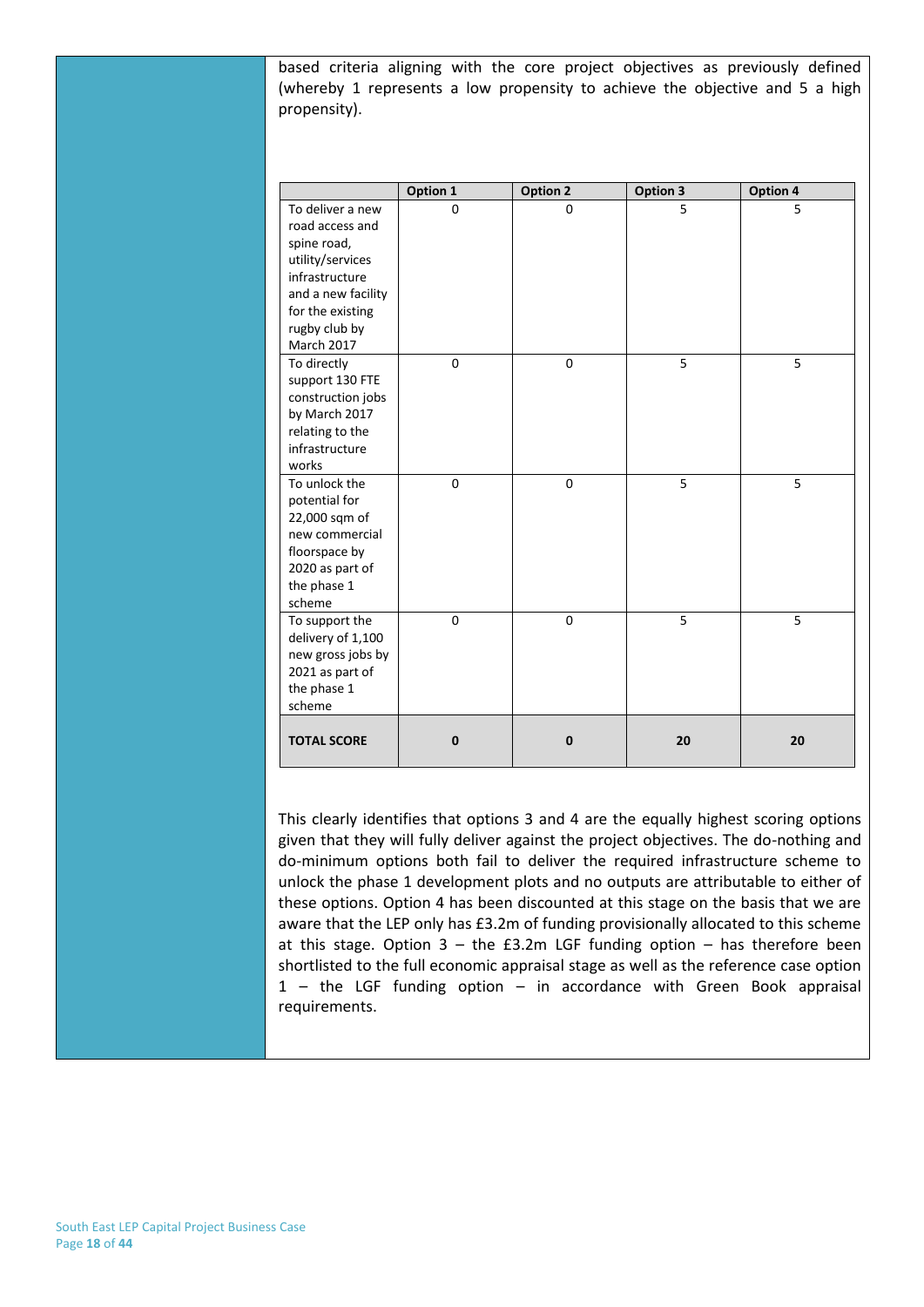based criteria aligning with the core project objectives as previously defined (whereby 1 represents a low propensity to achieve the objective and 5 a high propensity).

|                                                                                                                                                                   | Option 1     | <b>Option 2</b> | Option 3 | Option 4 |
|-------------------------------------------------------------------------------------------------------------------------------------------------------------------|--------------|-----------------|----------|----------|
| To deliver a new<br>road access and<br>spine road,<br>utility/services<br>infrastructure<br>and a new facility<br>for the existing<br>rugby club by<br>March 2017 | $\Omega$     | $\Omega$        | 5        | 5        |
| To directly<br>support 130 FTE<br>construction jobs<br>by March 2017<br>relating to the<br>infrastructure<br>works                                                | $\mathbf 0$  | $\mathbf 0$     | 5        | 5        |
| To unlock the<br>potential for<br>22,000 sqm of<br>new commercial<br>floorspace by<br>2020 as part of<br>the phase 1<br>scheme                                    | $\mathbf 0$  | $\mathbf 0$     | 5        | 5        |
| To support the<br>delivery of 1,100<br>new gross jobs by<br>2021 as part of<br>the phase 1<br>scheme                                                              | $\mathbf 0$  | $\mathbf 0$     | 5        | 5        |
| <b>TOTAL SCORE</b>                                                                                                                                                | $\mathbf{0}$ | $\mathbf{0}$    | 20       | 20       |

This clearly identifies that options 3 and 4 are the equally highest scoring options given that they will fully deliver against the project objectives. The do-nothing and do-minimum options both fail to deliver the required infrastructure scheme to unlock the phase 1 development plots and no outputs are attributable to either of these options. Option 4 has been discounted at this stage on the basis that we are aware that the LEP only has £3.2m of funding provisionally allocated to this scheme at this stage. Option  $3 -$  the £3.2m LGF funding option  $-$  has therefore been shortlisted to the full economic appraisal stage as well as the reference case option 1 – the LGF funding option – in accordance with Green Book appraisal requirements.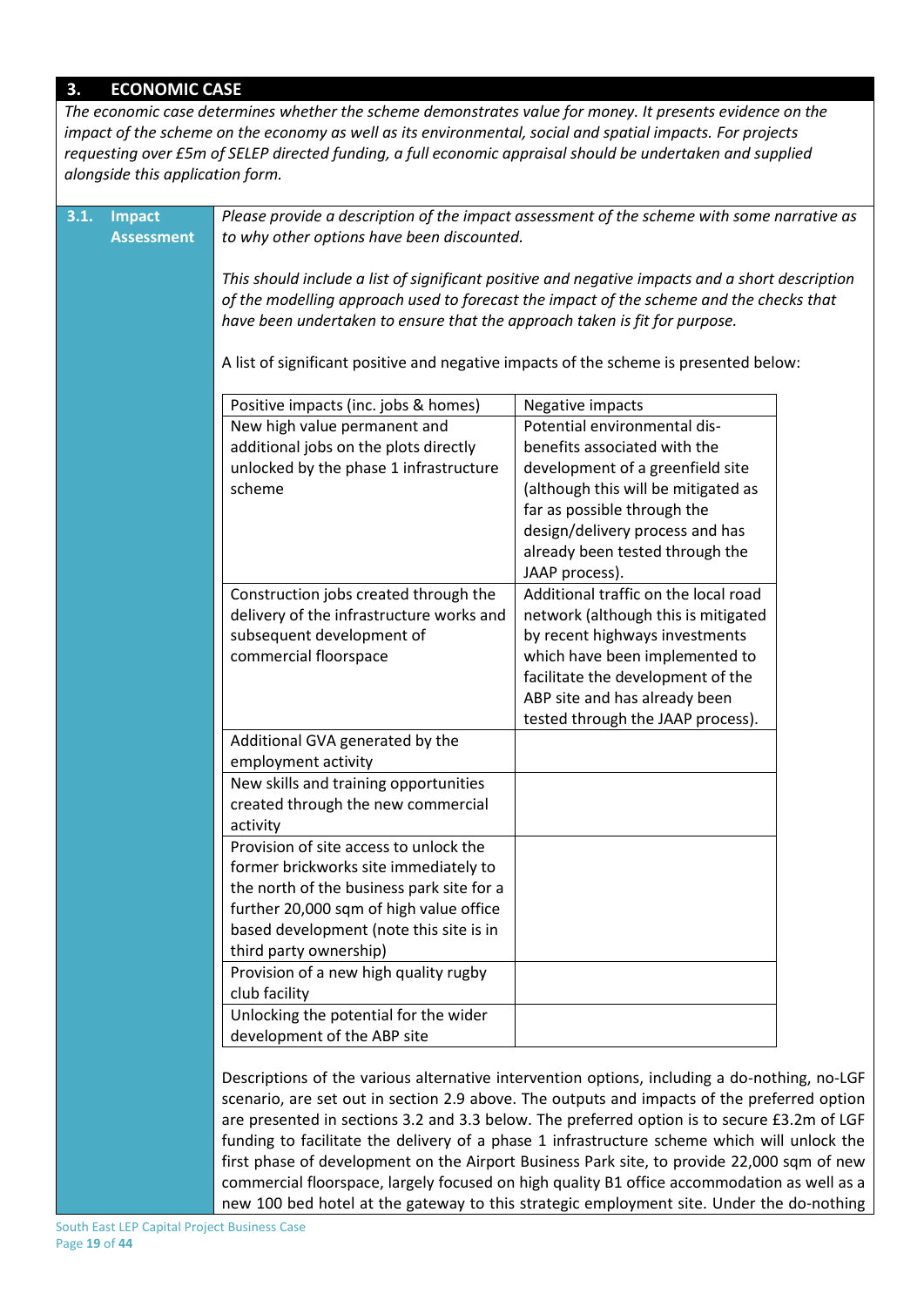#### **3. ECONOMIC CASE**

*The economic case determines whether the scheme demonstrates value for money. It presents evidence on the impact of the scheme on the economy as well as its environmental, social and spatial impacts. For projects requesting over £5m of SELEP directed funding, a full economic appraisal should be undertaken and supplied alongside this application form.*

| 3.1. | <b>Impact</b>     |                                                                                                 | Please provide a description of the impact assessment of the scheme with some narrative as   |  |  |  |  |  |
|------|-------------------|-------------------------------------------------------------------------------------------------|----------------------------------------------------------------------------------------------|--|--|--|--|--|
|      | <b>Assessment</b> | to why other options have been discounted.                                                      |                                                                                              |  |  |  |  |  |
|      |                   |                                                                                                 |                                                                                              |  |  |  |  |  |
|      |                   | This should include a list of significant positive and negative impacts and a short description |                                                                                              |  |  |  |  |  |
|      |                   | of the modelling approach used to forecast the impact of the scheme and the checks that         |                                                                                              |  |  |  |  |  |
|      |                   | have been undertaken to ensure that the approach taken is fit for purpose.                      |                                                                                              |  |  |  |  |  |
|      |                   |                                                                                                 |                                                                                              |  |  |  |  |  |
|      |                   |                                                                                                 | A list of significant positive and negative impacts of the scheme is presented below:        |  |  |  |  |  |
|      |                   | Positive impacts (inc. jobs & homes)                                                            | Negative impacts                                                                             |  |  |  |  |  |
|      |                   | New high value permanent and                                                                    | Potential environmental dis-                                                                 |  |  |  |  |  |
|      |                   | additional jobs on the plots directly                                                           | benefits associated with the                                                                 |  |  |  |  |  |
|      |                   | unlocked by the phase 1 infrastructure                                                          | development of a greenfield site                                                             |  |  |  |  |  |
|      |                   | scheme                                                                                          | (although this will be mitigated as                                                          |  |  |  |  |  |
|      |                   |                                                                                                 | far as possible through the                                                                  |  |  |  |  |  |
|      |                   |                                                                                                 | design/delivery process and has                                                              |  |  |  |  |  |
|      |                   |                                                                                                 | already been tested through the                                                              |  |  |  |  |  |
|      |                   |                                                                                                 | JAAP process).                                                                               |  |  |  |  |  |
|      |                   | Construction jobs created through the                                                           | Additional traffic on the local road                                                         |  |  |  |  |  |
|      |                   | delivery of the infrastructure works and                                                        | network (although this is mitigated                                                          |  |  |  |  |  |
|      |                   | subsequent development of                                                                       | by recent highways investments                                                               |  |  |  |  |  |
|      |                   | commercial floorspace                                                                           | which have been implemented to                                                               |  |  |  |  |  |
|      |                   |                                                                                                 | facilitate the development of the                                                            |  |  |  |  |  |
|      |                   |                                                                                                 | ABP site and has already been                                                                |  |  |  |  |  |
|      |                   |                                                                                                 | tested through the JAAP process).                                                            |  |  |  |  |  |
|      |                   | Additional GVA generated by the                                                                 |                                                                                              |  |  |  |  |  |
|      |                   | employment activity                                                                             |                                                                                              |  |  |  |  |  |
|      |                   | New skills and training opportunities                                                           |                                                                                              |  |  |  |  |  |
|      |                   | created through the new commercial                                                              |                                                                                              |  |  |  |  |  |
|      |                   | activity                                                                                        |                                                                                              |  |  |  |  |  |
|      |                   | Provision of site access to unlock the                                                          |                                                                                              |  |  |  |  |  |
|      |                   | former brickworks site immediately to                                                           |                                                                                              |  |  |  |  |  |
|      |                   | the north of the business park site for a                                                       |                                                                                              |  |  |  |  |  |
|      |                   | further 20,000 sqm of high value office                                                         |                                                                                              |  |  |  |  |  |
|      |                   | based development (note this site is in                                                         |                                                                                              |  |  |  |  |  |
|      |                   | third party ownership)                                                                          |                                                                                              |  |  |  |  |  |
|      |                   | Provision of a new high quality rugby                                                           |                                                                                              |  |  |  |  |  |
|      |                   | club facility                                                                                   |                                                                                              |  |  |  |  |  |
|      |                   | Unlocking the potential for the wider                                                           |                                                                                              |  |  |  |  |  |
|      |                   | development of the ABP site                                                                     |                                                                                              |  |  |  |  |  |
|      |                   |                                                                                                 |                                                                                              |  |  |  |  |  |
|      |                   |                                                                                                 | Descriptions of the various alternative intervention options, including a do-nothing, no-LGF |  |  |  |  |  |
|      |                   | scenario, are set out in section 2.9 above. The outputs and impacts of the preferred option     |                                                                                              |  |  |  |  |  |
|      |                   | are presented in sections 3.2 and 3.3 below. The preferred option is to secure £3.2m of LGF     |                                                                                              |  |  |  |  |  |
|      |                   |                                                                                                 | funding to facilitate the delivery of a phase 1 infrastructure scheme which will unlock the  |  |  |  |  |  |
|      |                   |                                                                                                 | first phase of development on the Airport Business Park site, to provide 22,000 sqm of new   |  |  |  |  |  |
|      |                   |                                                                                                 | commercial floorspace, largely focused on high quality B1 office accommodation as well as a  |  |  |  |  |  |
|      |                   |                                                                                                 | new 100 bed hotel at the gateway to this strategic employment site. Under the do-nothing     |  |  |  |  |  |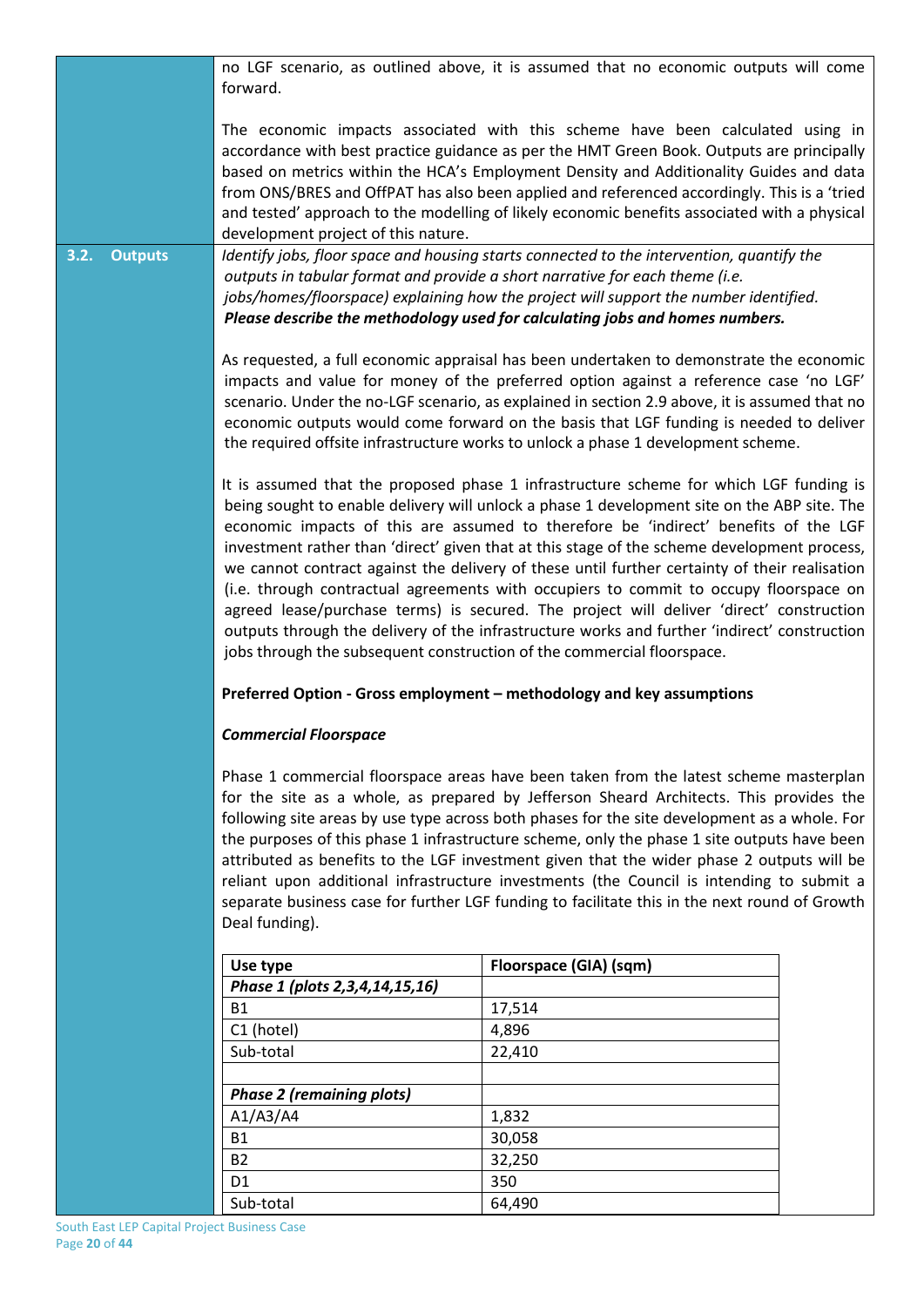|                        | no LGF scenario, as outlined above, it is assumed that no economic outputs will come                                                                                                                                                                                                                                                                                                                                                                                                                                                                                                                                                                                                                                                                                                                                                       |                                                                                                                                                                                                                                                                                                                                                                                                                                                                  |  |  |  |  |
|------------------------|--------------------------------------------------------------------------------------------------------------------------------------------------------------------------------------------------------------------------------------------------------------------------------------------------------------------------------------------------------------------------------------------------------------------------------------------------------------------------------------------------------------------------------------------------------------------------------------------------------------------------------------------------------------------------------------------------------------------------------------------------------------------------------------------------------------------------------------------|------------------------------------------------------------------------------------------------------------------------------------------------------------------------------------------------------------------------------------------------------------------------------------------------------------------------------------------------------------------------------------------------------------------------------------------------------------------|--|--|--|--|
|                        | forward.                                                                                                                                                                                                                                                                                                                                                                                                                                                                                                                                                                                                                                                                                                                                                                                                                                   |                                                                                                                                                                                                                                                                                                                                                                                                                                                                  |  |  |  |  |
|                        |                                                                                                                                                                                                                                                                                                                                                                                                                                                                                                                                                                                                                                                                                                                                                                                                                                            | The economic impacts associated with this scheme have been calculated using in<br>accordance with best practice guidance as per the HMT Green Book. Outputs are principally<br>based on metrics within the HCA's Employment Density and Additionality Guides and data                                                                                                                                                                                            |  |  |  |  |
|                        |                                                                                                                                                                                                                                                                                                                                                                                                                                                                                                                                                                                                                                                                                                                                                                                                                                            | from ONS/BRES and OffPAT has also been applied and referenced accordingly. This is a 'tried<br>and tested' approach to the modelling of likely economic benefits associated with a physical                                                                                                                                                                                                                                                                      |  |  |  |  |
|                        | development project of this nature.                                                                                                                                                                                                                                                                                                                                                                                                                                                                                                                                                                                                                                                                                                                                                                                                        |                                                                                                                                                                                                                                                                                                                                                                                                                                                                  |  |  |  |  |
| <b>Outputs</b><br>3.2. |                                                                                                                                                                                                                                                                                                                                                                                                                                                                                                                                                                                                                                                                                                                                                                                                                                            | Identify jobs, floor space and housing starts connected to the intervention, quantify the<br>outputs in tabular format and provide a short narrative for each theme (i.e.                                                                                                                                                                                                                                                                                        |  |  |  |  |
|                        | jobs/homes/floorspace) explaining how the project will support the number identified.<br>Please describe the methodology used for calculating jobs and homes numbers.                                                                                                                                                                                                                                                                                                                                                                                                                                                                                                                                                                                                                                                                      |                                                                                                                                                                                                                                                                                                                                                                                                                                                                  |  |  |  |  |
|                        |                                                                                                                                                                                                                                                                                                                                                                                                                                                                                                                                                                                                                                                                                                                                                                                                                                            | As requested, a full economic appraisal has been undertaken to demonstrate the economic<br>impacts and value for money of the preferred option against a reference case 'no LGF'<br>scenario. Under the no-LGF scenario, as explained in section 2.9 above, it is assumed that no<br>economic outputs would come forward on the basis that LGF funding is needed to deliver<br>the required offsite infrastructure works to unlock a phase 1 development scheme. |  |  |  |  |
|                        | It is assumed that the proposed phase 1 infrastructure scheme for which LGF funding is<br>being sought to enable delivery will unlock a phase 1 development site on the ABP site. The<br>economic impacts of this are assumed to therefore be 'indirect' benefits of the LGF<br>investment rather than 'direct' given that at this stage of the scheme development process,<br>we cannot contract against the delivery of these until further certainty of their realisation<br>(i.e. through contractual agreements with occupiers to commit to occupy floorspace on<br>agreed lease/purchase terms) is secured. The project will deliver 'direct' construction<br>outputs through the delivery of the infrastructure works and further 'indirect' construction<br>jobs through the subsequent construction of the commercial floorspace. |                                                                                                                                                                                                                                                                                                                                                                                                                                                                  |  |  |  |  |
|                        | Preferred Option - Gross employment - methodology and key assumptions                                                                                                                                                                                                                                                                                                                                                                                                                                                                                                                                                                                                                                                                                                                                                                      |                                                                                                                                                                                                                                                                                                                                                                                                                                                                  |  |  |  |  |
|                        | <b>Commercial Floorspace</b>                                                                                                                                                                                                                                                                                                                                                                                                                                                                                                                                                                                                                                                                                                                                                                                                               |                                                                                                                                                                                                                                                                                                                                                                                                                                                                  |  |  |  |  |
|                        |                                                                                                                                                                                                                                                                                                                                                                                                                                                                                                                                                                                                                                                                                                                                                                                                                                            | Phase 1 commercial floorspace areas have been taken from the latest scheme masterplan                                                                                                                                                                                                                                                                                                                                                                            |  |  |  |  |
|                        |                                                                                                                                                                                                                                                                                                                                                                                                                                                                                                                                                                                                                                                                                                                                                                                                                                            | for the site as a whole, as prepared by Jefferson Sheard Architects. This provides the                                                                                                                                                                                                                                                                                                                                                                           |  |  |  |  |
|                        |                                                                                                                                                                                                                                                                                                                                                                                                                                                                                                                                                                                                                                                                                                                                                                                                                                            | following site areas by use type across both phases for the site development as a whole. For                                                                                                                                                                                                                                                                                                                                                                     |  |  |  |  |
|                        |                                                                                                                                                                                                                                                                                                                                                                                                                                                                                                                                                                                                                                                                                                                                                                                                                                            | the purposes of this phase 1 infrastructure scheme, only the phase 1 site outputs have been                                                                                                                                                                                                                                                                                                                                                                      |  |  |  |  |
|                        |                                                                                                                                                                                                                                                                                                                                                                                                                                                                                                                                                                                                                                                                                                                                                                                                                                            | attributed as benefits to the LGF investment given that the wider phase 2 outputs will be<br>reliant upon additional infrastructure investments (the Council is intending to submit a                                                                                                                                                                                                                                                                            |  |  |  |  |
|                        |                                                                                                                                                                                                                                                                                                                                                                                                                                                                                                                                                                                                                                                                                                                                                                                                                                            | separate business case for further LGF funding to facilitate this in the next round of Growth                                                                                                                                                                                                                                                                                                                                                                    |  |  |  |  |
|                        | Deal funding).                                                                                                                                                                                                                                                                                                                                                                                                                                                                                                                                                                                                                                                                                                                                                                                                                             |                                                                                                                                                                                                                                                                                                                                                                                                                                                                  |  |  |  |  |
|                        | Use type                                                                                                                                                                                                                                                                                                                                                                                                                                                                                                                                                                                                                                                                                                                                                                                                                                   | Floorspace (GIA) (sqm)                                                                                                                                                                                                                                                                                                                                                                                                                                           |  |  |  |  |
|                        | Phase 1 (plots 2, 3, 4, 14, 15, 16)                                                                                                                                                                                                                                                                                                                                                                                                                                                                                                                                                                                                                                                                                                                                                                                                        |                                                                                                                                                                                                                                                                                                                                                                                                                                                                  |  |  |  |  |
|                        | <b>B1</b>                                                                                                                                                                                                                                                                                                                                                                                                                                                                                                                                                                                                                                                                                                                                                                                                                                  | 17,514                                                                                                                                                                                                                                                                                                                                                                                                                                                           |  |  |  |  |
|                        | C1 (hotel)                                                                                                                                                                                                                                                                                                                                                                                                                                                                                                                                                                                                                                                                                                                                                                                                                                 | 4,896                                                                                                                                                                                                                                                                                                                                                                                                                                                            |  |  |  |  |
|                        | Sub-total<br>22,410                                                                                                                                                                                                                                                                                                                                                                                                                                                                                                                                                                                                                                                                                                                                                                                                                        |                                                                                                                                                                                                                                                                                                                                                                                                                                                                  |  |  |  |  |
|                        |                                                                                                                                                                                                                                                                                                                                                                                                                                                                                                                                                                                                                                                                                                                                                                                                                                            |                                                                                                                                                                                                                                                                                                                                                                                                                                                                  |  |  |  |  |
|                        | <b>Phase 2 (remaining plots)</b>                                                                                                                                                                                                                                                                                                                                                                                                                                                                                                                                                                                                                                                                                                                                                                                                           |                                                                                                                                                                                                                                                                                                                                                                                                                                                                  |  |  |  |  |
|                        | A1/A3/A4                                                                                                                                                                                                                                                                                                                                                                                                                                                                                                                                                                                                                                                                                                                                                                                                                                   | 1,832                                                                                                                                                                                                                                                                                                                                                                                                                                                            |  |  |  |  |
|                        | <b>B1</b>                                                                                                                                                                                                                                                                                                                                                                                                                                                                                                                                                                                                                                                                                                                                                                                                                                  | 30,058                                                                                                                                                                                                                                                                                                                                                                                                                                                           |  |  |  |  |
|                        | <b>B2</b>                                                                                                                                                                                                                                                                                                                                                                                                                                                                                                                                                                                                                                                                                                                                                                                                                                  | 32,250                                                                                                                                                                                                                                                                                                                                                                                                                                                           |  |  |  |  |
|                        | D <sub>1</sub>                                                                                                                                                                                                                                                                                                                                                                                                                                                                                                                                                                                                                                                                                                                                                                                                                             | 350                                                                                                                                                                                                                                                                                                                                                                                                                                                              |  |  |  |  |
|                        | Sub-total                                                                                                                                                                                                                                                                                                                                                                                                                                                                                                                                                                                                                                                                                                                                                                                                                                  | 64,490                                                                                                                                                                                                                                                                                                                                                                                                                                                           |  |  |  |  |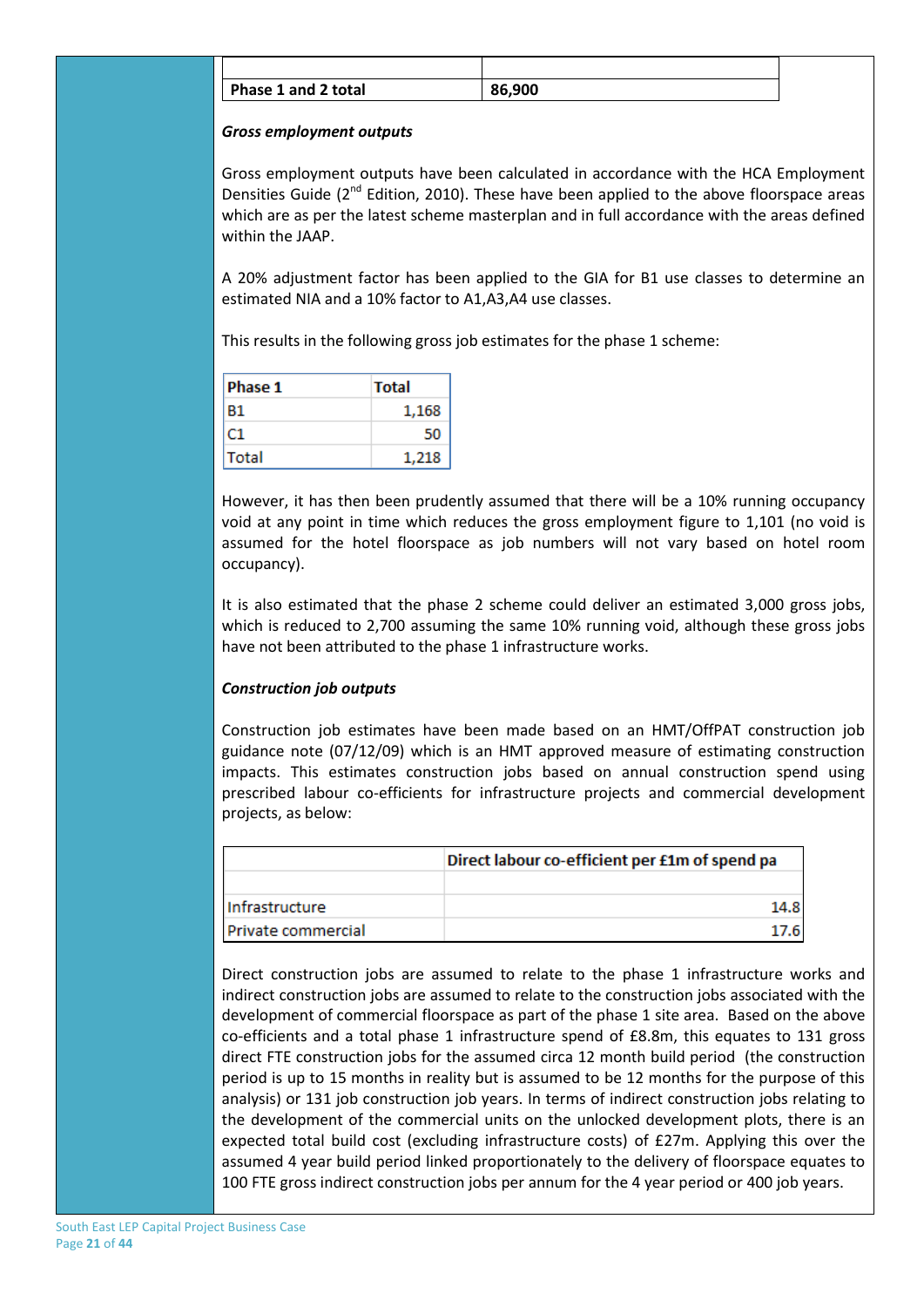| Phase 1 and 2 total | 86,900 |
|---------------------|--------|

#### *Gross employment outputs*

Gross employment outputs have been calculated in accordance with the HCA Employment Densities Guide ( $2<sup>nd</sup>$  Edition, 2010). These have been applied to the above floorspace areas which are as per the latest scheme masterplan and in full accordance with the areas defined within the JAAP.

A 20% adjustment factor has been applied to the GIA for B1 use classes to determine an estimated NIA and a 10% factor to A1,A3,A4 use classes.

This results in the following gross job estimates for the phase 1 scheme:

| Phase 1 | <b>Total</b> |
|---------|--------------|
| Β1      | 1,168        |
| C1.     | 50           |
| Total   | 1,218        |

However, it has then been prudently assumed that there will be a 10% running occupancy void at any point in time which reduces the gross employment figure to 1,101 (no void is assumed for the hotel floorspace as job numbers will not vary based on hotel room occupancy).

It is also estimated that the phase 2 scheme could deliver an estimated 3,000 gross jobs, which is reduced to 2,700 assuming the same 10% running void, although these gross jobs have not been attributed to the phase 1 infrastructure works.

### *Construction job outputs*

Construction job estimates have been made based on an HMT/OffPAT construction job guidance note (07/12/09) which is an HMT approved measure of estimating construction impacts. This estimates construction jobs based on annual construction spend using prescribed labour co-efficients for infrastructure projects and commercial development projects, as below:

|                    | Direct labour co-efficient per £1m of spend pa |
|--------------------|------------------------------------------------|
|                    |                                                |
| Infrastructure     | 14.8                                           |
| Private commercial | 17.61                                          |

Direct construction jobs are assumed to relate to the phase 1 infrastructure works and indirect construction jobs are assumed to relate to the construction jobs associated with the development of commercial floorspace as part of the phase 1 site area. Based on the above co-efficients and a total phase 1 infrastructure spend of £8.8m, this equates to 131 gross direct FTE construction jobs for the assumed circa 12 month build period (the construction period is up to 15 months in reality but is assumed to be 12 months for the purpose of this analysis) or 131 job construction job years. In terms of indirect construction jobs relating to the development of the commercial units on the unlocked development plots, there is an expected total build cost (excluding infrastructure costs) of £27m. Applying this over the assumed 4 year build period linked proportionately to the delivery of floorspace equates to 100 FTE gross indirect construction jobs per annum for the 4 year period or 400 job years.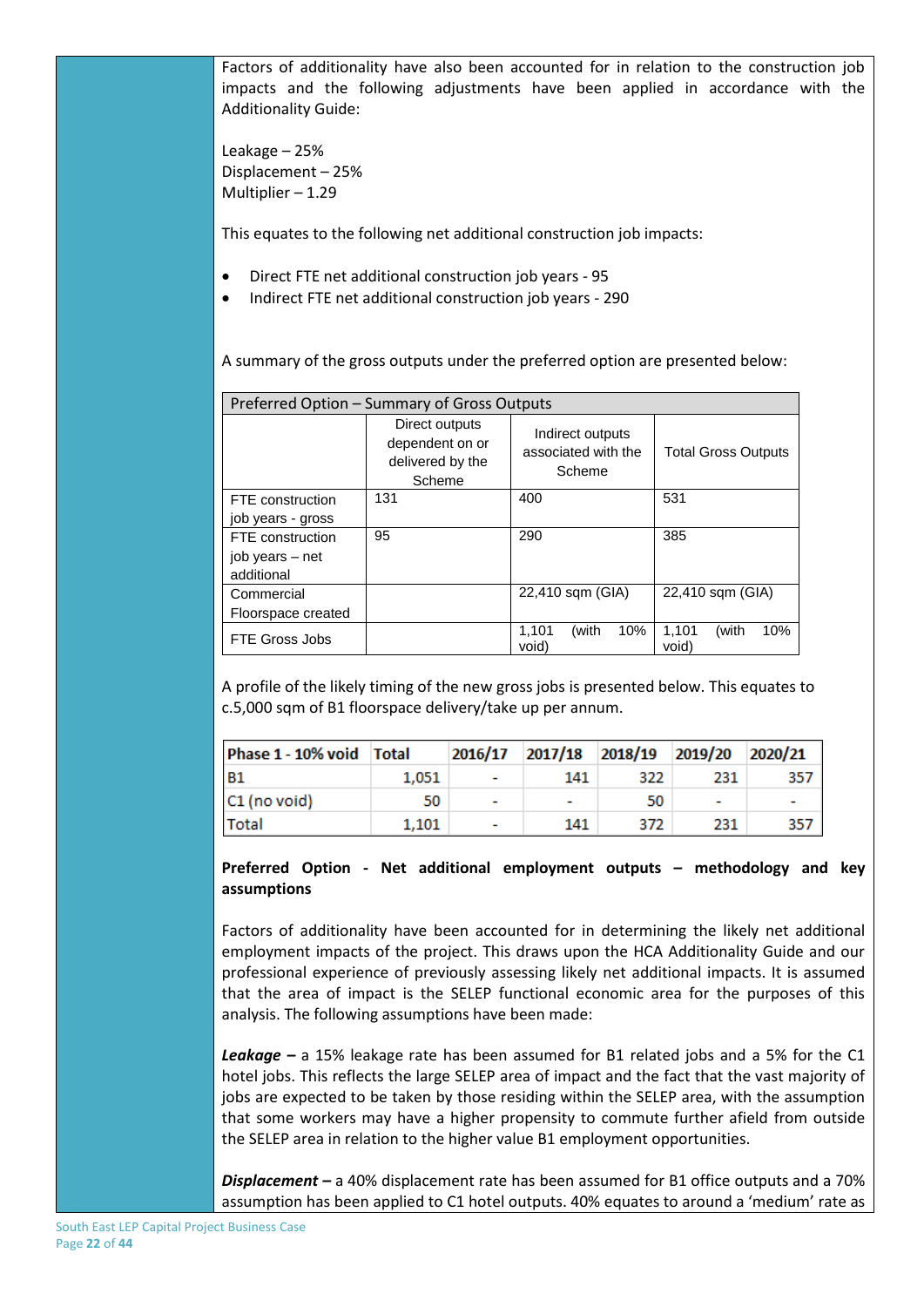Factors of additionality have also been accounted for in relation to the construction job impacts and the following adjustments have been applied in accordance with the Additionality Guide:

Leakage – 25% Displacement – 25% Multiplier – 1.29

This equates to the following net additional construction job impacts:

- Direct FTE net additional construction job years 95
- Indirect FTE net additional construction job years 290

A summary of the gross outputs under the preferred option are presented below:

| Preferred Option - Summary of Gross Outputs                     |     |                                                   |                                |  |  |  |
|-----------------------------------------------------------------|-----|---------------------------------------------------|--------------------------------|--|--|--|
| Direct outputs<br>dependent on or<br>delivered by the<br>Scheme |     | Indirect outputs<br>associated with the<br>Scheme | <b>Total Gross Outputs</b>     |  |  |  |
| FTE construction                                                | 131 | 400                                               | 531                            |  |  |  |
| job years - gross                                               |     |                                                   |                                |  |  |  |
| FTE construction                                                | 95  | 290                                               | 385                            |  |  |  |
| job years – net                                                 |     |                                                   |                                |  |  |  |
| additional                                                      |     |                                                   |                                |  |  |  |
| Commercial                                                      |     | 22,410 sqm (GIA)                                  | 22,410 sqm (GIA)               |  |  |  |
| Floorspace created                                              |     |                                                   |                                |  |  |  |
| FTE Gross Jobs                                                  |     | 1,101<br>10%<br>(with<br>void)                    | 1,101<br>(with<br>10%<br>void) |  |  |  |

A profile of the likely timing of the new gross jobs is presented below. This equates to c.5,000 sqm of B1 floorspace delivery/take up per annum.

| Phase 1 - 10% void Total |       |                          |                          |     | 2016/17 2017/18 2018/19 2019/20 2020/21 |     |
|--------------------------|-------|--------------------------|--------------------------|-----|-----------------------------------------|-----|
| <b>B1</b>                | 1.051 |                          | 141                      | 322 | 231                                     | 357 |
| $ C1 $ (no void)         | 50    | $\overline{\phantom{a}}$ | $\overline{\phantom{0}}$ | 50  |                                         |     |
| Total                    | 1,101 |                          | 141                      | 372 | 231                                     | 357 |

**Preferred Option - Net additional employment outputs – methodology and key assumptions**

Factors of additionality have been accounted for in determining the likely net additional employment impacts of the project. This draws upon the HCA Additionality Guide and our professional experience of previously assessing likely net additional impacts. It is assumed that the area of impact is the SELEP functional economic area for the purposes of this analysis. The following assumptions have been made:

*Leakage –* a 15% leakage rate has been assumed for B1 related jobs and a 5% for the C1 hotel jobs. This reflects the large SELEP area of impact and the fact that the vast majority of jobs are expected to be taken by those residing within the SELEP area, with the assumption that some workers may have a higher propensity to commute further afield from outside the SELEP area in relation to the higher value B1 employment opportunities.

*Displacement –* a 40% displacement rate has been assumed for B1 office outputs and a 70% assumption has been applied to C1 hotel outputs. 40% equates to around a 'medium' rate as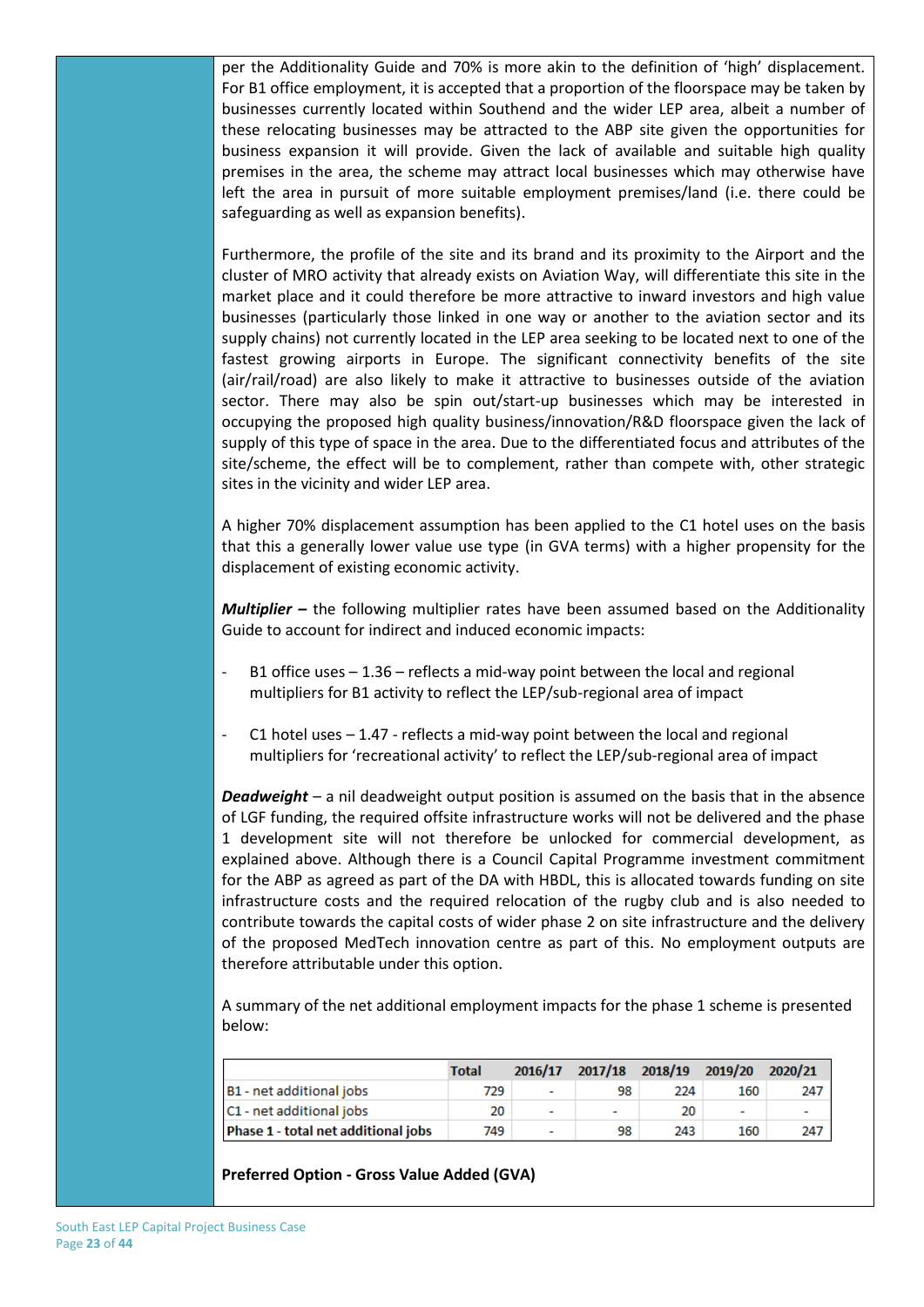per the Additionality Guide and 70% is more akin to the definition of 'high' displacement. For B1 office employment, it is accepted that a proportion of the floorspace may be taken by businesses currently located within Southend and the wider LEP area, albeit a number of these relocating businesses may be attracted to the ABP site given the opportunities for business expansion it will provide. Given the lack of available and suitable high quality premises in the area, the scheme may attract local businesses which may otherwise have left the area in pursuit of more suitable employment premises/land (i.e. there could be safeguarding as well as expansion benefits).

Furthermore, the profile of the site and its brand and its proximity to the Airport and the cluster of MRO activity that already exists on Aviation Way, will differentiate this site in the market place and it could therefore be more attractive to inward investors and high value businesses (particularly those linked in one way or another to the aviation sector and its supply chains) not currently located in the LEP area seeking to be located next to one of the fastest growing airports in Europe. The significant connectivity benefits of the site (air/rail/road) are also likely to make it attractive to businesses outside of the aviation sector. There may also be spin out/start-up businesses which may be interested in occupying the proposed high quality business/innovation/R&D floorspace given the lack of supply of this type of space in the area. Due to the differentiated focus and attributes of the site/scheme, the effect will be to complement, rather than compete with, other strategic sites in the vicinity and wider LEP area.

A higher 70% displacement assumption has been applied to the C1 hotel uses on the basis that this a generally lower value use type (in GVA terms) with a higher propensity for the displacement of existing economic activity.

*Multiplier –* the following multiplier rates have been assumed based on the Additionality Guide to account for indirect and induced economic impacts:

- B1 office uses  $1.36$  reflects a mid-way point between the local and regional multipliers for B1 activity to reflect the LEP/sub-regional area of impact
- C1 hotel uses  $-1.47$  reflects a mid-way point between the local and regional multipliers for 'recreational activity' to reflect the LEP/sub-regional area of impact

*Deadweight* – a nil deadweight output position is assumed on the basis that in the absence of LGF funding, the required offsite infrastructure works will not be delivered and the phase 1 development site will not therefore be unlocked for commercial development, as explained above. Although there is a Council Capital Programme investment commitment for the ABP as agreed as part of the DA with HBDL, this is allocated towards funding on site infrastructure costs and the required relocation of the rugby club and is also needed to contribute towards the capital costs of wider phase 2 on site infrastructure and the delivery of the proposed MedTech innovation centre as part of this. No employment outputs are therefore attributable under this option.

A summary of the net additional employment impacts for the phase 1 scheme is presented below:

|                                     | <b>Total</b> | 2016/17                  | 2017/18 2018/19 2019/20 2020/21 |     |     |     |
|-------------------------------------|--------------|--------------------------|---------------------------------|-----|-----|-----|
| B1 - net additional jobs            | 729          | ٠                        | 98                              | 224 | 160 | 247 |
| C1 - net additional jobs            | 20           | $\overline{\phantom{a}}$ | ٠                               | 20  | ٠   |     |
| Phase 1 - total net additional jobs | 749          | ٠                        | 98                              | 243 | 160 | 247 |

**Preferred Option - Gross Value Added (GVA)**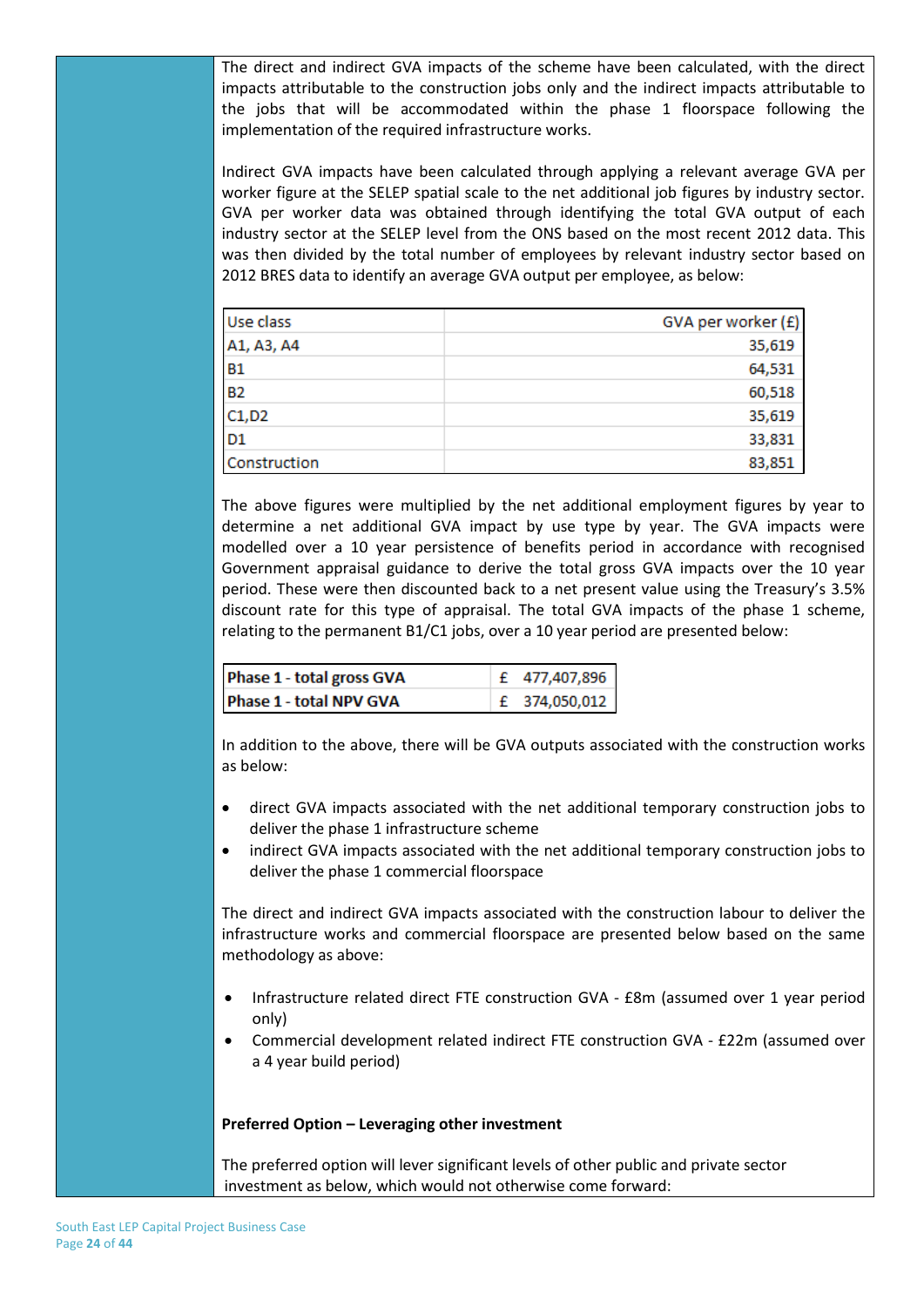The direct and indirect GVA impacts of the scheme have been calculated, with the direct impacts attributable to the construction jobs only and the indirect impacts attributable to the jobs that will be accommodated within the phase 1 floorspace following the implementation of the required infrastructure works.

Indirect GVA impacts have been calculated through applying a relevant average GVA per worker figure at the SELEP spatial scale to the net additional job figures by industry sector. GVA per worker data was obtained through identifying the total GVA output of each industry sector at the SELEP level from the ONS based on the most recent 2012 data. This was then divided by the total number of employees by relevant industry sector based on 2012 BRES data to identify an average GVA output per employee, as below:

| Use class      | GVA per worker (£) |
|----------------|--------------------|
| A1, A3, A4     | 35,619             |
| <b>B1</b>      | 64,531             |
| <b>B2</b>      | 60,518             |
| C1, D2         | 35,619             |
| D <sub>1</sub> | 33,831             |
| Construction   | 83,851             |

The above figures were multiplied by the net additional employment figures by year to determine a net additional GVA impact by use type by year. The GVA impacts were modelled over a 10 year persistence of benefits period in accordance with recognised Government appraisal guidance to derive the total gross GVA impacts over the 10 year period. These were then discounted back to a net present value using the Treasury's 3.5% discount rate for this type of appraisal. The total GVA impacts of the phase 1 scheme, relating to the permanent B1/C1 jobs, over a 10 year period are presented below:

| Phase 1 - total gross GVA | £ 477,407,896 |
|---------------------------|---------------|
| Phase 1 - total NPV GVA   | £ 374,050,012 |

In addition to the above, there will be GVA outputs associated with the construction works as below:

- direct GVA impacts associated with the net additional temporary construction jobs to deliver the phase 1 infrastructure scheme
- indirect GVA impacts associated with the net additional temporary construction jobs to deliver the phase 1 commercial floorspace

The direct and indirect GVA impacts associated with the construction labour to deliver the infrastructure works and commercial floorspace are presented below based on the same methodology as above:

- Infrastructure related direct FTE construction GVA £8m (assumed over 1 year period only)
- Commercial development related indirect FTE construction GVA £22m (assumed over a 4 year build period)

#### **Preferred Option – Leveraging other investment**

The preferred option will lever significant levels of other public and private sector investment as below, which would not otherwise come forward: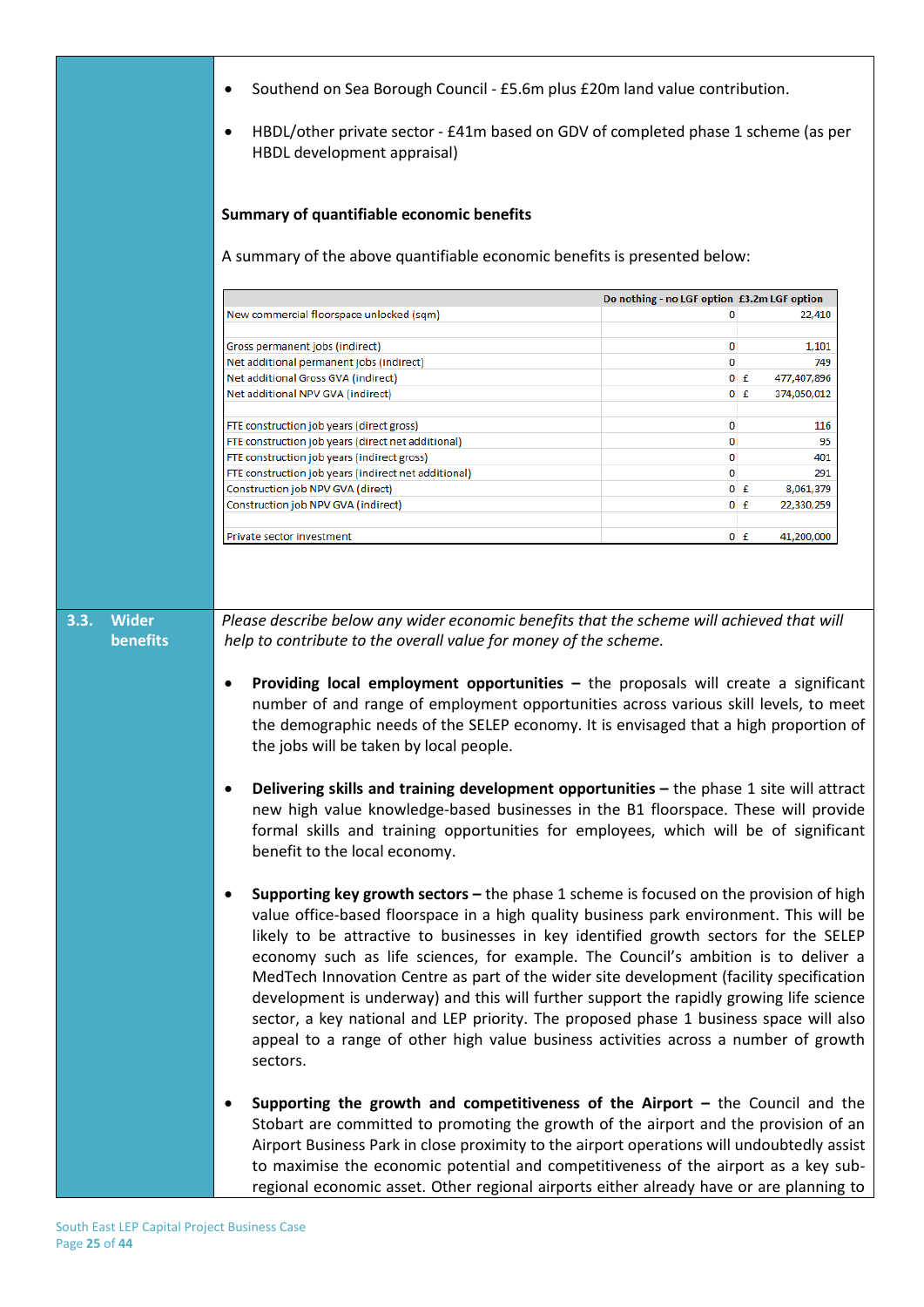| Southend on Sea Borough Council - £5.6m plus £20m land value contribution.<br>٠<br>HBDL/other private sector - £41m based on GDV of completed phase 1 scheme (as per<br>٠<br>HBDL development appraisal)                                                                                                                                                                                                                                                                                                                                                                                                                                     |                                                                                                                                                                                                                                                                                                                                                                                                                                                                                                                                                                                                                                                                                                                                        |                                    |  |
|----------------------------------------------------------------------------------------------------------------------------------------------------------------------------------------------------------------------------------------------------------------------------------------------------------------------------------------------------------------------------------------------------------------------------------------------------------------------------------------------------------------------------------------------------------------------------------------------------------------------------------------------|----------------------------------------------------------------------------------------------------------------------------------------------------------------------------------------------------------------------------------------------------------------------------------------------------------------------------------------------------------------------------------------------------------------------------------------------------------------------------------------------------------------------------------------------------------------------------------------------------------------------------------------------------------------------------------------------------------------------------------------|------------------------------------|--|
| Summary of quantifiable economic benefits<br>A summary of the above quantifiable economic benefits is presented below:                                                                                                                                                                                                                                                                                                                                                                                                                                                                                                                       |                                                                                                                                                                                                                                                                                                                                                                                                                                                                                                                                                                                                                                                                                                                                        |                                    |  |
|                                                                                                                                                                                                                                                                                                                                                                                                                                                                                                                                                                                                                                              |                                                                                                                                                                                                                                                                                                                                                                                                                                                                                                                                                                                                                                                                                                                                        |                                    |  |
|                                                                                                                                                                                                                                                                                                                                                                                                                                                                                                                                                                                                                                              | Do nothing - no LGF option £3.2m LGF option                                                                                                                                                                                                                                                                                                                                                                                                                                                                                                                                                                                                                                                                                            |                                    |  |
| New commercial floorspace unlocked (sqm)                                                                                                                                                                                                                                                                                                                                                                                                                                                                                                                                                                                                     | 0                                                                                                                                                                                                                                                                                                                                                                                                                                                                                                                                                                                                                                                                                                                                      | 22,410                             |  |
| Gross permanent jobs (indirect)                                                                                                                                                                                                                                                                                                                                                                                                                                                                                                                                                                                                              | 0                                                                                                                                                                                                                                                                                                                                                                                                                                                                                                                                                                                                                                                                                                                                      | 1,101                              |  |
| Net additional permanent jobs (indirect)                                                                                                                                                                                                                                                                                                                                                                                                                                                                                                                                                                                                     | 0                                                                                                                                                                                                                                                                                                                                                                                                                                                                                                                                                                                                                                                                                                                                      | 749                                |  |
| Net additional Gross GVA (indirect)                                                                                                                                                                                                                                                                                                                                                                                                                                                                                                                                                                                                          |                                                                                                                                                                                                                                                                                                                                                                                                                                                                                                                                                                                                                                                                                                                                        | 477,407,896<br>$0$ $f$             |  |
| Net additional NPV GVA (indirect)                                                                                                                                                                                                                                                                                                                                                                                                                                                                                                                                                                                                            |                                                                                                                                                                                                                                                                                                                                                                                                                                                                                                                                                                                                                                                                                                                                        | $0$ $f$<br>374,050,012             |  |
|                                                                                                                                                                                                                                                                                                                                                                                                                                                                                                                                                                                                                                              |                                                                                                                                                                                                                                                                                                                                                                                                                                                                                                                                                                                                                                                                                                                                        |                                    |  |
| FTE construction job years (direct gross)                                                                                                                                                                                                                                                                                                                                                                                                                                                                                                                                                                                                    | 0                                                                                                                                                                                                                                                                                                                                                                                                                                                                                                                                                                                                                                                                                                                                      | 116                                |  |
| FTE construction job years (direct net additional)                                                                                                                                                                                                                                                                                                                                                                                                                                                                                                                                                                                           | 0                                                                                                                                                                                                                                                                                                                                                                                                                                                                                                                                                                                                                                                                                                                                      | 95                                 |  |
| FTE construction job years (indirect gross)                                                                                                                                                                                                                                                                                                                                                                                                                                                                                                                                                                                                  | 0                                                                                                                                                                                                                                                                                                                                                                                                                                                                                                                                                                                                                                                                                                                                      | 401                                |  |
| FTE construction job years (indirect net additional)<br>Construction job NPV GVA (direct)                                                                                                                                                                                                                                                                                                                                                                                                                                                                                                                                                    | 0                                                                                                                                                                                                                                                                                                                                                                                                                                                                                                                                                                                                                                                                                                                                      | 291<br>$0$ $f$                     |  |
| Construction job NPV GVA (indirect)                                                                                                                                                                                                                                                                                                                                                                                                                                                                                                                                                                                                          |                                                                                                                                                                                                                                                                                                                                                                                                                                                                                                                                                                                                                                                                                                                                        | 8,061,379<br>22,330,259<br>$0$ $f$ |  |
|                                                                                                                                                                                                                                                                                                                                                                                                                                                                                                                                                                                                                                              |                                                                                                                                                                                                                                                                                                                                                                                                                                                                                                                                                                                                                                                                                                                                        |                                    |  |
| Private sector investment                                                                                                                                                                                                                                                                                                                                                                                                                                                                                                                                                                                                                    |                                                                                                                                                                                                                                                                                                                                                                                                                                                                                                                                                                                                                                                                                                                                        | $0$ $f$<br>41,200,000              |  |
| <b>Providing local employment opportunities</b> $-$ the proposals will create a significant<br>٠<br>number of and range of employment opportunities across various skill levels, to meet<br>the demographic needs of the SELEP economy. It is envisaged that a high proportion of<br>the jobs will be taken by local people.<br>Delivering skills and training development opportunities - the phase 1 site will attract<br>٠<br>new high value knowledge-based businesses in the B1 floorspace. These will provide<br>formal skills and training opportunities for employees, which will be of significant<br>benefit to the local economy. |                                                                                                                                                                                                                                                                                                                                                                                                                                                                                                                                                                                                                                                                                                                                        |                                    |  |
| $\bullet$<br>sectors.                                                                                                                                                                                                                                                                                                                                                                                                                                                                                                                                                                                                                        | Supporting key growth sectors - the phase 1 scheme is focused on the provision of high<br>value office-based floorspace in a high quality business park environment. This will be<br>likely to be attractive to businesses in key identified growth sectors for the SELEP<br>economy such as life sciences, for example. The Council's ambition is to deliver a<br>MedTech Innovation Centre as part of the wider site development (facility specification<br>development is underway) and this will further support the rapidly growing life science<br>sector, a key national and LEP priority. The proposed phase 1 business space will also<br>appeal to a range of other high value business activities across a number of growth |                                    |  |
| Supporting the growth and competitiveness of the Airport $-$ the Council and the<br>٠<br>Stobart are committed to promoting the growth of the airport and the provision of an<br>Airport Business Park in close proximity to the airport operations will undoubtedly assist<br>to maximise the economic potential and competitiveness of the airport as a key sub-<br>regional economic asset. Other regional airports either already have or are planning to                                                                                                                                                                                |                                                                                                                                                                                                                                                                                                                                                                                                                                                                                                                                                                                                                                                                                                                                        |                                    |  |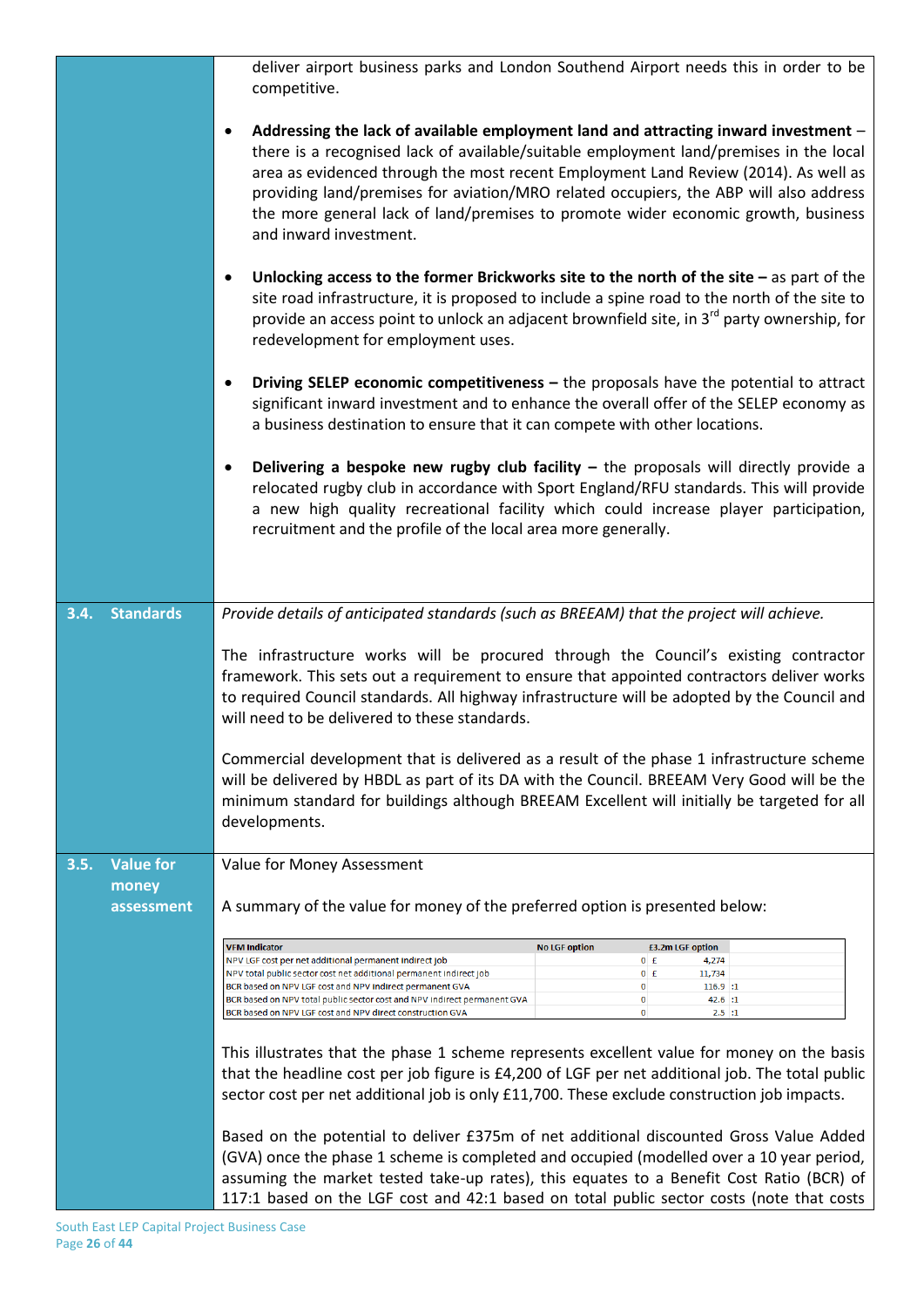|                                                 | deliver airport business parks and London Southend Airport needs this in order to be<br>competitive.                                                                                                                                                                                                                                                                                                                                                                                                                                                                                                                                                                                                                                                                                                                                                                                                                                                                                    |  |  |
|-------------------------------------------------|-----------------------------------------------------------------------------------------------------------------------------------------------------------------------------------------------------------------------------------------------------------------------------------------------------------------------------------------------------------------------------------------------------------------------------------------------------------------------------------------------------------------------------------------------------------------------------------------------------------------------------------------------------------------------------------------------------------------------------------------------------------------------------------------------------------------------------------------------------------------------------------------------------------------------------------------------------------------------------------------|--|--|
|                                                 | Addressing the lack of available employment land and attracting inward investment -<br>$\bullet$<br>there is a recognised lack of available/suitable employment land/premises in the local<br>area as evidenced through the most recent Employment Land Review (2014). As well as<br>providing land/premises for aviation/MRO related occupiers, the ABP will also address<br>the more general lack of land/premises to promote wider economic growth, business<br>and inward investment.                                                                                                                                                                                                                                                                                                                                                                                                                                                                                               |  |  |
|                                                 | Unlocking access to the former Brickworks site to the north of the site $-$ as part of the<br>٠<br>site road infrastructure, it is proposed to include a spine road to the north of the site to<br>provide an access point to unlock an adjacent brownfield site, in 3 <sup>rd</sup> party ownership, for<br>redevelopment for employment uses.                                                                                                                                                                                                                                                                                                                                                                                                                                                                                                                                                                                                                                         |  |  |
|                                                 | Driving SELEP economic competitiveness $-$ the proposals have the potential to attract<br>$\bullet$<br>significant inward investment and to enhance the overall offer of the SELEP economy as<br>a business destination to ensure that it can compete with other locations.                                                                                                                                                                                                                                                                                                                                                                                                                                                                                                                                                                                                                                                                                                             |  |  |
|                                                 | Delivering a bespoke new rugby club facility $-$ the proposals will directly provide a<br>٠<br>relocated rugby club in accordance with Sport England/RFU standards. This will provide<br>a new high quality recreational facility which could increase player participation,<br>recruitment and the profile of the local area more generally.                                                                                                                                                                                                                                                                                                                                                                                                                                                                                                                                                                                                                                           |  |  |
| <b>Standards</b><br>3.4.                        | Provide details of anticipated standards (such as BREEAM) that the project will achieve.                                                                                                                                                                                                                                                                                                                                                                                                                                                                                                                                                                                                                                                                                                                                                                                                                                                                                                |  |  |
|                                                 | The infrastructure works will be procured through the Council's existing contractor<br>framework. This sets out a requirement to ensure that appointed contractors deliver works<br>to required Council standards. All highway infrastructure will be adopted by the Council and<br>will need to be delivered to these standards.                                                                                                                                                                                                                                                                                                                                                                                                                                                                                                                                                                                                                                                       |  |  |
|                                                 | Commercial development that is delivered as a result of the phase 1 infrastructure scheme<br>will be delivered by HBDL as part of its DA with the Council. BREEAM Very Good will be the<br>minimum standard for buildings although BREEAM Excellent will initially be targeted for all<br>developments.                                                                                                                                                                                                                                                                                                                                                                                                                                                                                                                                                                                                                                                                                 |  |  |
| <b>Value for</b><br>3.5.<br>money<br>assessment | Value for Money Assessment<br>A summary of the value for money of the preferred option is presented below:                                                                                                                                                                                                                                                                                                                                                                                                                                                                                                                                                                                                                                                                                                                                                                                                                                                                              |  |  |
|                                                 | <b>VFM Indicator</b><br><b>No LGF option</b><br>£3.2m LGF option<br>NPV LGF cost per net additional permanent indirect job<br>$0$ $f$<br>4,274<br>$0$ $f$<br>NPV total public sector cost net additional permanent indirect job<br>11,734<br>BCR based on NPV LGF cost and NPV indirect permanent GVA<br>0<br>116.9 :: 1<br>0<br>BCR based on NPV total public sector cost and NPV indirect permanent GVA<br>42.6 :: 1<br>0<br>BCR based on NPV LGF cost and NPV direct construction GVA<br>2.5:1<br>This illustrates that the phase 1 scheme represents excellent value for money on the basis<br>that the headline cost per job figure is £4,200 of LGF per net additional job. The total public<br>sector cost per net additional job is only £11,700. These exclude construction job impacts.<br>Based on the potential to deliver £375m of net additional discounted Gross Value Added<br>(GVA) once the phase 1 scheme is completed and occupied (modelled over a 10 year period, |  |  |
|                                                 | assuming the market tested take-up rates), this equates to a Benefit Cost Ratio (BCR) of<br>117:1 based on the LGF cost and 42:1 based on total public sector costs (note that costs                                                                                                                                                                                                                                                                                                                                                                                                                                                                                                                                                                                                                                                                                                                                                                                                    |  |  |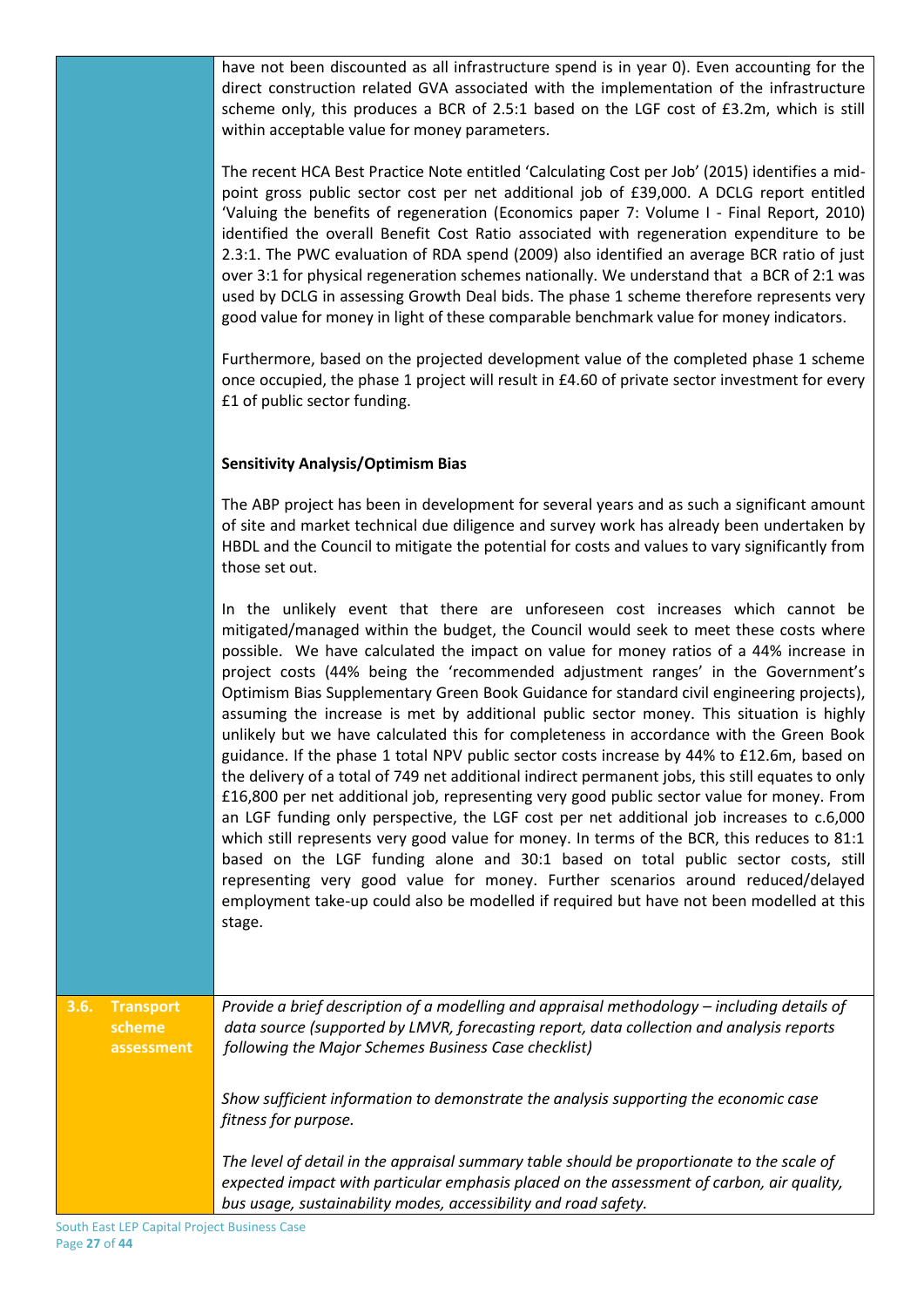have not been discounted as all infrastructure spend is in year 0). Even accounting for the direct construction related GVA associated with the implementation of the infrastructure scheme only, this produces a BCR of 2.5:1 based on the LGF cost of £3.2m, which is still within acceptable value for money parameters.

The recent HCA Best Practice Note entitled 'Calculating Cost per Job' (2015) identifies a midpoint gross public sector cost per net additional job of £39,000. A DCLG report entitled 'Valuing the benefits of regeneration (Economics paper 7: Volume I - Final Report, 2010) identified the overall Benefit Cost Ratio associated with regeneration expenditure to be 2.3:1. The PWC evaluation of RDA spend (2009) also identified an average BCR ratio of just over 3:1 for physical regeneration schemes nationally. We understand that a BCR of 2:1 was used by DCLG in assessing Growth Deal bids. The phase 1 scheme therefore represents very good value for money in light of these comparable benchmark value for money indicators.

Furthermore, based on the projected development value of the completed phase 1 scheme once occupied, the phase 1 project will result in £4.60 of private sector investment for every £1 of public sector funding.

### **Sensitivity Analysis/Optimism Bias**

The ABP project has been in development for several years and as such a significant amount of site and market technical due diligence and survey work has already been undertaken by HBDL and the Council to mitigate the potential for costs and values to vary significantly from those set out.

In the unlikely event that there are unforeseen cost increases which cannot be mitigated/managed within the budget, the Council would seek to meet these costs where possible. We have calculated the impact on value for money ratios of a 44% increase in project costs (44% being the 'recommended adjustment ranges' in the Government's Optimism Bias Supplementary Green Book Guidance for standard civil engineering projects), assuming the increase is met by additional public sector money. This situation is highly unlikely but we have calculated this for completeness in accordance with the Green Book guidance. If the phase 1 total NPV public sector costs increase by 44% to £12.6m, based on the delivery of a total of 749 net additional indirect permanent jobs, this still equates to only £16,800 per net additional job, representing very good public sector value for money. From an LGF funding only perspective, the LGF cost per net additional job increases to c.6,000 which still represents very good value for money. In terms of the BCR, this reduces to 81:1 based on the LGF funding alone and 30:1 based on total public sector costs, still representing very good value for money. Further scenarios around reduced/delayed employment take-up could also be modelled if required but have not been modelled at this stage.

| 3.6. Transport<br>scheme<br>assessment | Provide a brief description of a modelling and appraisal methodology – including details of<br>data source (supported by LMVR, forecasting report, data collection and analysis reports<br>following the Major Schemes Business Case checklist)            |
|----------------------------------------|------------------------------------------------------------------------------------------------------------------------------------------------------------------------------------------------------------------------------------------------------------|
|                                        | Show sufficient information to demonstrate the analysis supporting the economic case<br>fitness for purpose.                                                                                                                                               |
|                                        | The level of detail in the appraisal summary table should be proportionate to the scale of<br>expected impact with particular emphasis placed on the assessment of carbon, air quality,<br>bus usage, sustainability modes, accessibility and road safety. |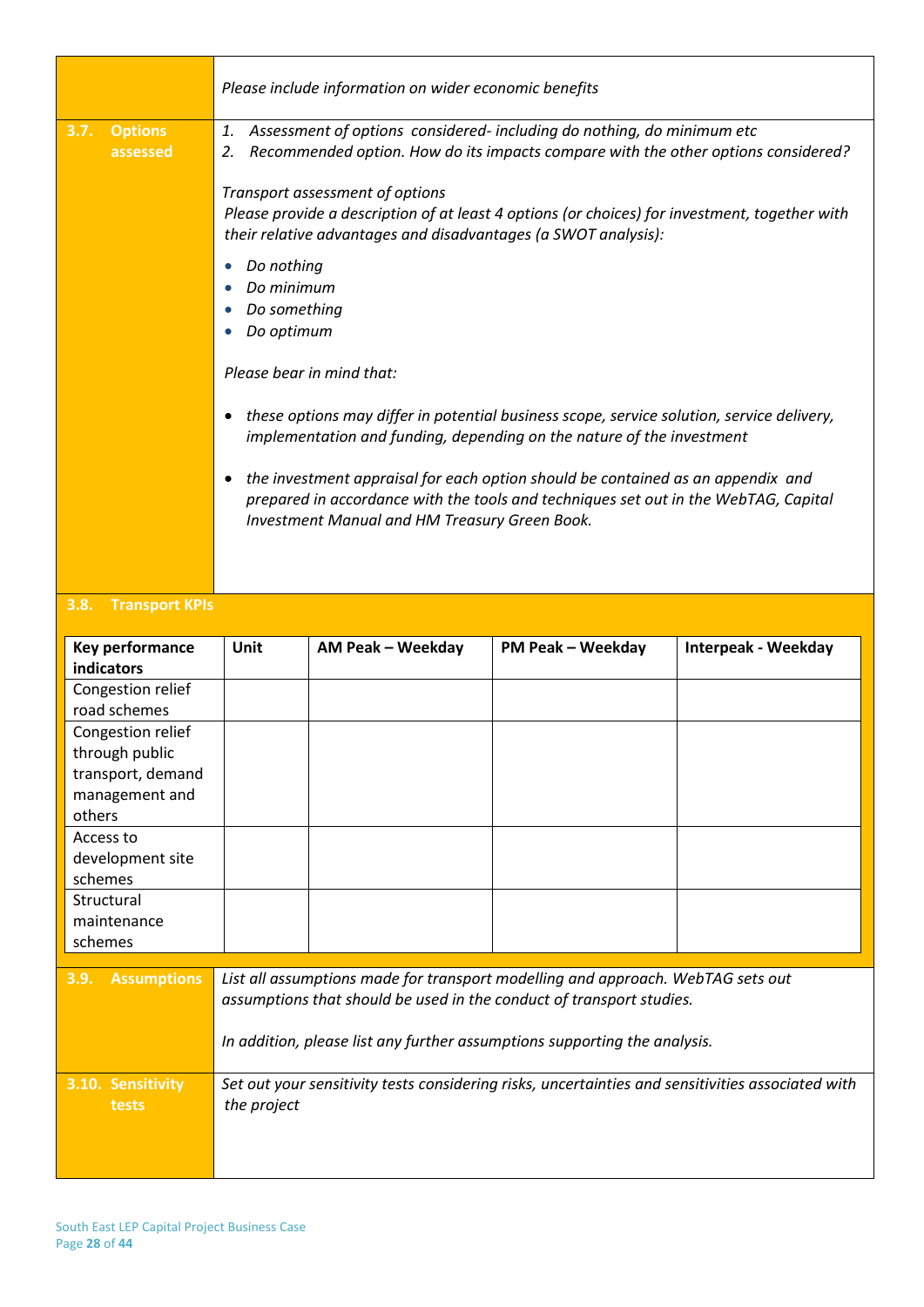|      |                | Please include information on wider economic benefits                                                                                                                                                                                                                                                                                                                                                                                                                                                                                                                                                                                                                                                        |
|------|----------------|--------------------------------------------------------------------------------------------------------------------------------------------------------------------------------------------------------------------------------------------------------------------------------------------------------------------------------------------------------------------------------------------------------------------------------------------------------------------------------------------------------------------------------------------------------------------------------------------------------------------------------------------------------------------------------------------------------------|
| 3.7. | <b>Options</b> | Assessment of options considered- including do nothing, do minimum etc<br>1.                                                                                                                                                                                                                                                                                                                                                                                                                                                                                                                                                                                                                                 |
|      | assessed       | Recommended option. How do its impacts compare with the other options considered?<br>2.                                                                                                                                                                                                                                                                                                                                                                                                                                                                                                                                                                                                                      |
|      |                | Transport assessment of options<br>Please provide a description of at least 4 options (or choices) for investment, together with<br>their relative advantages and disadvantages (a SWOT analysis):<br>Do nothing<br>٠<br>Do minimum<br>Do something<br>Do optimum<br>Please bear in mind that:<br>these options may differ in potential business scope, service solution, service delivery,<br>implementation and funding, depending on the nature of the investment<br>the investment appraisal for each option should be contained as an appendix and<br>$\bullet$<br>prepared in accordance with the tools and techniques set out in the WebTAG, Capital<br>Investment Manual and HM Treasury Green Book. |
|      |                |                                                                                                                                                                                                                                                                                                                                                                                                                                                                                                                                                                                                                                                                                                              |

#### **3.8. Transport KPIs**

| <b>Key performance</b><br><b>indicators</b> | Unit                                                                                                                                                                                                                                 | AM Peak - Weekday | <b>PM Peak - Weekday</b> | <b>Interpeak - Weekday</b> |
|---------------------------------------------|--------------------------------------------------------------------------------------------------------------------------------------------------------------------------------------------------------------------------------------|-------------------|--------------------------|----------------------------|
| Congestion relief                           |                                                                                                                                                                                                                                      |                   |                          |                            |
| road schemes                                |                                                                                                                                                                                                                                      |                   |                          |                            |
| Congestion relief                           |                                                                                                                                                                                                                                      |                   |                          |                            |
| through public                              |                                                                                                                                                                                                                                      |                   |                          |                            |
| transport, demand                           |                                                                                                                                                                                                                                      |                   |                          |                            |
| management and                              |                                                                                                                                                                                                                                      |                   |                          |                            |
| others                                      |                                                                                                                                                                                                                                      |                   |                          |                            |
| Access to                                   |                                                                                                                                                                                                                                      |                   |                          |                            |
| development site                            |                                                                                                                                                                                                                                      |                   |                          |                            |
| schemes                                     |                                                                                                                                                                                                                                      |                   |                          |                            |
| Structural                                  |                                                                                                                                                                                                                                      |                   |                          |                            |
| maintenance                                 |                                                                                                                                                                                                                                      |                   |                          |                            |
| schemes                                     |                                                                                                                                                                                                                                      |                   |                          |                            |
| <b>Assumptions</b><br>3.9.                  | List all assumptions made for transport modelling and approach. WebTAG sets out<br>assumptions that should be used in the conduct of transport studies.<br>In addition, please list any further assumptions supporting the analysis. |                   |                          |                            |
| 3.10. Sensitivity<br>tests                  | Set out your sensitivity tests considering risks, uncertainties and sensitivities associated with<br>the project                                                                                                                     |                   |                          |                            |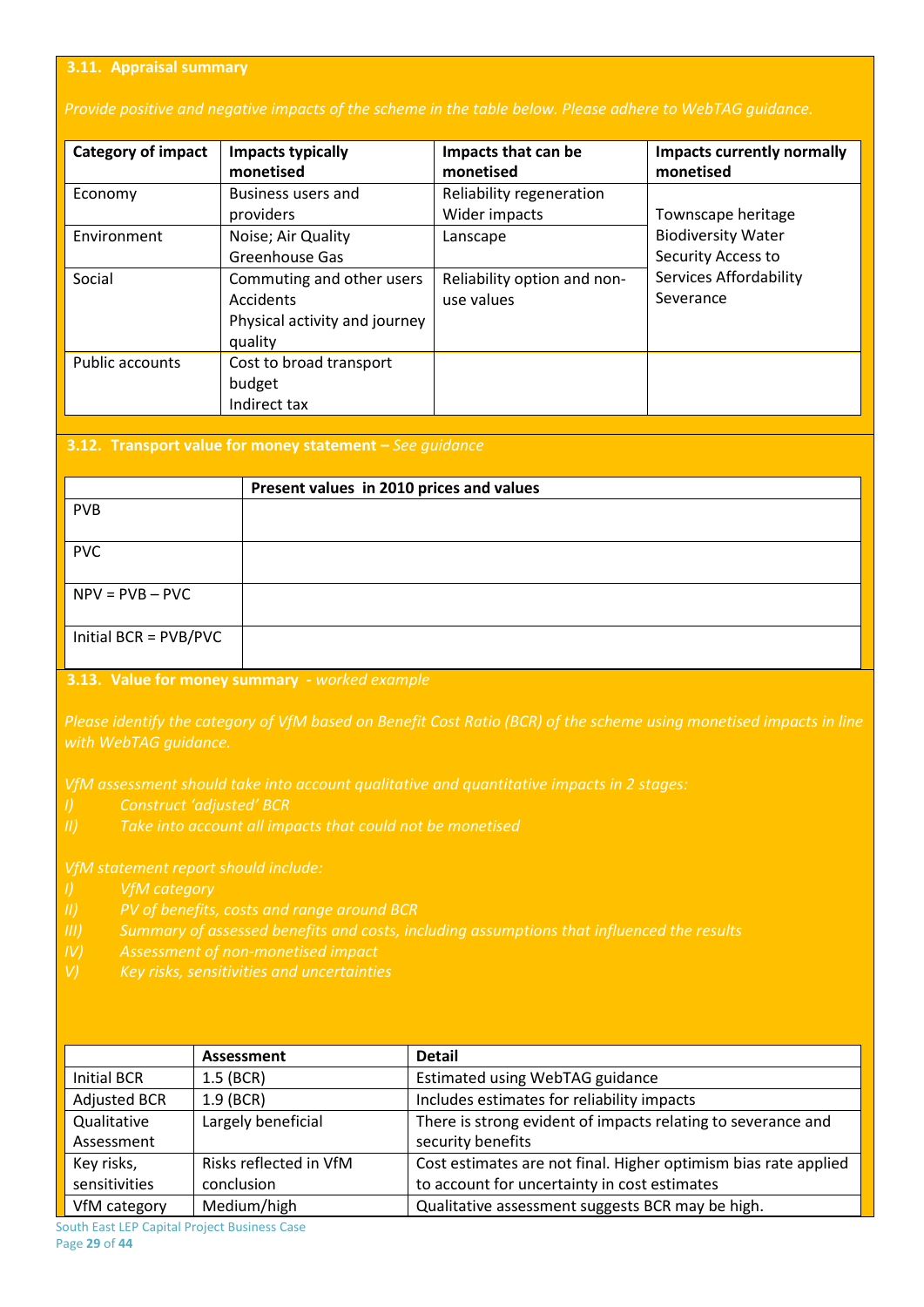#### **3.11. Appraisal summary**

#### *Provide positive and negative impacts of the scheme in the table below. Please adhere to WebTAG guidance.*

| <b>Category of impact</b> | <b>Impacts typically</b><br>monetised                                              | Impacts that can be<br>monetised          | <b>Impacts currently normally</b><br>monetised  |
|---------------------------|------------------------------------------------------------------------------------|-------------------------------------------|-------------------------------------------------|
| Economy                   | Business users and<br>providers                                                    | Reliability regeneration<br>Wider impacts | Townscape heritage                              |
| Environment               | Noise; Air Quality<br>Greenhouse Gas                                               | Lanscape                                  | <b>Biodiversity Water</b><br>Security Access to |
| Social                    | Commuting and other users<br>Accidents<br>Physical activity and journey<br>quality | Reliability option and non-<br>use values | <b>Services Affordability</b><br>Severance      |
| Public accounts           | Cost to broad transport<br>budget<br>Indirect tax                                  |                                           |                                                 |

#### **3.12. Transport value for money statement –** *See guidance*

|                       | Present values in 2010 prices and values |
|-----------------------|------------------------------------------|
| <b>PVB</b>            |                                          |
| <b>PVC</b>            |                                          |
| $NPV = PVB - PVC$     |                                          |
| Initial BCR = PVB/PVC |                                          |

#### **3.13. Value for money summary -** *worked example*

*Please identify the category of VfM based on Benefit Cost Ratio (BCR) of the scheme using monetised impacts in line* 

- 
- 

- 
- 
- 
- 

|                     | Assessment             | <b>Detail</b>                                                   |
|---------------------|------------------------|-----------------------------------------------------------------|
| Initial BCR         | $1.5$ (BCR)            | Estimated using WebTAG guidance                                 |
| <b>Adjusted BCR</b> | $1.9$ (BCR)            | Includes estimates for reliability impacts                      |
| Qualitative         | Largely beneficial     | There is strong evident of impacts relating to severance and    |
| Assessment          |                        | security benefits                                               |
| Key risks,          | Risks reflected in VfM | Cost estimates are not final. Higher optimism bias rate applied |
| sensitivities       | conclusion             | to account for uncertainty in cost estimates                    |
| VfM category        | Medium/high            | Qualitative assessment suggests BCR may be high.                |

South East LEP Capital Project Business Case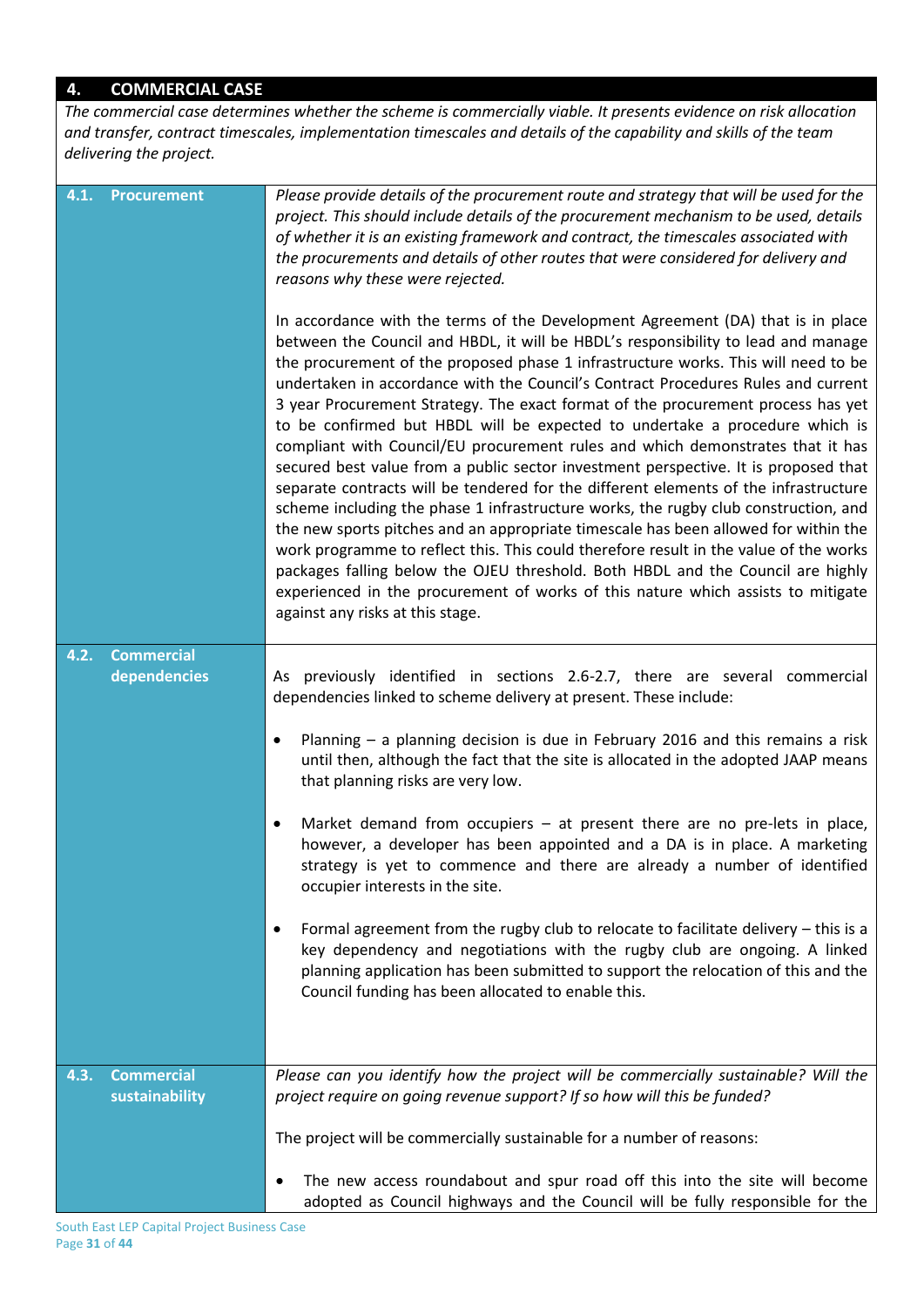### **4. COMMERCIAL CASE**

*The commercial case determines whether the scheme is commercially viable. It presents evidence on risk allocation and transfer, contract timescales, implementation timescales and details of the capability and skills of the team delivering the project.*

| 4.1. | Procurement                       | Please provide details of the procurement route and strategy that will be used for the<br>project. This should include details of the procurement mechanism to be used, details<br>of whether it is an existing framework and contract, the timescales associated with<br>the procurements and details of other routes that were considered for delivery and<br>reasons why these were rejected.<br>In accordance with the terms of the Development Agreement (DA) that is in place<br>between the Council and HBDL, it will be HBDL's responsibility to lead and manage<br>the procurement of the proposed phase 1 infrastructure works. This will need to be<br>undertaken in accordance with the Council's Contract Procedures Rules and current<br>3 year Procurement Strategy. The exact format of the procurement process has yet<br>to be confirmed but HBDL will be expected to undertake a procedure which is<br>compliant with Council/EU procurement rules and which demonstrates that it has<br>secured best value from a public sector investment perspective. It is proposed that<br>separate contracts will be tendered for the different elements of the infrastructure<br>scheme including the phase 1 infrastructure works, the rugby club construction, and<br>the new sports pitches and an appropriate timescale has been allowed for within the<br>work programme to reflect this. This could therefore result in the value of the works<br>packages falling below the OJEU threshold. Both HBDL and the Council are highly<br>experienced in the procurement of works of this nature which assists to mitigate<br>against any risks at this stage. |
|------|-----------------------------------|---------------------------------------------------------------------------------------------------------------------------------------------------------------------------------------------------------------------------------------------------------------------------------------------------------------------------------------------------------------------------------------------------------------------------------------------------------------------------------------------------------------------------------------------------------------------------------------------------------------------------------------------------------------------------------------------------------------------------------------------------------------------------------------------------------------------------------------------------------------------------------------------------------------------------------------------------------------------------------------------------------------------------------------------------------------------------------------------------------------------------------------------------------------------------------------------------------------------------------------------------------------------------------------------------------------------------------------------------------------------------------------------------------------------------------------------------------------------------------------------------------------------------------------------------------------------------------------------------------------------------------------------------------------------------|
| 4.2. | <b>Commercial</b><br>dependencies | As previously identified in sections 2.6-2.7, there are several commercial<br>dependencies linked to scheme delivery at present. These include:<br>Planning $-$ a planning decision is due in February 2016 and this remains a risk                                                                                                                                                                                                                                                                                                                                                                                                                                                                                                                                                                                                                                                                                                                                                                                                                                                                                                                                                                                                                                                                                                                                                                                                                                                                                                                                                                                                                                       |
|      |                                   | until then, although the fact that the site is allocated in the adopted JAAP means<br>that planning risks are very low.                                                                                                                                                                                                                                                                                                                                                                                                                                                                                                                                                                                                                                                                                                                                                                                                                                                                                                                                                                                                                                                                                                                                                                                                                                                                                                                                                                                                                                                                                                                                                   |
|      |                                   | Market demand from occupiers - at present there are no pre-lets in place,<br>however, a developer has been appointed and a DA is in place. A marketing<br>strategy is yet to commence and there are already a number of identified<br>occupier interests in the site.                                                                                                                                                                                                                                                                                                                                                                                                                                                                                                                                                                                                                                                                                                                                                                                                                                                                                                                                                                                                                                                                                                                                                                                                                                                                                                                                                                                                     |
|      |                                   | Formal agreement from the rugby club to relocate to facilitate delivery - this is a<br>key dependency and negotiations with the rugby club are ongoing. A linked<br>planning application has been submitted to support the relocation of this and the<br>Council funding has been allocated to enable this.                                                                                                                                                                                                                                                                                                                                                                                                                                                                                                                                                                                                                                                                                                                                                                                                                                                                                                                                                                                                                                                                                                                                                                                                                                                                                                                                                               |
| 4.3. | <b>Commercial</b>                 | Please can you identify how the project will be commercially sustainable? Will the                                                                                                                                                                                                                                                                                                                                                                                                                                                                                                                                                                                                                                                                                                                                                                                                                                                                                                                                                                                                                                                                                                                                                                                                                                                                                                                                                                                                                                                                                                                                                                                        |
|      | sustainability                    | project require on going revenue support? If so how will this be funded?                                                                                                                                                                                                                                                                                                                                                                                                                                                                                                                                                                                                                                                                                                                                                                                                                                                                                                                                                                                                                                                                                                                                                                                                                                                                                                                                                                                                                                                                                                                                                                                                  |
|      |                                   | The project will be commercially sustainable for a number of reasons:                                                                                                                                                                                                                                                                                                                                                                                                                                                                                                                                                                                                                                                                                                                                                                                                                                                                                                                                                                                                                                                                                                                                                                                                                                                                                                                                                                                                                                                                                                                                                                                                     |
|      |                                   | The new access roundabout and spur road off this into the site will become<br>adopted as Council highways and the Council will be fully responsible for the                                                                                                                                                                                                                                                                                                                                                                                                                                                                                                                                                                                                                                                                                                                                                                                                                                                                                                                                                                                                                                                                                                                                                                                                                                                                                                                                                                                                                                                                                                               |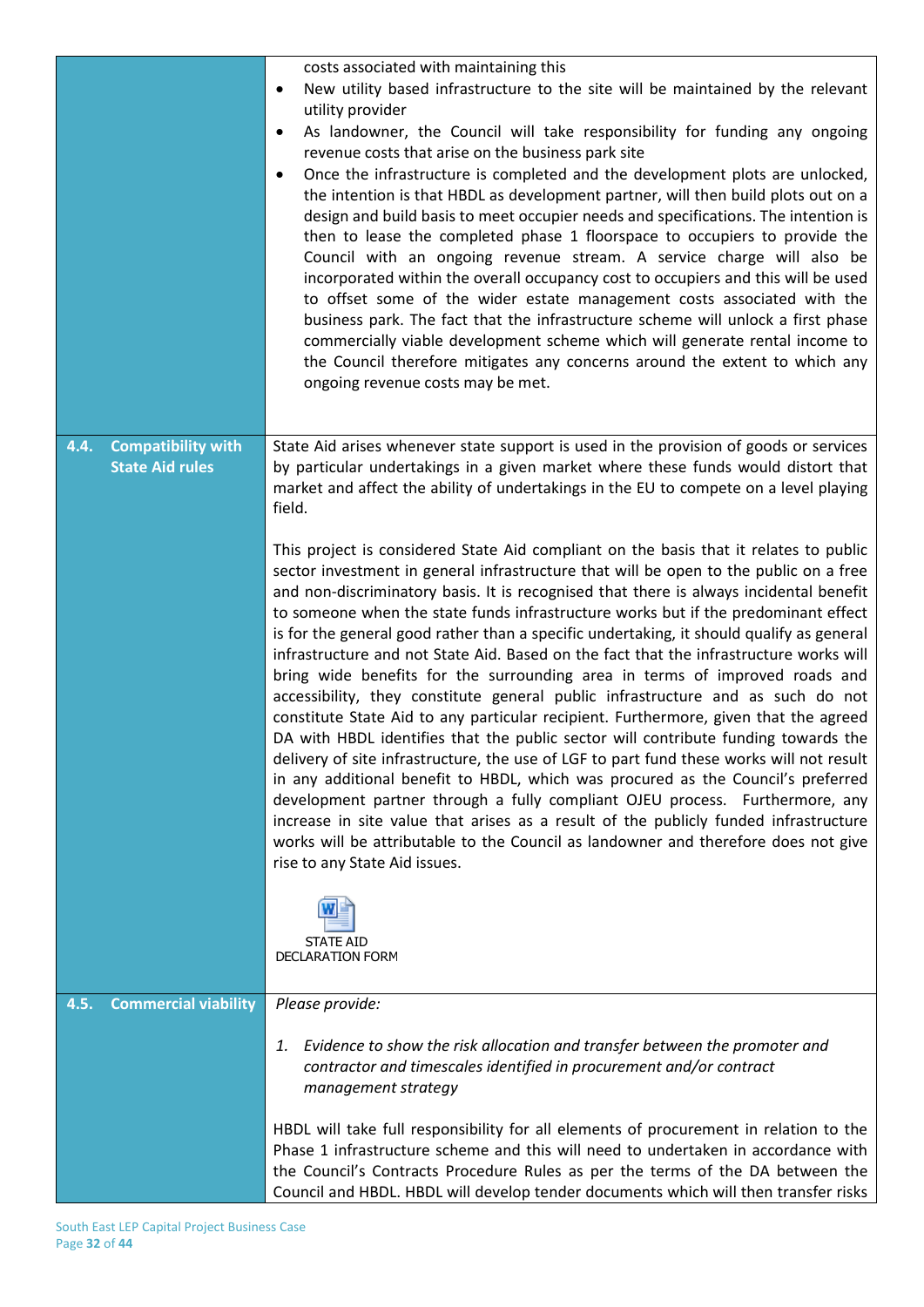|                                                             | costs associated with maintaining this<br>New utility based infrastructure to the site will be maintained by the relevant<br>$\bullet$<br>utility provider<br>As landowner, the Council will take responsibility for funding any ongoing<br>٠<br>revenue costs that arise on the business park site<br>Once the infrastructure is completed and the development plots are unlocked,<br>$\bullet$<br>the intention is that HBDL as development partner, will then build plots out on a<br>design and build basis to meet occupier needs and specifications. The intention is<br>then to lease the completed phase 1 floorspace to occupiers to provide the<br>Council with an ongoing revenue stream. A service charge will also be<br>incorporated within the overall occupancy cost to occupiers and this will be used<br>to offset some of the wider estate management costs associated with the<br>business park. The fact that the infrastructure scheme will unlock a first phase<br>commercially viable development scheme which will generate rental income to<br>the Council therefore mitigates any concerns around the extent to which any<br>ongoing revenue costs may be met.                                                                                                                                                                                                                                                                                                                                                                                                                                                                                                                           |
|-------------------------------------------------------------|---------------------------------------------------------------------------------------------------------------------------------------------------------------------------------------------------------------------------------------------------------------------------------------------------------------------------------------------------------------------------------------------------------------------------------------------------------------------------------------------------------------------------------------------------------------------------------------------------------------------------------------------------------------------------------------------------------------------------------------------------------------------------------------------------------------------------------------------------------------------------------------------------------------------------------------------------------------------------------------------------------------------------------------------------------------------------------------------------------------------------------------------------------------------------------------------------------------------------------------------------------------------------------------------------------------------------------------------------------------------------------------------------------------------------------------------------------------------------------------------------------------------------------------------------------------------------------------------------------------------------------------------------------------------------------------------------------------------|
| <b>Compatibility with</b><br>4.4.<br><b>State Aid rules</b> | State Aid arises whenever state support is used in the provision of goods or services<br>by particular undertakings in a given market where these funds would distort that<br>market and affect the ability of undertakings in the EU to compete on a level playing<br>field.<br>This project is considered State Aid compliant on the basis that it relates to public<br>sector investment in general infrastructure that will be open to the public on a free<br>and non-discriminatory basis. It is recognised that there is always incidental benefit<br>to someone when the state funds infrastructure works but if the predominant effect<br>is for the general good rather than a specific undertaking, it should qualify as general<br>infrastructure and not State Aid. Based on the fact that the infrastructure works will<br>bring wide benefits for the surrounding area in terms of improved roads and<br>accessibility, they constitute general public infrastructure and as such do not<br>constitute State Aid to any particular recipient. Furthermore, given that the agreed<br>DA with HBDL identifies that the public sector will contribute funding towards the<br>delivery of site infrastructure, the use of LGF to part fund these works will not result<br>in any additional benefit to HBDL, which was procured as the Council's preferred<br>development partner through a fully compliant OJEU process. Furthermore, any<br>increase in site value that arises as a result of the publicly funded infrastructure<br>works will be attributable to the Council as landowner and therefore does not give<br>rise to any State Aid issues.<br><b>STATE AID</b><br><b>DECLARATION FORM</b> |
| <b>Commercial viability</b><br>4.5.                         | Please provide:<br>Evidence to show the risk allocation and transfer between the promoter and<br>1.<br>contractor and timescales identified in procurement and/or contract<br>management strategy<br>HBDL will take full responsibility for all elements of procurement in relation to the<br>Phase 1 infrastructure scheme and this will need to undertaken in accordance with<br>the Council's Contracts Procedure Rules as per the terms of the DA between the<br>Council and HBDL. HBDL will develop tender documents which will then transfer risks                                                                                                                                                                                                                                                                                                                                                                                                                                                                                                                                                                                                                                                                                                                                                                                                                                                                                                                                                                                                                                                                                                                                                            |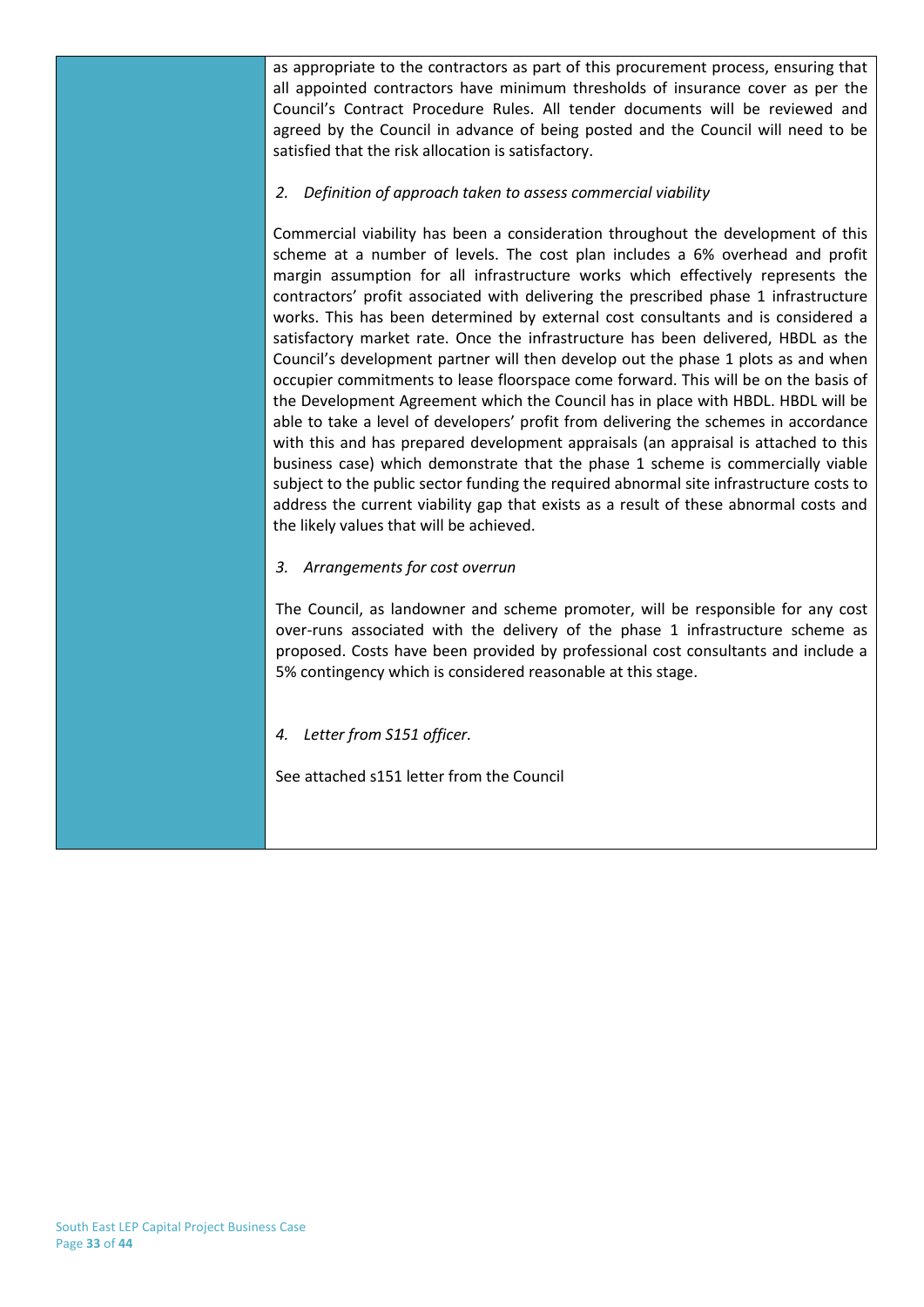as appropriate to the contractors as part of this procurement process, ensuring that all appointed contractors have minimum thresholds of insurance cover as per the Council's Contract Procedure Rules. All tender documents will be reviewed and agreed by the Council in advance of being posted and the Council will need to be satisfied that the risk allocation is satisfactory.

#### *2. Definition of approach taken to assess commercial viability*

Commercial viability has been a consideration throughout the development of this scheme at a number of levels. The cost plan includes a 6% overhead and profit margin assumption for all infrastructure works which effectively represents the contractors' profit associated with delivering the prescribed phase 1 infrastructure works. This has been determined by external cost consultants and is considered a satisfactory market rate. Once the infrastructure has been delivered, HBDL as the Council's development partner will then develop out the phase 1 plots as and when occupier commitments to lease floorspace come forward. This will be on the basis of the Development Agreement which the Council has in place with HBDL. HBDL will be able to take a level of developers' profit from delivering the schemes in accordance with this and has prepared development appraisals (an appraisal is attached to this business case) which demonstrate that the phase 1 scheme is commercially viable subject to the public sector funding the required abnormal site infrastructure costs to address the current viability gap that exists as a result of these abnormal costs and the likely values that will be achieved.

#### *3. Arrangements for cost overrun*

The Council, as landowner and scheme promoter, will be responsible for any cost over-runs associated with the delivery of the phase 1 infrastructure scheme as proposed. Costs have been provided by professional cost consultants and include a 5% contingency which is considered reasonable at this stage.

#### *4. Letter from S151 officer.*

See attached s151 letter from the Council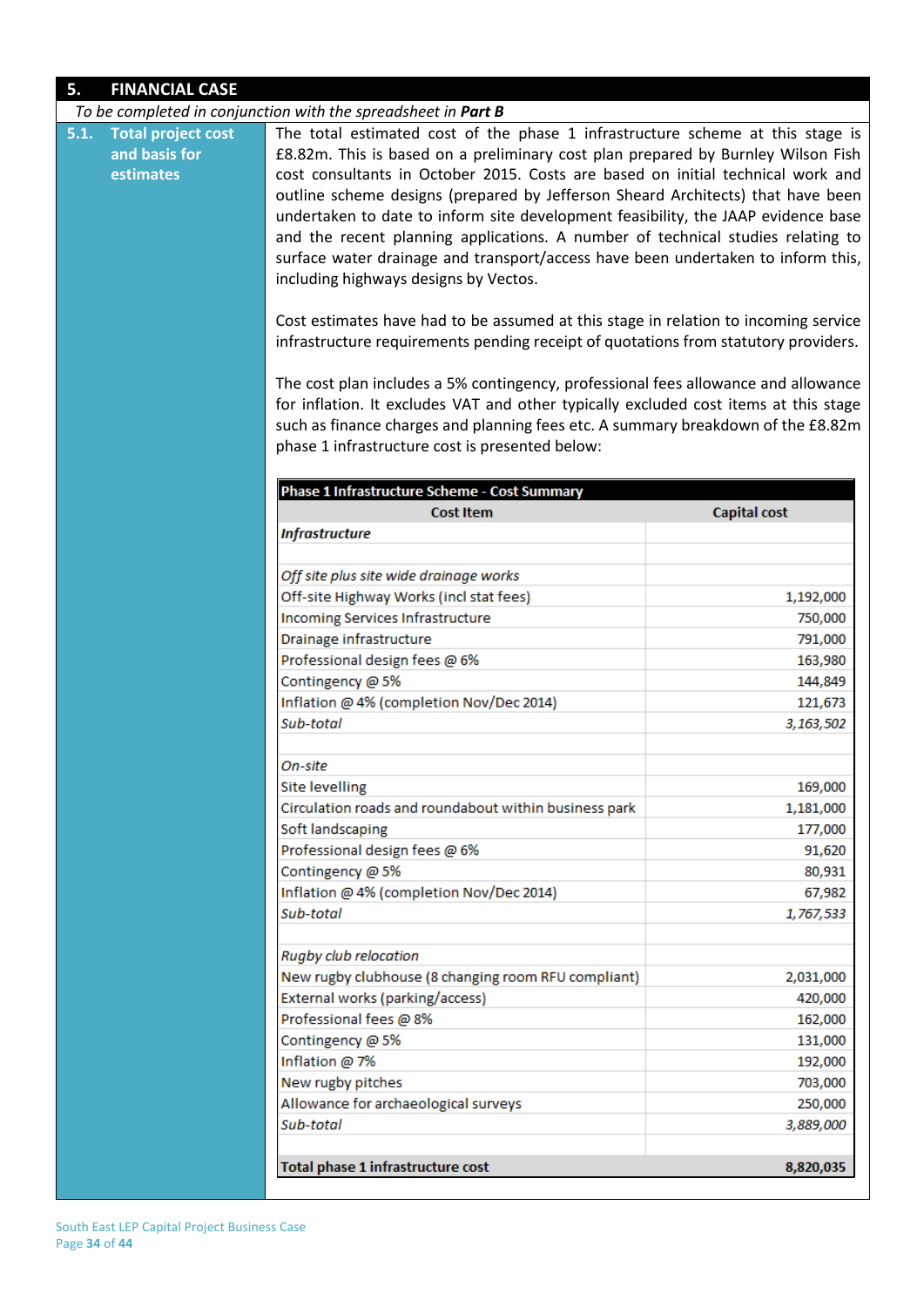| 5.                                                              | <b>FINANCIAL CASE</b> |                                                                                                                                                                                                                                                                                                                                                                                                                                                                                                                                                                                                                                                                                                                                                                                                                                                                                                                                                                                                                                                                                                                                                  |                     |  |
|-----------------------------------------------------------------|-----------------------|--------------------------------------------------------------------------------------------------------------------------------------------------------------------------------------------------------------------------------------------------------------------------------------------------------------------------------------------------------------------------------------------------------------------------------------------------------------------------------------------------------------------------------------------------------------------------------------------------------------------------------------------------------------------------------------------------------------------------------------------------------------------------------------------------------------------------------------------------------------------------------------------------------------------------------------------------------------------------------------------------------------------------------------------------------------------------------------------------------------------------------------------------|---------------------|--|
|                                                                 |                       | To be completed in conjunction with the spreadsheet in Part B                                                                                                                                                                                                                                                                                                                                                                                                                                                                                                                                                                                                                                                                                                                                                                                                                                                                                                                                                                                                                                                                                    |                     |  |
| <b>Total project cost</b><br>5.1.<br>and basis for<br>estimates |                       | The total estimated cost of the phase 1 infrastructure scheme at this stage is<br>£8.82m. This is based on a preliminary cost plan prepared by Burnley Wilson Fish<br>cost consultants in October 2015. Costs are based on initial technical work and<br>outline scheme designs (prepared by Jefferson Sheard Architects) that have been<br>undertaken to date to inform site development feasibility, the JAAP evidence base<br>and the recent planning applications. A number of technical studies relating to<br>surface water drainage and transport/access have been undertaken to inform this,<br>including highways designs by Vectos.<br>Cost estimates have had to be assumed at this stage in relation to incoming service<br>infrastructure requirements pending receipt of quotations from statutory providers.<br>The cost plan includes a 5% contingency, professional fees allowance and allowance<br>for inflation. It excludes VAT and other typically excluded cost items at this stage<br>such as finance charges and planning fees etc. A summary breakdown of the £8.82m<br>phase 1 infrastructure cost is presented below: |                     |  |
|                                                                 |                       |                                                                                                                                                                                                                                                                                                                                                                                                                                                                                                                                                                                                                                                                                                                                                                                                                                                                                                                                                                                                                                                                                                                                                  |                     |  |
|                                                                 |                       | Phase 1 Infrastructure Scheme - Cost Summary                                                                                                                                                                                                                                                                                                                                                                                                                                                                                                                                                                                                                                                                                                                                                                                                                                                                                                                                                                                                                                                                                                     |                     |  |
|                                                                 |                       | <b>Cost Item</b>                                                                                                                                                                                                                                                                                                                                                                                                                                                                                                                                                                                                                                                                                                                                                                                                                                                                                                                                                                                                                                                                                                                                 | <b>Capital cost</b> |  |
|                                                                 |                       | <b>Infrastructure</b>                                                                                                                                                                                                                                                                                                                                                                                                                                                                                                                                                                                                                                                                                                                                                                                                                                                                                                                                                                                                                                                                                                                            |                     |  |
|                                                                 |                       |                                                                                                                                                                                                                                                                                                                                                                                                                                                                                                                                                                                                                                                                                                                                                                                                                                                                                                                                                                                                                                                                                                                                                  |                     |  |
|                                                                 |                       | Off site plus site wide drainage works                                                                                                                                                                                                                                                                                                                                                                                                                                                                                                                                                                                                                                                                                                                                                                                                                                                                                                                                                                                                                                                                                                           |                     |  |
|                                                                 |                       | Off-site Highway Works (incl stat fees)                                                                                                                                                                                                                                                                                                                                                                                                                                                                                                                                                                                                                                                                                                                                                                                                                                                                                                                                                                                                                                                                                                          | 1,192,000           |  |
|                                                                 |                       | Incoming Services Infrastructure                                                                                                                                                                                                                                                                                                                                                                                                                                                                                                                                                                                                                                                                                                                                                                                                                                                                                                                                                                                                                                                                                                                 | 750,000             |  |
|                                                                 |                       | Drainage infrastructure                                                                                                                                                                                                                                                                                                                                                                                                                                                                                                                                                                                                                                                                                                                                                                                                                                                                                                                                                                                                                                                                                                                          | 791,000             |  |
|                                                                 |                       | Professional design fees @ 6%                                                                                                                                                                                                                                                                                                                                                                                                                                                                                                                                                                                                                                                                                                                                                                                                                                                                                                                                                                                                                                                                                                                    | 163,980             |  |
|                                                                 |                       | Contingency @ 5%                                                                                                                                                                                                                                                                                                                                                                                                                                                                                                                                                                                                                                                                                                                                                                                                                                                                                                                                                                                                                                                                                                                                 | 144,849             |  |
|                                                                 |                       | Inflation @ 4% (completion Nov/Dec 2014)                                                                                                                                                                                                                                                                                                                                                                                                                                                                                                                                                                                                                                                                                                                                                                                                                                                                                                                                                                                                                                                                                                         | 121,673             |  |
|                                                                 |                       | Sub-total                                                                                                                                                                                                                                                                                                                                                                                                                                                                                                                                                                                                                                                                                                                                                                                                                                                                                                                                                                                                                                                                                                                                        | 3,163,502           |  |
|                                                                 |                       |                                                                                                                                                                                                                                                                                                                                                                                                                                                                                                                                                                                                                                                                                                                                                                                                                                                                                                                                                                                                                                                                                                                                                  |                     |  |
|                                                                 |                       | On-site                                                                                                                                                                                                                                                                                                                                                                                                                                                                                                                                                                                                                                                                                                                                                                                                                                                                                                                                                                                                                                                                                                                                          |                     |  |
|                                                                 |                       | <b>Site levelling</b>                                                                                                                                                                                                                                                                                                                                                                                                                                                                                                                                                                                                                                                                                                                                                                                                                                                                                                                                                                                                                                                                                                                            | 169,000             |  |
|                                                                 |                       | Circulation roads and roundabout within business park                                                                                                                                                                                                                                                                                                                                                                                                                                                                                                                                                                                                                                                                                                                                                                                                                                                                                                                                                                                                                                                                                            | 1,181,000           |  |
|                                                                 |                       | Soft landscaping                                                                                                                                                                                                                                                                                                                                                                                                                                                                                                                                                                                                                                                                                                                                                                                                                                                                                                                                                                                                                                                                                                                                 | 177,000             |  |
|                                                                 |                       | Professional design fees @ 6%                                                                                                                                                                                                                                                                                                                                                                                                                                                                                                                                                                                                                                                                                                                                                                                                                                                                                                                                                                                                                                                                                                                    | 91,620              |  |
|                                                                 |                       | Contingency @ 5%                                                                                                                                                                                                                                                                                                                                                                                                                                                                                                                                                                                                                                                                                                                                                                                                                                                                                                                                                                                                                                                                                                                                 | 80,931              |  |
|                                                                 |                       | Inflation @ 4% (completion Nov/Dec 2014)                                                                                                                                                                                                                                                                                                                                                                                                                                                                                                                                                                                                                                                                                                                                                                                                                                                                                                                                                                                                                                                                                                         | 67,982              |  |
|                                                                 |                       | Sub-total                                                                                                                                                                                                                                                                                                                                                                                                                                                                                                                                                                                                                                                                                                                                                                                                                                                                                                                                                                                                                                                                                                                                        | 1,767,533           |  |
|                                                                 |                       | Rugby club relocation                                                                                                                                                                                                                                                                                                                                                                                                                                                                                                                                                                                                                                                                                                                                                                                                                                                                                                                                                                                                                                                                                                                            |                     |  |
|                                                                 |                       | New rugby clubhouse (8 changing room RFU compliant)                                                                                                                                                                                                                                                                                                                                                                                                                                                                                                                                                                                                                                                                                                                                                                                                                                                                                                                                                                                                                                                                                              | 2,031,000           |  |
|                                                                 |                       | External works (parking/access)                                                                                                                                                                                                                                                                                                                                                                                                                                                                                                                                                                                                                                                                                                                                                                                                                                                                                                                                                                                                                                                                                                                  | 420,000             |  |
|                                                                 |                       | Professional fees @ 8%                                                                                                                                                                                                                                                                                                                                                                                                                                                                                                                                                                                                                                                                                                                                                                                                                                                                                                                                                                                                                                                                                                                           | 162,000             |  |
|                                                                 |                       | Contingency @ 5%                                                                                                                                                                                                                                                                                                                                                                                                                                                                                                                                                                                                                                                                                                                                                                                                                                                                                                                                                                                                                                                                                                                                 | 131,000             |  |
|                                                                 |                       | Inflation @ 7%                                                                                                                                                                                                                                                                                                                                                                                                                                                                                                                                                                                                                                                                                                                                                                                                                                                                                                                                                                                                                                                                                                                                   | 192,000             |  |
|                                                                 |                       | New rugby pitches                                                                                                                                                                                                                                                                                                                                                                                                                                                                                                                                                                                                                                                                                                                                                                                                                                                                                                                                                                                                                                                                                                                                | 703,000             |  |
|                                                                 |                       | Allowance for archaeological surveys                                                                                                                                                                                                                                                                                                                                                                                                                                                                                                                                                                                                                                                                                                                                                                                                                                                                                                                                                                                                                                                                                                             | 250,000             |  |
|                                                                 |                       | Sub-total                                                                                                                                                                                                                                                                                                                                                                                                                                                                                                                                                                                                                                                                                                                                                                                                                                                                                                                                                                                                                                                                                                                                        | 3,889,000           |  |
|                                                                 |                       | Total phase 1 infrastructure cost                                                                                                                                                                                                                                                                                                                                                                                                                                                                                                                                                                                                                                                                                                                                                                                                                                                                                                                                                                                                                                                                                                                | 8,820,035           |  |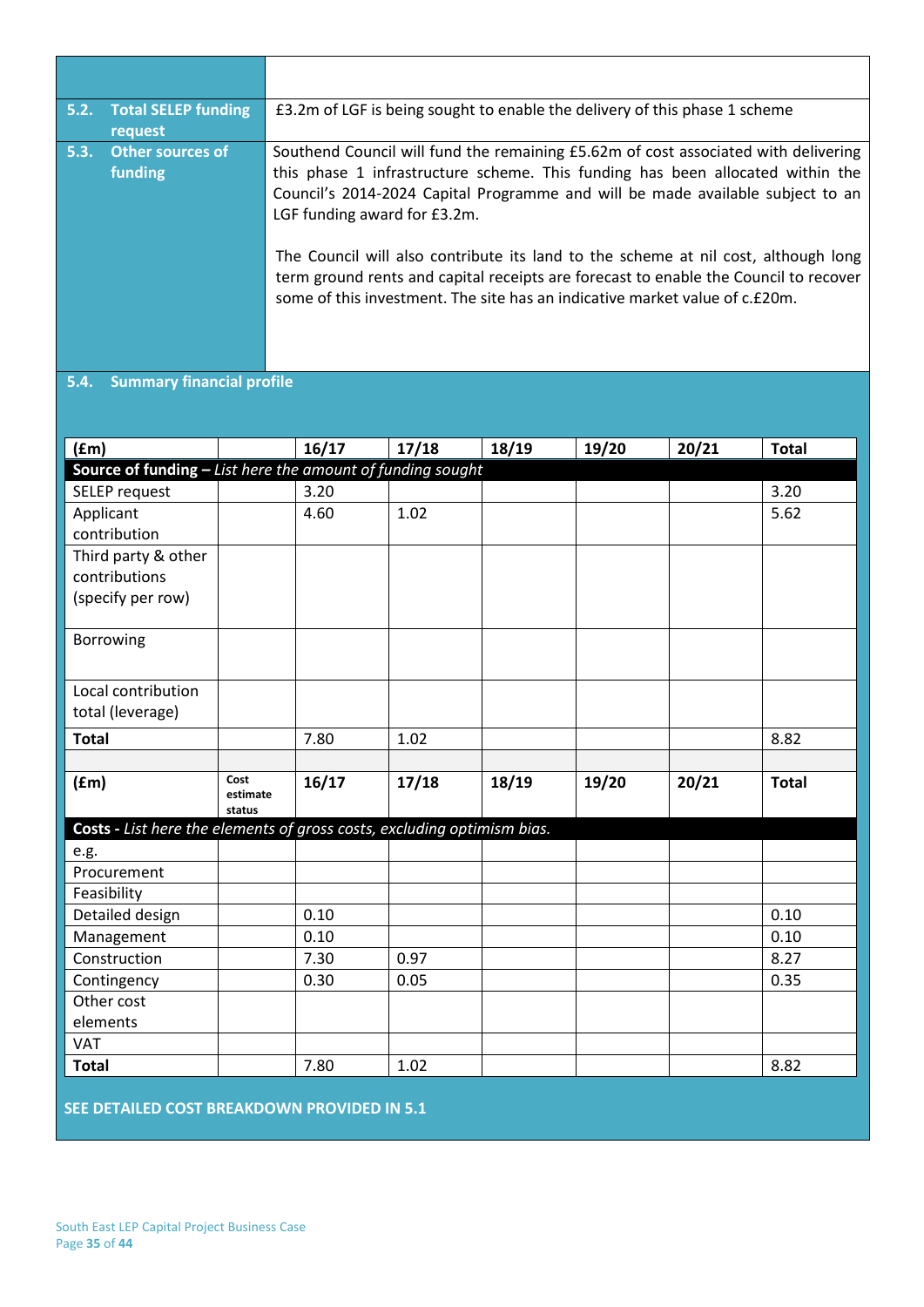| 5.2. | <b>Total SELEP funding</b><br>request | £3.2m of LGF is being sought to enable the delivery of this phase 1 scheme                                                                                                                                                                                                                                                                                                                                                                                                                                                                          |
|------|---------------------------------------|-----------------------------------------------------------------------------------------------------------------------------------------------------------------------------------------------------------------------------------------------------------------------------------------------------------------------------------------------------------------------------------------------------------------------------------------------------------------------------------------------------------------------------------------------------|
| 5.3. | <b>Other sources of</b><br>funding    | Southend Council will fund the remaining £5.62m of cost associated with delivering<br>this phase 1 infrastructure scheme. This funding has been allocated within the<br>Council's 2014-2024 Capital Programme and will be made available subject to an<br>LGF funding award for £3.2m.<br>The Council will also contribute its land to the scheme at nil cost, although long<br>term ground rents and capital receipts are forecast to enable the Council to recover<br>some of this investment. The site has an indicative market value of c.£20m. |

### **5.4. Summary financial profile**

| (fm)                                                                    |                  | 16/17 | 17/18 | 18/19 | 19/20 | 20/21 | <b>Total</b> |
|-------------------------------------------------------------------------|------------------|-------|-------|-------|-------|-------|--------------|
| Source of funding - List here the amount of funding sought              |                  |       |       |       |       |       |              |
| <b>SELEP</b> request                                                    |                  | 3.20  |       |       |       |       | 3.20         |
| Applicant                                                               |                  | 4.60  | 1.02  |       |       |       | 5.62         |
| contribution                                                            |                  |       |       |       |       |       |              |
| Third party & other                                                     |                  |       |       |       |       |       |              |
| contributions                                                           |                  |       |       |       |       |       |              |
| (specify per row)                                                       |                  |       |       |       |       |       |              |
|                                                                         |                  |       |       |       |       |       |              |
| Borrowing                                                               |                  |       |       |       |       |       |              |
|                                                                         |                  |       |       |       |       |       |              |
| Local contribution                                                      |                  |       |       |       |       |       |              |
| total (leverage)                                                        |                  |       |       |       |       |       |              |
| <b>Total</b>                                                            |                  | 7.80  | 1.02  |       |       |       | 8.82         |
|                                                                         |                  |       |       |       |       |       |              |
| (fm)                                                                    | Cost<br>estimate | 16/17 | 17/18 | 18/19 | 19/20 | 20/21 | <b>Total</b> |
|                                                                         | status           |       |       |       |       |       |              |
| Costs - List here the elements of gross costs, excluding optimism bias. |                  |       |       |       |       |       |              |
| e.g.                                                                    |                  |       |       |       |       |       |              |
| Procurement                                                             |                  |       |       |       |       |       |              |
| Feasibility                                                             |                  |       |       |       |       |       |              |
| Detailed design                                                         |                  | 0.10  |       |       |       |       | 0.10         |
| Management                                                              |                  | 0.10  |       |       |       |       | 0.10         |
| Construction                                                            |                  | 7.30  | 0.97  |       |       |       | 8.27         |
| Contingency                                                             |                  | 0.30  | 0.05  |       |       |       | 0.35         |
| Other cost                                                              |                  |       |       |       |       |       |              |
| elements                                                                |                  |       |       |       |       |       |              |
| <b>VAT</b>                                                              |                  |       |       |       |       |       |              |
| <b>Total</b>                                                            |                  | 7.80  | 1.02  |       |       |       | 8.82         |

**SEE DETAILED COST BREAKDOWN PROVIDED IN 5.1**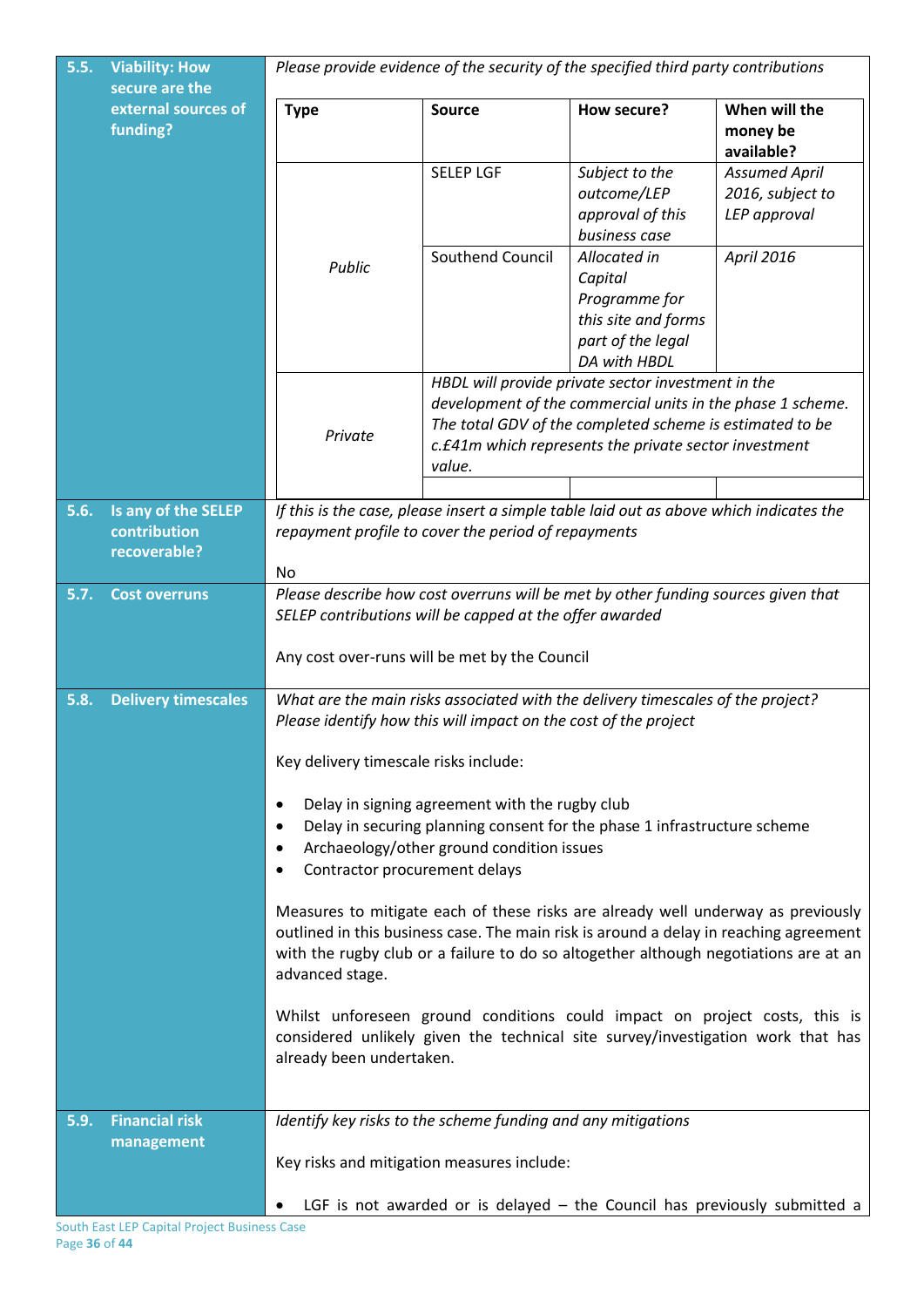| 5.5. | <b>Viability: How</b><br>secure are the             | Please provide evidence of the security of the specified third party contributions                                                                                                                                                                                                                                                                                                                                                                                                                                                                                                                                                                                                                                                                                                                                                                                                                                       |                                                                                                            |                                                                                                                                                                                                                                       |                                                                             |  |
|------|-----------------------------------------------------|--------------------------------------------------------------------------------------------------------------------------------------------------------------------------------------------------------------------------------------------------------------------------------------------------------------------------------------------------------------------------------------------------------------------------------------------------------------------------------------------------------------------------------------------------------------------------------------------------------------------------------------------------------------------------------------------------------------------------------------------------------------------------------------------------------------------------------------------------------------------------------------------------------------------------|------------------------------------------------------------------------------------------------------------|---------------------------------------------------------------------------------------------------------------------------------------------------------------------------------------------------------------------------------------|-----------------------------------------------------------------------------|--|
|      | external sources of<br>funding?                     | <b>Type</b>                                                                                                                                                                                                                                                                                                                                                                                                                                                                                                                                                                                                                                                                                                                                                                                                                                                                                                              | <b>Source</b>                                                                                              | How secure?                                                                                                                                                                                                                           | When will the<br>money be<br>available?                                     |  |
|      |                                                     |                                                                                                                                                                                                                                                                                                                                                                                                                                                                                                                                                                                                                                                                                                                                                                                                                                                                                                                          | <b>SELEP LGF</b>                                                                                           | Subject to the<br>outcome/LEP<br>approval of this<br>business case                                                                                                                                                                    | <b>Assumed April</b><br>2016, subject to<br>LEP approval                    |  |
|      |                                                     | Public                                                                                                                                                                                                                                                                                                                                                                                                                                                                                                                                                                                                                                                                                                                                                                                                                                                                                                                   | Southend Council                                                                                           | Allocated in<br>Capital<br>Programme for<br>this site and forms<br>part of the legal<br>DA with HBDL                                                                                                                                  | April 2016                                                                  |  |
|      |                                                     | Private                                                                                                                                                                                                                                                                                                                                                                                                                                                                                                                                                                                                                                                                                                                                                                                                                                                                                                                  | value.                                                                                                     | HBDL will provide private sector investment in the<br>development of the commercial units in the phase 1 scheme.<br>The total GDV of the completed scheme is estimated to be<br>c.£41m which represents the private sector investment |                                                                             |  |
| 5.6. | Is any of the SELEP<br>contribution<br>recoverable? | If this is the case, please insert a simple table laid out as above which indicates the<br>repayment profile to cover the period of repayments<br>No                                                                                                                                                                                                                                                                                                                                                                                                                                                                                                                                                                                                                                                                                                                                                                     |                                                                                                            |                                                                                                                                                                                                                                       |                                                                             |  |
| 5.7. | <b>Cost overruns</b>                                | Please describe how cost overruns will be met by other funding sources given that<br>SELEP contributions will be capped at the offer awarded<br>Any cost over-runs will be met by the Council                                                                                                                                                                                                                                                                                                                                                                                                                                                                                                                                                                                                                                                                                                                            |                                                                                                            |                                                                                                                                                                                                                                       |                                                                             |  |
| 5.8. | <b>Delivery timescales</b>                          | What are the main risks associated with the delivery timescales of the project?<br>Please identify how this will impact on the cost of the project<br>Key delivery timescale risks include:<br>Delay in signing agreement with the rugby club<br>٠<br>Delay in securing planning consent for the phase 1 infrastructure scheme<br>$\bullet$<br>Archaeology/other ground condition issues<br>٠<br>Contractor procurement delays<br>٠<br>Measures to mitigate each of these risks are already well underway as previously<br>outlined in this business case. The main risk is around a delay in reaching agreement<br>with the rugby club or a failure to do so altogether although negotiations are at an<br>advanced stage.<br>Whilst unforeseen ground conditions could impact on project costs, this is<br>considered unlikely given the technical site survey/investigation work that has<br>already been undertaken. |                                                                                                            |                                                                                                                                                                                                                                       |                                                                             |  |
| 5.9. | <b>Financial risk</b><br>management                 | ٠                                                                                                                                                                                                                                                                                                                                                                                                                                                                                                                                                                                                                                                                                                                                                                                                                                                                                                                        | Identify key risks to the scheme funding and any mitigations<br>Key risks and mitigation measures include: |                                                                                                                                                                                                                                       | LGF is not awarded or is delayed $-$ the Council has previously submitted a |  |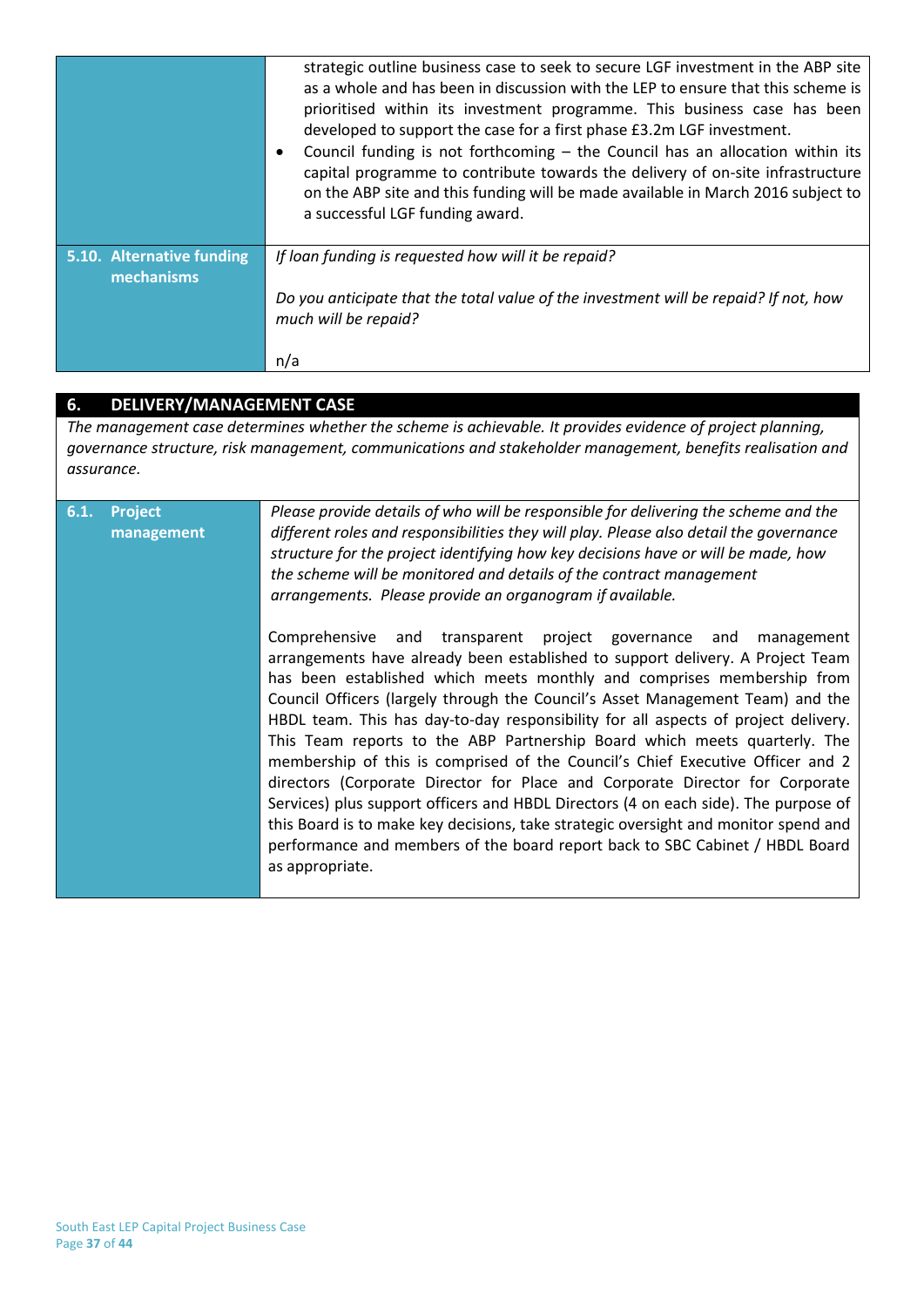|                                         | strategic outline business case to seek to secure LGF investment in the ABP site<br>as a whole and has been in discussion with the LEP to ensure that this scheme is<br>prioritised within its investment programme. This business case has been<br>developed to support the case for a first phase £3.2m LGF investment.<br>Council funding is not forthcoming - the Council has an allocation within its<br>٠<br>capital programme to contribute towards the delivery of on-site infrastructure<br>on the ABP site and this funding will be made available in March 2016 subject to<br>a successful LGF funding award. |
|-----------------------------------------|--------------------------------------------------------------------------------------------------------------------------------------------------------------------------------------------------------------------------------------------------------------------------------------------------------------------------------------------------------------------------------------------------------------------------------------------------------------------------------------------------------------------------------------------------------------------------------------------------------------------------|
| 5.10. Alternative funding<br>mechanisms | If loan funding is requested how will it be repaid?                                                                                                                                                                                                                                                                                                                                                                                                                                                                                                                                                                      |
|                                         | Do you anticipate that the total value of the investment will be repaid? If not, how<br>much will be repaid?                                                                                                                                                                                                                                                                                                                                                                                                                                                                                                             |
|                                         | n/a                                                                                                                                                                                                                                                                                                                                                                                                                                                                                                                                                                                                                      |

### **6. DELIVERY/MANAGEMENT CASE**

*The management case determines whether the scheme is achievable. It provides evidence of project planning, governance structure, risk management, communications and stakeholder management, benefits realisation and assurance.*

| 6.1. | <b>Project</b><br>management | Please provide details of who will be responsible for delivering the scheme and the<br>different roles and responsibilities they will play. Please also detail the governance<br>structure for the project identifying how key decisions have or will be made, how                                                                         |  |  |  |
|------|------------------------------|--------------------------------------------------------------------------------------------------------------------------------------------------------------------------------------------------------------------------------------------------------------------------------------------------------------------------------------------|--|--|--|
|      |                              | the scheme will be monitored and details of the contract management<br>arrangements. Please provide an organogram if available.                                                                                                                                                                                                            |  |  |  |
|      |                              | Comprehensive and transparent project governance and<br>management<br>arrangements have already been established to support delivery. A Project Team<br>has been established which meets monthly and comprises membership from<br>Council Officers (largely through the Council's Asset Management Team) and the                           |  |  |  |
|      |                              | HBDL team. This has day-to-day responsibility for all aspects of project delivery.<br>This Team reports to the ABP Partnership Board which meets quarterly. The<br>membership of this is comprised of the Council's Chief Executive Officer and 2                                                                                          |  |  |  |
|      |                              | directors (Corporate Director for Place and Corporate Director for Corporate<br>Services) plus support officers and HBDL Directors (4 on each side). The purpose of<br>this Board is to make key decisions, take strategic oversight and monitor spend and<br>performance and members of the board report back to SBC Cabinet / HBDL Board |  |  |  |
|      |                              | as appropriate.                                                                                                                                                                                                                                                                                                                            |  |  |  |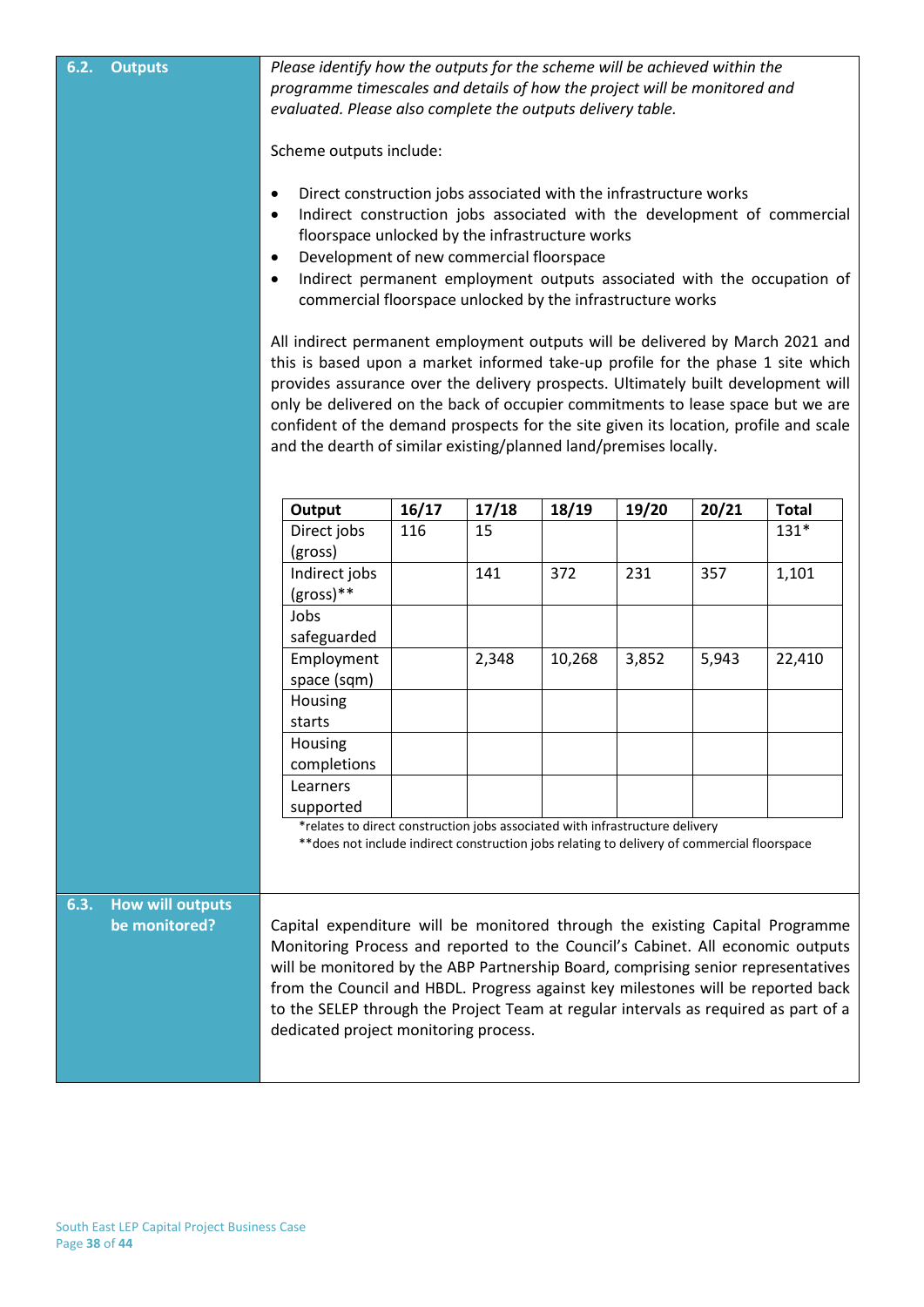| 6.2. | <b>Outputs</b>                           | Please identify how the outputs for the scheme will be achieved within the<br>programme timescales and details of how the project will be monitored and<br>evaluated. Please also complete the outputs delivery table.<br>Scheme outputs include:<br>Direct construction jobs associated with the infrastructure works<br>$\bullet$<br>Indirect construction jobs associated with the development of commercial<br>$\bullet$<br>floorspace unlocked by the infrastructure works<br>Development of new commercial floorspace<br>$\bullet$<br>Indirect permanent employment outputs associated with the occupation of<br>$\bullet$<br>commercial floorspace unlocked by the infrastructure works<br>All indirect permanent employment outputs will be delivered by March 2021 and<br>this is based upon a market informed take-up profile for the phase 1 site which<br>provides assurance over the delivery prospects. Ultimately built development will<br>only be delivered on the back of occupier commitments to lease space but we are<br>confident of the demand prospects for the site given its location, profile and scale<br>and the dearth of similar existing/planned land/premises locally. |       |       |        |       |       |              |
|------|------------------------------------------|---------------------------------------------------------------------------------------------------------------------------------------------------------------------------------------------------------------------------------------------------------------------------------------------------------------------------------------------------------------------------------------------------------------------------------------------------------------------------------------------------------------------------------------------------------------------------------------------------------------------------------------------------------------------------------------------------------------------------------------------------------------------------------------------------------------------------------------------------------------------------------------------------------------------------------------------------------------------------------------------------------------------------------------------------------------------------------------------------------------------------------------------------------------------------------------------------------|-------|-------|--------|-------|-------|--------------|
|      |                                          | Output                                                                                                                                                                                                                                                                                                                                                                                                                                                                                                                                                                                                                                                                                                                                                                                                                                                                                                                                                                                                                                                                                                                                                                                                  | 16/17 | 17/18 | 18/19  | 19/20 | 20/21 | <b>Total</b> |
|      |                                          | Direct jobs<br>(gross)                                                                                                                                                                                                                                                                                                                                                                                                                                                                                                                                                                                                                                                                                                                                                                                                                                                                                                                                                                                                                                                                                                                                                                                  | 116   | 15    |        |       |       | $131*$       |
|      |                                          | Indirect jobs<br>$(gross)**$                                                                                                                                                                                                                                                                                                                                                                                                                                                                                                                                                                                                                                                                                                                                                                                                                                                                                                                                                                                                                                                                                                                                                                            |       | 141   | 372    | 231   | 357   | 1,101        |
|      |                                          | Jobs<br>safeguarded                                                                                                                                                                                                                                                                                                                                                                                                                                                                                                                                                                                                                                                                                                                                                                                                                                                                                                                                                                                                                                                                                                                                                                                     |       |       |        |       |       |              |
|      |                                          | Employment<br>space (sqm)                                                                                                                                                                                                                                                                                                                                                                                                                                                                                                                                                                                                                                                                                                                                                                                                                                                                                                                                                                                                                                                                                                                                                                               |       | 2,348 | 10,268 | 3,852 | 5,943 | 22,410       |
|      |                                          | Housing<br>starts                                                                                                                                                                                                                                                                                                                                                                                                                                                                                                                                                                                                                                                                                                                                                                                                                                                                                                                                                                                                                                                                                                                                                                                       |       |       |        |       |       |              |
|      |                                          | Housing                                                                                                                                                                                                                                                                                                                                                                                                                                                                                                                                                                                                                                                                                                                                                                                                                                                                                                                                                                                                                                                                                                                                                                                                 |       |       |        |       |       |              |
|      |                                          | completions                                                                                                                                                                                                                                                                                                                                                                                                                                                                                                                                                                                                                                                                                                                                                                                                                                                                                                                                                                                                                                                                                                                                                                                             |       |       |        |       |       |              |
|      |                                          | Learners                                                                                                                                                                                                                                                                                                                                                                                                                                                                                                                                                                                                                                                                                                                                                                                                                                                                                                                                                                                                                                                                                                                                                                                                |       |       |        |       |       |              |
|      |                                          | supported<br>*relates to direct construction jobs associated with infrastructure delivery<br>** does not include indirect construction jobs relating to delivery of commercial floorspace                                                                                                                                                                                                                                                                                                                                                                                                                                                                                                                                                                                                                                                                                                                                                                                                                                                                                                                                                                                                               |       |       |        |       |       |              |
|      |                                          |                                                                                                                                                                                                                                                                                                                                                                                                                                                                                                                                                                                                                                                                                                                                                                                                                                                                                                                                                                                                                                                                                                                                                                                                         |       |       |        |       |       |              |
| 6.3. | <b>How will outputs</b><br>be monitored? | Capital expenditure will be monitored through the existing Capital Programme<br>Monitoring Process and reported to the Council's Cabinet. All economic outputs<br>will be monitored by the ABP Partnership Board, comprising senior representatives<br>from the Council and HBDL. Progress against key milestones will be reported back<br>to the SELEP through the Project Team at regular intervals as required as part of a<br>dedicated project monitoring process.                                                                                                                                                                                                                                                                                                                                                                                                                                                                                                                                                                                                                                                                                                                                 |       |       |        |       |       |              |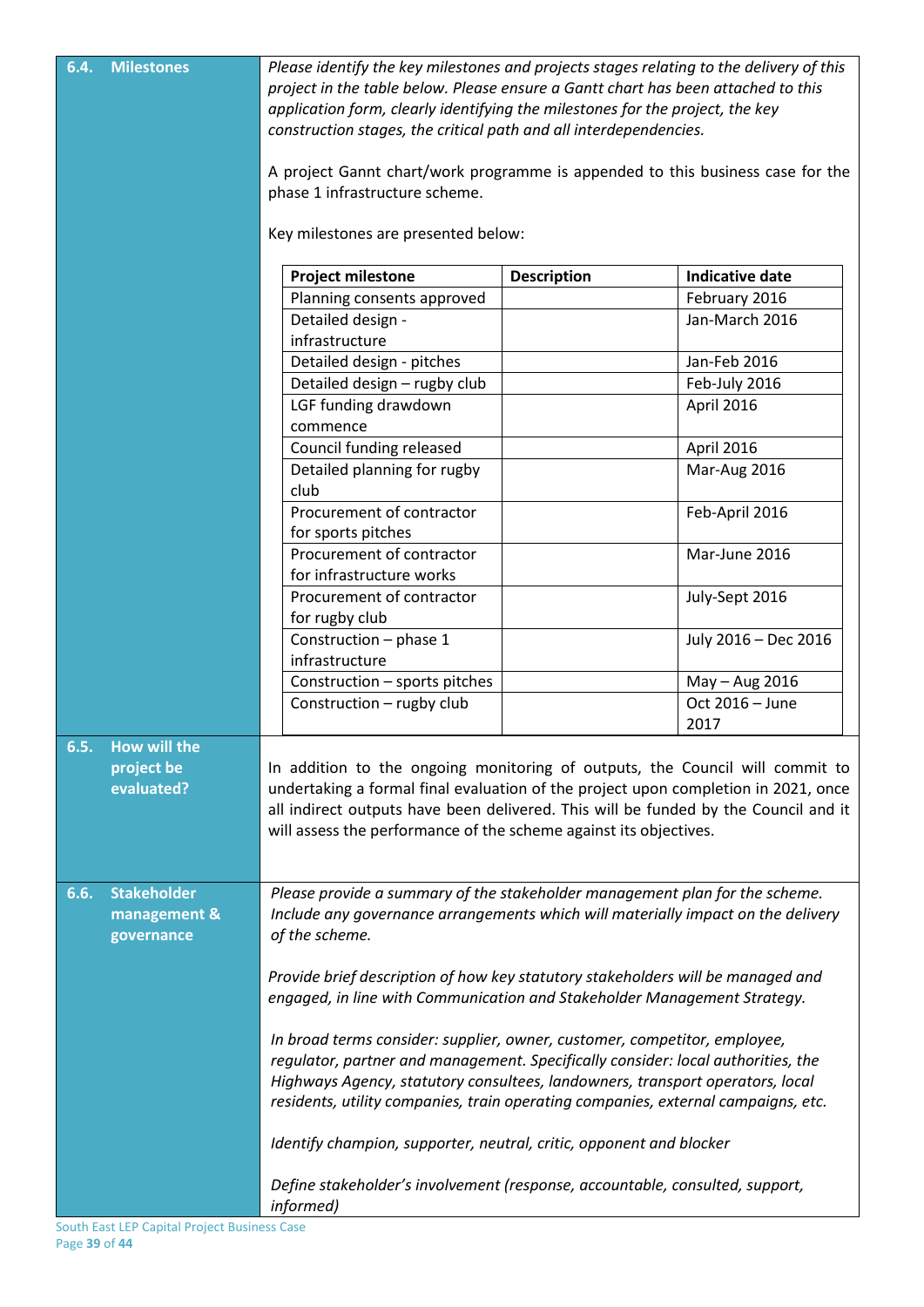| 6.4. | <b>Milestones</b>                                | Please identify the key milestones and projects stages relating to the delivery of this<br>project in the table below. Please ensure a Gantt chart has been attached to this<br>application form, clearly identifying the milestones for the project, the key<br>construction stages, the critical path and all interdependencies.<br>A project Gannt chart/work programme is appended to this business case for the<br>phase 1 infrastructure scheme.<br>Key milestones are presented below: |                    |                             |  |  |
|------|--------------------------------------------------|-----------------------------------------------------------------------------------------------------------------------------------------------------------------------------------------------------------------------------------------------------------------------------------------------------------------------------------------------------------------------------------------------------------------------------------------------------------------------------------------------|--------------------|-----------------------------|--|--|
|      |                                                  |                                                                                                                                                                                                                                                                                                                                                                                                                                                                                               |                    |                             |  |  |
|      |                                                  | <b>Project milestone</b>                                                                                                                                                                                                                                                                                                                                                                                                                                                                      | <b>Description</b> | <b>Indicative date</b>      |  |  |
|      |                                                  | Planning consents approved                                                                                                                                                                                                                                                                                                                                                                                                                                                                    |                    | February 2016               |  |  |
|      |                                                  | Detailed design -<br>infrastructure                                                                                                                                                                                                                                                                                                                                                                                                                                                           |                    | Jan-March 2016              |  |  |
|      |                                                  | Detailed design - pitches                                                                                                                                                                                                                                                                                                                                                                                                                                                                     |                    | Jan-Feb 2016                |  |  |
|      |                                                  | Detailed design - rugby club                                                                                                                                                                                                                                                                                                                                                                                                                                                                  |                    |                             |  |  |
|      |                                                  | LGF funding drawdown                                                                                                                                                                                                                                                                                                                                                                                                                                                                          |                    | Feb-July 2016<br>April 2016 |  |  |
|      |                                                  | commence                                                                                                                                                                                                                                                                                                                                                                                                                                                                                      |                    |                             |  |  |
|      |                                                  | Council funding released                                                                                                                                                                                                                                                                                                                                                                                                                                                                      |                    | April 2016                  |  |  |
|      |                                                  | Detailed planning for rugby                                                                                                                                                                                                                                                                                                                                                                                                                                                                   |                    | Mar-Aug 2016                |  |  |
|      |                                                  | club                                                                                                                                                                                                                                                                                                                                                                                                                                                                                          |                    |                             |  |  |
|      |                                                  | Procurement of contractor                                                                                                                                                                                                                                                                                                                                                                                                                                                                     |                    | Feb-April 2016              |  |  |
|      |                                                  | for sports pitches                                                                                                                                                                                                                                                                                                                                                                                                                                                                            |                    |                             |  |  |
|      |                                                  | Procurement of contractor                                                                                                                                                                                                                                                                                                                                                                                                                                                                     |                    | Mar-June 2016               |  |  |
|      | for infrastructure works                         |                                                                                                                                                                                                                                                                                                                                                                                                                                                                                               |                    |                             |  |  |
|      |                                                  | Procurement of contractor<br>for rugby club                                                                                                                                                                                                                                                                                                                                                                                                                                                   |                    | July-Sept 2016              |  |  |
|      |                                                  | Construction - phase 1                                                                                                                                                                                                                                                                                                                                                                                                                                                                        |                    | July 2016 - Dec 2016        |  |  |
|      |                                                  | infrastructure                                                                                                                                                                                                                                                                                                                                                                                                                                                                                |                    |                             |  |  |
|      |                                                  | Construction - sports pitches                                                                                                                                                                                                                                                                                                                                                                                                                                                                 |                    | May - Aug 2016              |  |  |
|      |                                                  | Construction - rugby club                                                                                                                                                                                                                                                                                                                                                                                                                                                                     |                    | Oct 2016 - June             |  |  |
|      |                                                  |                                                                                                                                                                                                                                                                                                                                                                                                                                                                                               |                    | 2017                        |  |  |
| 6.5. | <b>How will the</b><br>project be<br>evaluated?  | In addition to the ongoing monitoring of outputs, the Council will commit to<br>undertaking a formal final evaluation of the project upon completion in 2021, once<br>all indirect outputs have been delivered. This will be funded by the Council and it<br>will assess the performance of the scheme against its objectives.                                                                                                                                                                |                    |                             |  |  |
| 6.6. | <b>Stakeholder</b><br>management &<br>governance | Please provide a summary of the stakeholder management plan for the scheme.<br>Include any governance arrangements which will materially impact on the delivery<br>of the scheme.                                                                                                                                                                                                                                                                                                             |                    |                             |  |  |
|      |                                                  | Provide brief description of how key statutory stakeholders will be managed and<br>engaged, in line with Communication and Stakeholder Management Strategy.                                                                                                                                                                                                                                                                                                                                   |                    |                             |  |  |
|      |                                                  | In broad terms consider: supplier, owner, customer, competitor, employee,<br>regulator, partner and management. Specifically consider: local authorities, the<br>Highways Agency, statutory consultees, landowners, transport operators, local<br>residents, utility companies, train operating companies, external campaigns, etc.                                                                                                                                                           |                    |                             |  |  |
|      |                                                  | Identify champion, supporter, neutral, critic, opponent and blocker                                                                                                                                                                                                                                                                                                                                                                                                                           |                    |                             |  |  |
|      |                                                  | Define stakeholder's involvement (response, accountable, consulted, support,<br>informed)                                                                                                                                                                                                                                                                                                                                                                                                     |                    |                             |  |  |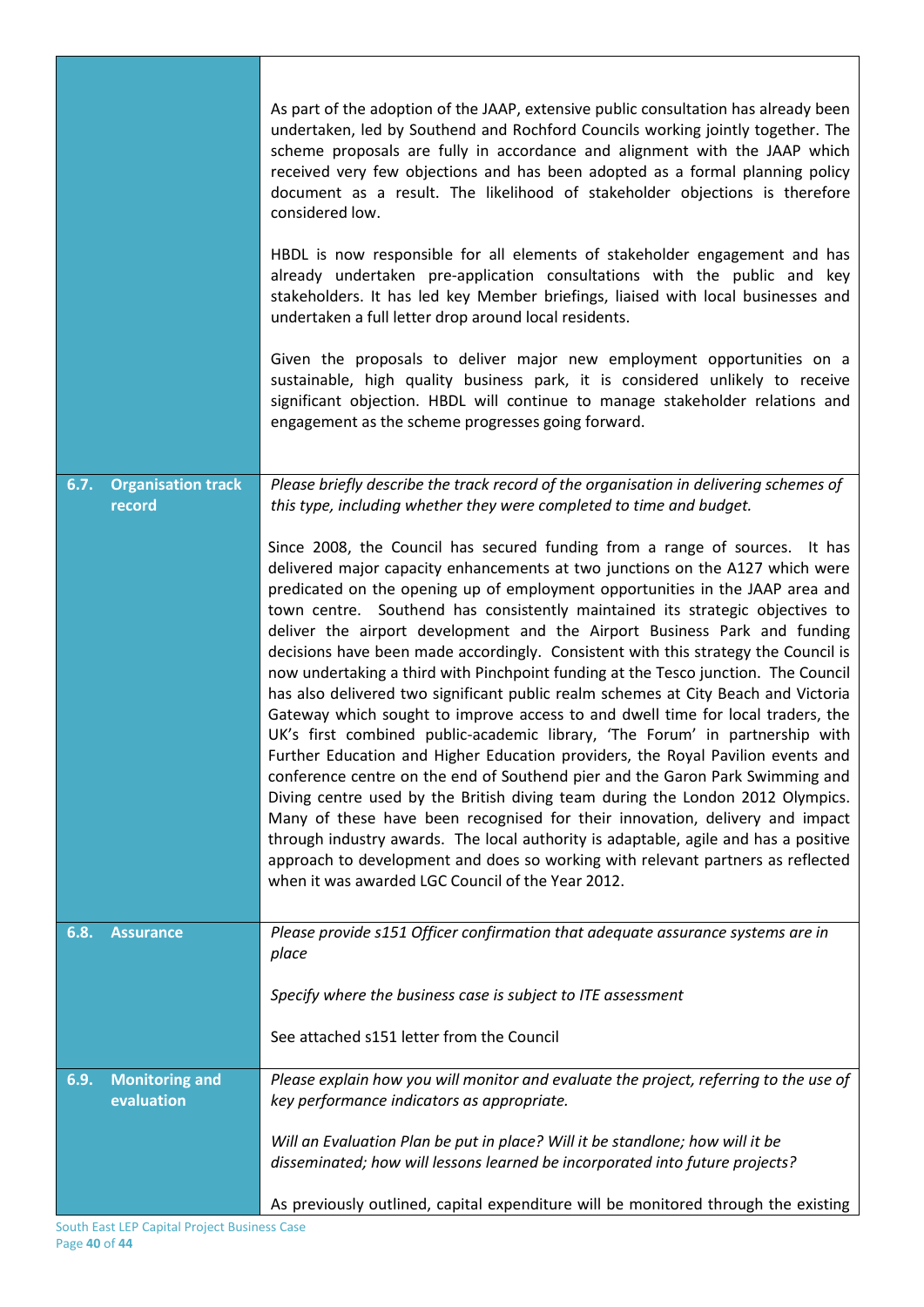|                                             | As part of the adoption of the JAAP, extensive public consultation has already been<br>undertaken, led by Southend and Rochford Councils working jointly together. The<br>scheme proposals are fully in accordance and alignment with the JAAP which<br>received very few objections and has been adopted as a formal planning policy<br>document as a result. The likelihood of stakeholder objections is therefore<br>considered low.                                                                                                                                                                                                                                                                                                                                                                                                                                                                                                                                                                                                                                                                                                                                                                                                                                                                                                                                                                               |
|---------------------------------------------|-----------------------------------------------------------------------------------------------------------------------------------------------------------------------------------------------------------------------------------------------------------------------------------------------------------------------------------------------------------------------------------------------------------------------------------------------------------------------------------------------------------------------------------------------------------------------------------------------------------------------------------------------------------------------------------------------------------------------------------------------------------------------------------------------------------------------------------------------------------------------------------------------------------------------------------------------------------------------------------------------------------------------------------------------------------------------------------------------------------------------------------------------------------------------------------------------------------------------------------------------------------------------------------------------------------------------------------------------------------------------------------------------------------------------|
|                                             | HBDL is now responsible for all elements of stakeholder engagement and has<br>already undertaken pre-application consultations with the public and key<br>stakeholders. It has led key Member briefings, liaised with local businesses and<br>undertaken a full letter drop around local residents.                                                                                                                                                                                                                                                                                                                                                                                                                                                                                                                                                                                                                                                                                                                                                                                                                                                                                                                                                                                                                                                                                                                   |
|                                             | Given the proposals to deliver major new employment opportunities on a<br>sustainable, high quality business park, it is considered unlikely to receive<br>significant objection. HBDL will continue to manage stakeholder relations and<br>engagement as the scheme progresses going forward.                                                                                                                                                                                                                                                                                                                                                                                                                                                                                                                                                                                                                                                                                                                                                                                                                                                                                                                                                                                                                                                                                                                        |
|                                             |                                                                                                                                                                                                                                                                                                                                                                                                                                                                                                                                                                                                                                                                                                                                                                                                                                                                                                                                                                                                                                                                                                                                                                                                                                                                                                                                                                                                                       |
| 6.7.<br><b>Organisation track</b><br>record | Please briefly describe the track record of the organisation in delivering schemes of<br>this type, including whether they were completed to time and budget.                                                                                                                                                                                                                                                                                                                                                                                                                                                                                                                                                                                                                                                                                                                                                                                                                                                                                                                                                                                                                                                                                                                                                                                                                                                         |
|                                             | Since 2008, the Council has secured funding from a range of sources. It has<br>delivered major capacity enhancements at two junctions on the A127 which were<br>predicated on the opening up of employment opportunities in the JAAP area and<br>town centre. Southend has consistently maintained its strategic objectives to<br>deliver the airport development and the Airport Business Park and funding<br>decisions have been made accordingly. Consistent with this strategy the Council is<br>now undertaking a third with Pinchpoint funding at the Tesco junction. The Council<br>has also delivered two significant public realm schemes at City Beach and Victoria<br>Gateway which sought to improve access to and dwell time for local traders, the<br>UK's first combined public-academic library, 'The Forum' in partnership with<br>Further Education and Higher Education providers, the Royal Pavilion events and<br>conference centre on the end of Southend pier and the Garon Park Swimming and<br>Diving centre used by the British diving team during the London 2012 Olympics.<br>Many of these have been recognised for their innovation, delivery and impact<br>through industry awards. The local authority is adaptable, agile and has a positive<br>approach to development and does so working with relevant partners as reflected<br>when it was awarded LGC Council of the Year 2012. |
| 6.8.<br><b>Assurance</b>                    | Please provide s151 Officer confirmation that adequate assurance systems are in<br>place                                                                                                                                                                                                                                                                                                                                                                                                                                                                                                                                                                                                                                                                                                                                                                                                                                                                                                                                                                                                                                                                                                                                                                                                                                                                                                                              |
|                                             | Specify where the business case is subject to ITE assessment                                                                                                                                                                                                                                                                                                                                                                                                                                                                                                                                                                                                                                                                                                                                                                                                                                                                                                                                                                                                                                                                                                                                                                                                                                                                                                                                                          |
|                                             |                                                                                                                                                                                                                                                                                                                                                                                                                                                                                                                                                                                                                                                                                                                                                                                                                                                                                                                                                                                                                                                                                                                                                                                                                                                                                                                                                                                                                       |
|                                             | See attached s151 letter from the Council                                                                                                                                                                                                                                                                                                                                                                                                                                                                                                                                                                                                                                                                                                                                                                                                                                                                                                                                                                                                                                                                                                                                                                                                                                                                                                                                                                             |
| <b>Monitoring and</b><br>6.9.<br>evaluation | Please explain how you will monitor and evaluate the project, referring to the use of<br>key performance indicators as appropriate.                                                                                                                                                                                                                                                                                                                                                                                                                                                                                                                                                                                                                                                                                                                                                                                                                                                                                                                                                                                                                                                                                                                                                                                                                                                                                   |
|                                             | Will an Evaluation Plan be put in place? Will it be standlone; how will it be<br>disseminated; how will lessons learned be incorporated into future projects?                                                                                                                                                                                                                                                                                                                                                                                                                                                                                                                                                                                                                                                                                                                                                                                                                                                                                                                                                                                                                                                                                                                                                                                                                                                         |
|                                             | As previously outlined, capital expenditure will be monitored through the existing                                                                                                                                                                                                                                                                                                                                                                                                                                                                                                                                                                                                                                                                                                                                                                                                                                                                                                                                                                                                                                                                                                                                                                                                                                                                                                                                    |

J.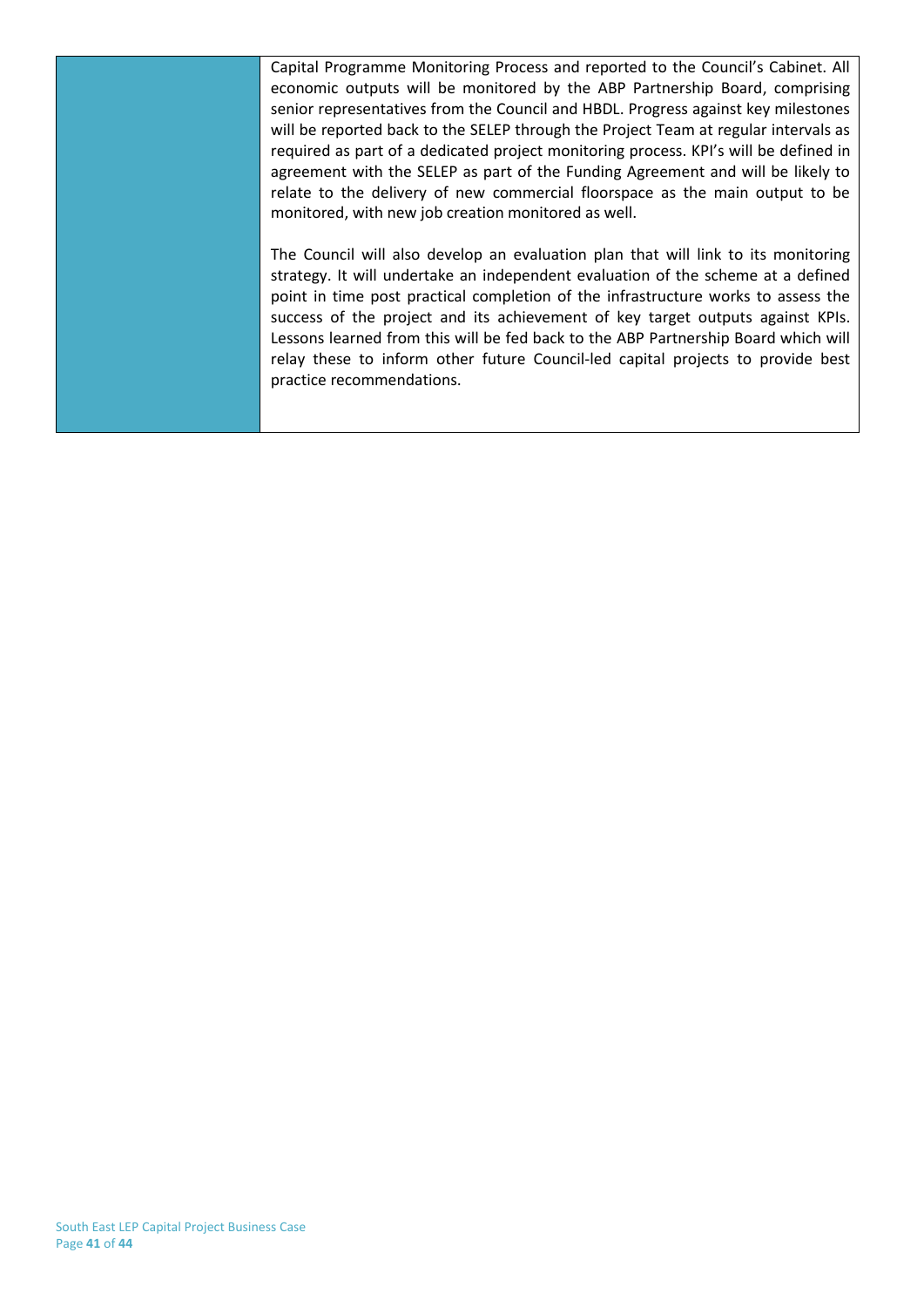Capital Programme Monitoring Process and reported to the Council's Cabinet. All economic outputs will be monitored by the ABP Partnership Board, comprising senior representatives from the Council and HBDL. Progress against key milestones will be reported back to the SELEP through the Project Team at regular intervals as required as part of a dedicated project monitoring process. KPI's will be defined in agreement with the SELEP as part of the Funding Agreement and will be likely to relate to the delivery of new commercial floorspace as the main output to be monitored, with new job creation monitored as well.

The Council will also develop an evaluation plan that will link to its monitoring strategy. It will undertake an independent evaluation of the scheme at a defined point in time post practical completion of the infrastructure works to assess the success of the project and its achievement of key target outputs against KPIs. Lessons learned from this will be fed back to the ABP Partnership Board which will relay these to inform other future Council-led capital projects to provide best practice recommendations.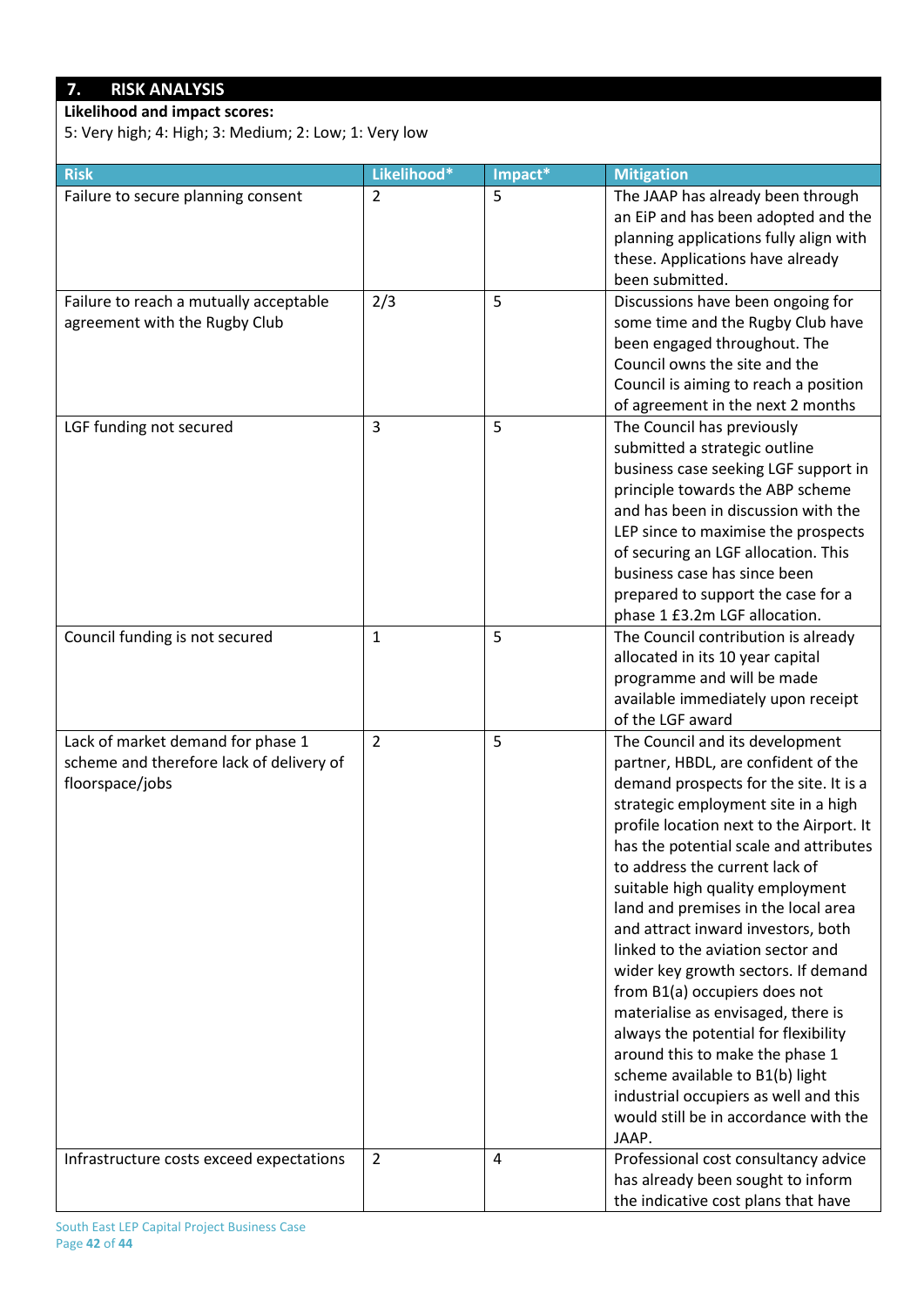## **7. RISK ANALYSIS**

**Likelihood and impact scores:**

5: Very high; 4: High; 3: Medium; 2: Low; 1: Very low

| <b>Risk</b>                                                                                      | Likelihood*    | Impact* | <b>Mitigation</b>                                                                                                                                                                                                                                                                                                                                                                                                                                                                                                                                                                                                                                                                                                                                            |
|--------------------------------------------------------------------------------------------------|----------------|---------|--------------------------------------------------------------------------------------------------------------------------------------------------------------------------------------------------------------------------------------------------------------------------------------------------------------------------------------------------------------------------------------------------------------------------------------------------------------------------------------------------------------------------------------------------------------------------------------------------------------------------------------------------------------------------------------------------------------------------------------------------------------|
| Failure to secure planning consent                                                               | 2              | 5       | The JAAP has already been through<br>an EiP and has been adopted and the<br>planning applications fully align with<br>these. Applications have already<br>been submitted.                                                                                                                                                                                                                                                                                                                                                                                                                                                                                                                                                                                    |
| Failure to reach a mutually acceptable<br>agreement with the Rugby Club                          | 2/3            | 5       | Discussions have been ongoing for<br>some time and the Rugby Club have<br>been engaged throughout. The<br>Council owns the site and the<br>Council is aiming to reach a position<br>of agreement in the next 2 months                                                                                                                                                                                                                                                                                                                                                                                                                                                                                                                                        |
| LGF funding not secured                                                                          | $\overline{3}$ | 5       | The Council has previously<br>submitted a strategic outline<br>business case seeking LGF support in<br>principle towards the ABP scheme<br>and has been in discussion with the<br>LEP since to maximise the prospects<br>of securing an LGF allocation. This<br>business case has since been<br>prepared to support the case for a<br>phase 1 £3.2m LGF allocation.                                                                                                                                                                                                                                                                                                                                                                                          |
| Council funding is not secured                                                                   | 1              | 5       | The Council contribution is already<br>allocated in its 10 year capital<br>programme and will be made<br>available immediately upon receipt<br>of the LGF award                                                                                                                                                                                                                                                                                                                                                                                                                                                                                                                                                                                              |
| Lack of market demand for phase 1<br>scheme and therefore lack of delivery of<br>floorspace/jobs | $\overline{2}$ | 5       | The Council and its development<br>partner, HBDL, are confident of the<br>demand prospects for the site. It is a<br>strategic employment site in a high<br>profile location next to the Airport. It<br>has the potential scale and attributes<br>to address the current lack of<br>suitable high quality employment<br>land and premises in the local area<br>and attract inward investors, both<br>linked to the aviation sector and<br>wider key growth sectors. If demand<br>from B1(a) occupiers does not<br>materialise as envisaged, there is<br>always the potential for flexibility<br>around this to make the phase 1<br>scheme available to B1(b) light<br>industrial occupiers as well and this<br>would still be in accordance with the<br>JAAP. |
| Infrastructure costs exceed expectations                                                         | $\overline{2}$ | 4       | Professional cost consultancy advice<br>has already been sought to inform<br>the indicative cost plans that have                                                                                                                                                                                                                                                                                                                                                                                                                                                                                                                                                                                                                                             |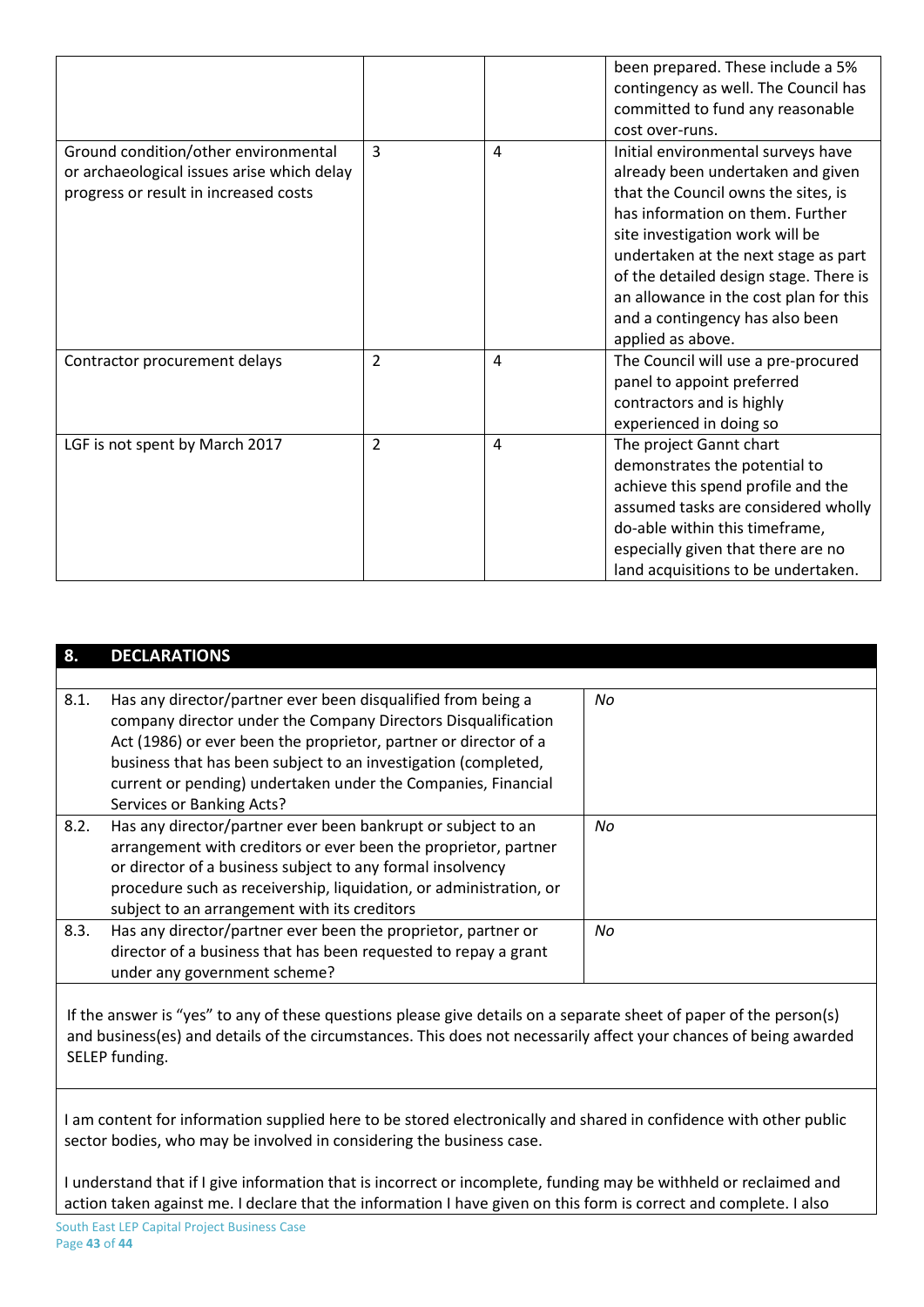|                                                                                                                             |                |   | been prepared. These include a 5%<br>contingency as well. The Council has<br>committed to fund any reasonable<br>cost over-runs.                                                                                                                                                                                                                                          |
|-----------------------------------------------------------------------------------------------------------------------------|----------------|---|---------------------------------------------------------------------------------------------------------------------------------------------------------------------------------------------------------------------------------------------------------------------------------------------------------------------------------------------------------------------------|
| Ground condition/other environmental<br>or archaeological issues arise which delay<br>progress or result in increased costs | 3              | 4 | Initial environmental surveys have<br>already been undertaken and given<br>that the Council owns the sites, is<br>has information on them. Further<br>site investigation work will be<br>undertaken at the next stage as part<br>of the detailed design stage. There is<br>an allowance in the cost plan for this<br>and a contingency has also been<br>applied as above. |
| Contractor procurement delays                                                                                               | $\overline{2}$ | 4 | The Council will use a pre-procured<br>panel to appoint preferred<br>contractors and is highly<br>experienced in doing so                                                                                                                                                                                                                                                 |
| LGF is not spent by March 2017                                                                                              | $\overline{2}$ | 4 | The project Gannt chart<br>demonstrates the potential to<br>achieve this spend profile and the<br>assumed tasks are considered wholly<br>do-able within this timeframe,<br>especially given that there are no<br>land acquisitions to be undertaken.                                                                                                                      |

### **8. DECLARATIONS**

| 8.1. | Has any director/partner ever been disqualified from being a<br>company director under the Company Directors Disqualification<br>Act (1986) or ever been the proprietor, partner or director of a<br>business that has been subject to an investigation (completed,<br>current or pending) undertaken under the Companies, Financial<br>Services or Banking Acts? | No  |
|------|-------------------------------------------------------------------------------------------------------------------------------------------------------------------------------------------------------------------------------------------------------------------------------------------------------------------------------------------------------------------|-----|
| 8.2. | Has any director/partner ever been bankrupt or subject to an<br>arrangement with creditors or ever been the proprietor, partner<br>or director of a business subject to any formal insolvency<br>procedure such as receivership, liquidation, or administration, or<br>subject to an arrangement with its creditors                                               | No. |
| 8.3. | Has any director/partner ever been the proprietor, partner or<br>director of a business that has been requested to repay a grant<br>under any government scheme?                                                                                                                                                                                                  | No  |

If the answer is "yes" to any of these questions please give details on a separate sheet of paper of the person(s) and business(es) and details of the circumstances. This does not necessarily affect your chances of being awarded SELEP funding.

I am content for information supplied here to be stored electronically and shared in confidence with other public sector bodies, who may be involved in considering the business case.

I understand that if I give information that is incorrect or incomplete, funding may be withheld or reclaimed and action taken against me. I declare that the information I have given on this form is correct and complete. I also